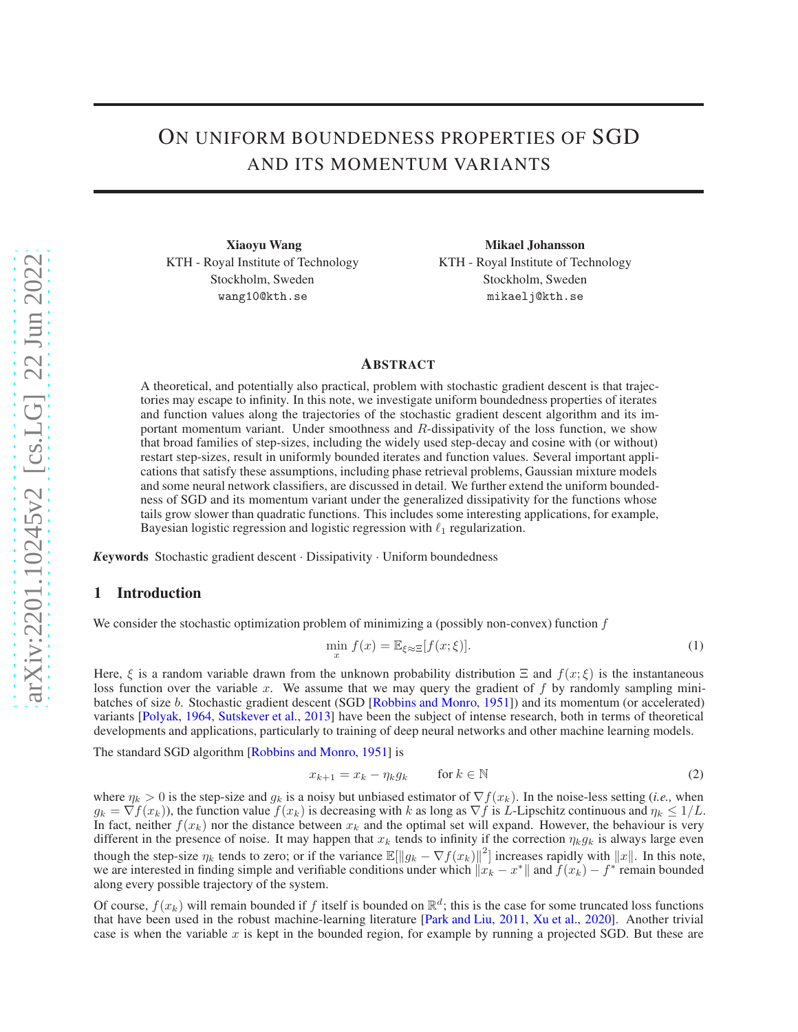# ON UNIFORM BOUNDEDNESS PROPERTIES OF SGD AND ITS MOMENTUM VARIANTS

Xiaoyu Wang KTH - Royal Institute of Technology Stockholm, Sweden wang10@kth.se

Mikael Johansson KTH - Royal Institute of Technology Stockholm, Sweden mikaelj@kth.se

# ABSTRACT

A theoretical, and potentially also practical, problem with stochastic gradient descent is that trajectories may escape to infinity. In this note, we investigate uniform boundedness properties of iterates and function values along the trajectories of the stochastic gradient descent algorithm and its important momentum variant. Under smoothness and R-dissipativity of the loss function, we show that broad families of step-sizes, including the widely used step-decay and cosine with (or without) restart step-sizes, result in uniformly bounded iterates and function values. Several important applications that satisfy these assumptions, including phase retrieval problems, Gaussian mixture models and some neural network classifiers, are discussed in detail. We further extend the uniform boundedness of SGD and its momentum variant under the generalized dissipativity for the functions whose tails grow slower than quadratic functions. This includes some interesting applications, for example, Bayesian logistic regression and logistic regression with  $\ell_1$  regularization.

*<sup>K</sup>*eywords Stochastic gradient descent · Dissipativity · Uniform boundedness

## 1 Introduction

We consider the stochastic optimization problem of minimizing a (possibly non-convex) function  $f$ 

$$
\min_{x} f(x) = \mathbb{E}_{\xi \approx \Xi} [f(x; \xi)]. \tag{1}
$$

Here,  $\xi$  is a random variable drawn from the unknown probability distribution  $\Xi$  and  $f(x;\xi)$  is the instantaneous loss function over the variable x. We assume that we may query the gradient of  $f$  by randomly sampling minibatches of size b. Stochastic gradient descent (SGD [\[Robbins and Monro,](#page-8-0) [1951](#page-8-0)]) and its momentum (or accelerated) variants [\[Polyak,](#page-8-1) [1964](#page-8-1), [Sutskever et al.](#page-8-2), [2013\]](#page-8-2) have been the subject of intense research, both in terms of theoretical developments and applications, particularly to training of deep neural networks and other machine learning models.

The standard SGD algorithm [\[Robbins and Monro,](#page-8-0) [1951\]](#page-8-0) is

$$
x_{k+1} = x_k - \eta_k g_k \qquad \text{for } k \in \mathbb{N}
$$
 (2)

where  $\eta_k > 0$  is the step-size and  $g_k$  is a noisy but unbiased estimator of  $\nabla f(x_k)$ . In the noise-less setting (*i.e.*, when  $g_k = \nabla f(x_k)$ , the function value  $f(x_k)$  is decreasing with k as long as  $\nabla f$  is L-Lipschitz continuous and  $\eta_k \leq 1/L$ . In fact, neither  $f(x_k)$  nor the distance between  $x_k$  and the optimal set will expand. However, the behaviour is very different in the presence of noise. It may happen that  $x_k$  tends to infinity if the correction  $\eta_k g_k$  is always large even though the step-size  $\eta_k$  tends to zero; or if the variance  $\mathbb{E}[\|g_k - \nabla f(x_k)\|^2]$  increases rapidly with  $\|x\|$ . In this note, we are interested in finding simple and verifiable conditions under which  $||x_k - x^*||$  and  $f(x_k) - f^*$  remain bounded along every possible trajectory of the system.

Of course,  $f(x_k)$  will remain bounded if f itself is bounded on  $\mathbb{R}^d$ ; this is the case for some truncated loss functions that have been used in the robust machine-learning literature [\[Park and Liu,](#page-8-3) [2011,](#page-8-3) [Xu et al.](#page-8-4), [2020\]](#page-8-4). Another trivial case is when the variable x is kept in the bounded region, for example by running a projected SGD. But these are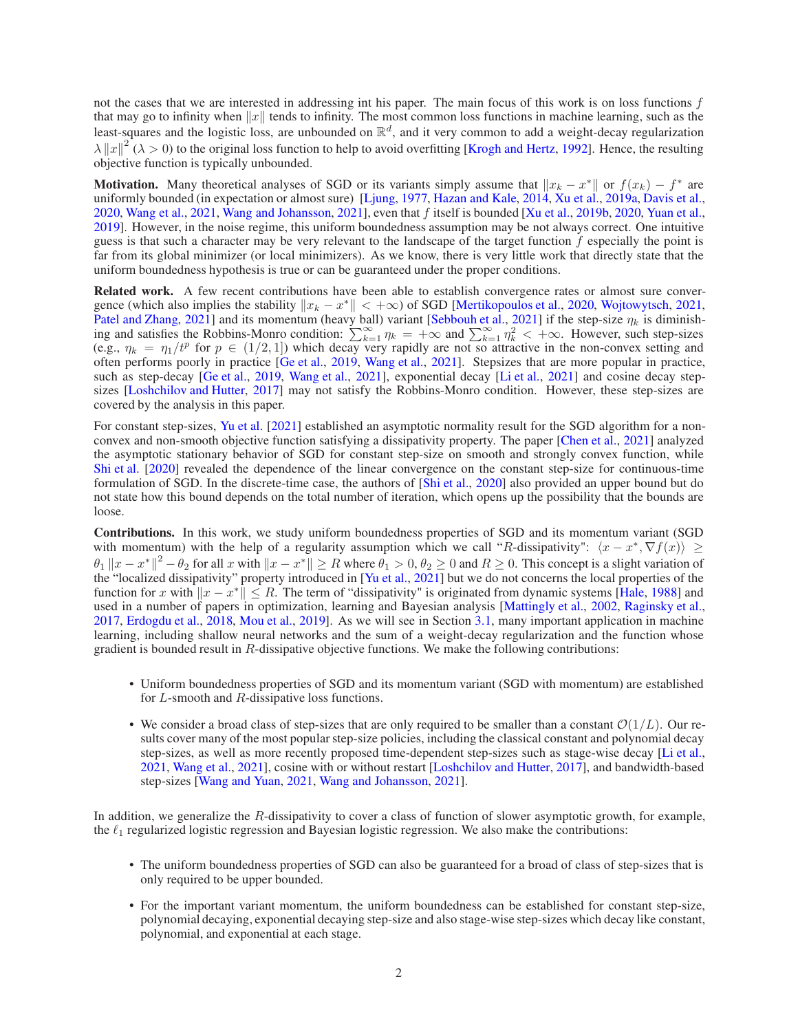not the cases that we are interested in addressing int his paper. The main focus of this work is on loss functions f that may go to infinity when  $||x||$  tends to infinity. The most common loss functions in machine learning, such as the least-squares and the logistic loss, are unbounded on  $\mathbb{R}^d$ , and it very common to add a weight-decay regularization  $\lambda ||x||^2$  ( $\lambda > 0$ ) to the original loss function to help to avoid overfitting [\[Krogh and Hertz](#page-7-0), [1992\]](#page-7-0). Hence, the resulting objective function is typically unbounded.

**Motivation.** Many theoretical analyses of SGD or its variants simply assume that  $||x_k - x^*||$  or  $f(x_k) - f^*$  are uniformly bounded (in expectation or almost sure) [\[Ljung](#page-7-1), [1977,](#page-7-1) [Hazan and Kale](#page-7-2), [2014](#page-7-2), [Xu et al.,](#page-8-5) [2019a](#page-8-5), [Davis et al.,](#page-7-3) [2020,](#page-7-3) [Wang et al.](#page-8-6), [2021](#page-8-6), [Wang and Johansson](#page-8-7), [2021\]](#page-8-7), even that f itself is bounded [\[Xu et al.,](#page-8-8) [2019b](#page-8-8), [2020,](#page-8-4) [Yuan et al.,](#page-8-9) [2019\]](#page-8-9). However, in the noise regime, this uniform boundedness assumption may be not always correct. One intuitive guess is that such a character may be very relevant to the landscape of the target function  $f$  especially the point is far from its global minimizer (or local minimizers). As we know, there is very little work that directly state that the uniform boundedness hypothesis is true or can be guaranteed under the proper conditions.

Related work. A few recent contributions have been able to establish convergence rates or almost sure convergence (which also implies the stability  $||x_k - x^*|| < +\infty$ ) of SGD [\[Mertikopoulos et al.](#page-8-10), [2020,](#page-8-10) [Wojtowytsch](#page-8-11), [2021,](#page-8-11) [Patel and Zhang,](#page-8-12) [2021](#page-8-12)] and its momentum (heavy ball) variant [\[Sebbouh et al.,](#page-8-13) [2021\]](#page-8-13) if the step-size  $\eta_k$  is diminishing and satisfies the Robbins-Monro condition:  $\sum_{k=1}^{\infty} \eta_k = +\infty$  and  $\sum_{k=1}^{\infty} \eta_k^2 < +\infty$ . However, such step-sizes (e.g.,  $\eta_k = \eta_1/t^p$  for  $p \in (1/2, 1]$ ) which decay very rapidly are not so attractive in the non-convex setting and often performs poorly in practice [\[Ge et al.](#page-7-4), [2019](#page-7-4), [Wang et al.](#page-8-6), [2021](#page-8-6)]. Stepsizes that are more popular in practice, such as step-decay [\[Ge et al.](#page-7-4), [2019,](#page-7-4) [Wang et al.,](#page-8-6) [2021](#page-8-6)], exponential decay [\[Li et al.](#page-7-5), [2021\]](#page-7-5) and cosine decay step-sizes [\[Loshchilov and Hutter,](#page-8-14) [2017](#page-8-14)] may not satisfy the Robbins-Monro condition. However, these step-sizes are covered by the analysis in this paper.

For constant step-sizes, [Yu et al.](#page-8-15) [\[2021](#page-8-15)] established an asymptotic normality result for the SGD algorithm for a nonconvex and non-smooth objective function satisfying a dissipativity property. The paper [\[Chen et al.](#page-7-6), [2021\]](#page-7-6) analyzed the asymptotic stationary behavior of SGD for constant step-size on smooth and strongly convex function, while [Shi et al.](#page-8-16) [\[2020\]](#page-8-16) revealed the dependence of the linear convergence on the constant step-size for continuous-time formulation of SGD. In the discrete-time case, the authors of [\[Shi et al.,](#page-8-16) [2020](#page-8-16)] also provided an upper bound but do not state how this bound depends on the total number of iteration, which opens up the possibility that the bounds are loose.

Contributions. In this work, we study uniform boundedness properties of SGD and its momentum variant (SGD with momentum) with the help of a regularity assumption which we call "R-dissipativity":  $\langle x - x^*, \nabla f(x) \rangle \ge$  $\|\theta_1\|_x - x^*\|^2 - \theta_2$  for all x with  $\|x - x^*\| \ge R$  where  $\theta_1 > 0$ ,  $\theta_2 \ge 0$  and  $R \ge 0$ . This concept is a slight variation of the "localized dissipativity" property introduced in [\[Yu et al.,](#page-8-15) [2021\]](#page-8-15) but we do not concerns the local properties of the function for x with  $||x - x^*|| \le R$ . The term of "dissipativity" is originated from dynamic systems [\[Hale,](#page-7-7) [1988\]](#page-7-7) and used in a number of papers in optimization, learning and Bayesian analysis [\[Mattingly et al.,](#page-8-17) [2002,](#page-8-17) [Raginsky et al.,](#page-8-18) [2017,](#page-8-18) [Erdogdu et al.](#page-7-8), [2018,](#page-7-8) [Mou et al.,](#page-8-19) [2019\]](#page-8-19). As we will see in Section [3.1,](#page-2-0) many important application in machine learning, including shallow neural networks and the sum of a weight-decay regularization and the function whose gradient is bounded result in R-dissipative objective functions. We make the following contributions:

- Uniform boundedness properties of SGD and its momentum variant (SGD with momentum) are established for L-smooth and R-dissipative loss functions.
- We consider a broad class of step-sizes that are only required to be smaller than a constant  $\mathcal{O}(1/L)$ . Our results cover many of the most popular step-size policies, including the classical constant and polynomial decay step-sizes, as well as more recently proposed time-dependent step-sizes such as stage-wise decay [\[Li et al.,](#page-7-5) [2021,](#page-7-5) [Wang et al.,](#page-8-6) [2021\]](#page-8-6), cosine with or without restart [\[Loshchilov and Hutter](#page-8-14), [2017\]](#page-8-14), and bandwidth-based step-sizes [\[Wang and Yuan](#page-8-20), [2021](#page-8-20), [Wang and Johansson,](#page-8-7) [2021\]](#page-8-7).

In addition, we generalize the R-dissipativity to cover a class of function of slower asymptotic growth, for example, the  $\ell_1$  regularized logistic regression and Bayesian logistic regression. We also make the contributions:

- The uniform boundedness properties of SGD can also be guaranteed for a broad of class of step-sizes that is only required to be upper bounded.
- For the important variant momentum, the uniform boundedness can be established for constant step-size, polynomial decaying, exponential decaying step-size and also stage-wise step-sizes which decay like constant, polynomial, and exponential at each stage.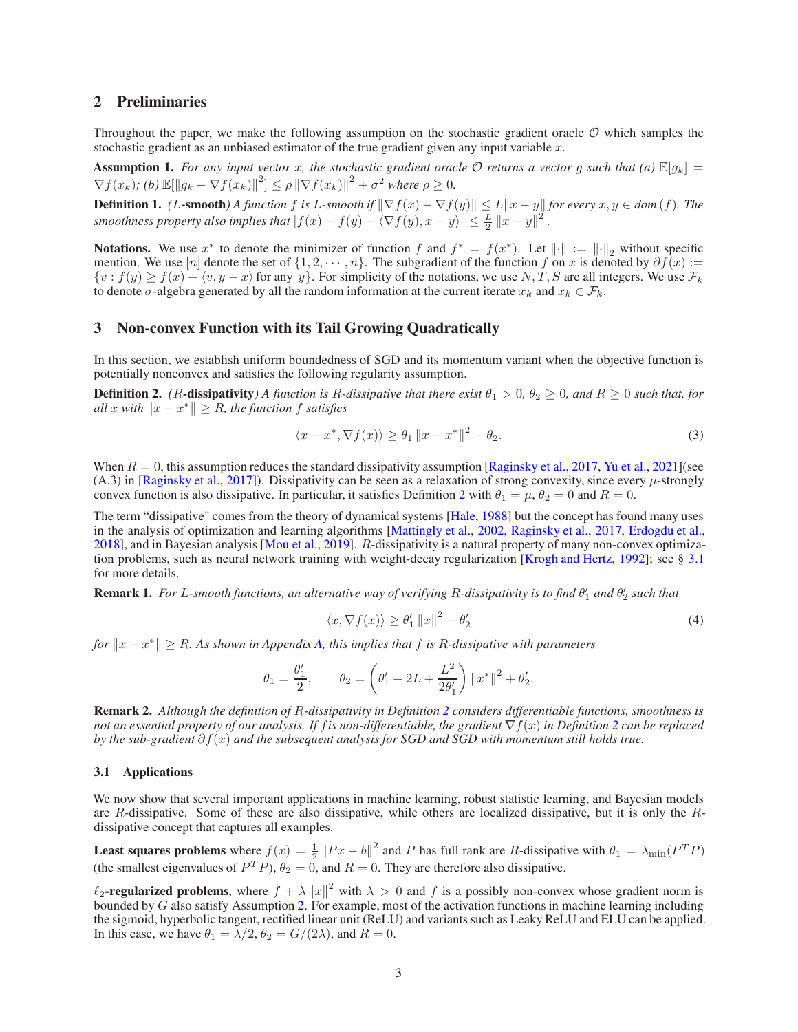## 2 Preliminaries

Throughout the paper, we make the following assumption on the stochastic gradient oracle  $\mathcal O$  which samples the stochastic gradient as an unbiased estimator of the true gradient given any input variable  $x$ .

<span id="page-2-3"></span>**Assumption 1.** For any input vector x, the stochastic gradient oracle  $\mathcal{O}$  returns a vector g such that (a)  $\mathbb{E}[g_k] =$  $\nabla f(x_k)$ ; (b)  $\mathbb{E}[\|g_k - \nabla f(x_k)\|^2] \leq \rho \|\nabla f(x_k)\|^2 + \sigma^2$  where  $\rho \geq 0$ .

**Definition 1.** *(L*-smooth) A function f is L-smooth if  $\|\nabla f(x) - \nabla f(y)\| \le L \|x - y\|$  for every  $x, y \in dom(f)$ *. The smoothness property also implies that*  $|f(x) - f(y) - \langle \nabla f(y), x - y \rangle| \leq \frac{L}{2} ||x - y||^2$ .

**Notations.** We use  $x^*$  to denote the minimizer of function f and  $f^* = f(x^*)$ . Let  $\|\cdot\| := \|\cdot\|_2$  without specific mention. We use [n] denote the set of  $\{1, 2, \cdots, n\}$ . The subgradient of the function f on x is denoted by  $\partial f(x) :=$  $\{v : f(y) \ge f(x) + \langle v, y - x \rangle\}$  for any y. For simplicity of the notations, we use N, T, S are all integers. We use  $\mathcal{F}_k$ to denote  $\sigma$ -algebra generated by all the random information at the current iterate  $x_k$  and  $x_k \in \mathcal{F}_k$ .

## <span id="page-2-4"></span>3 Non-convex Function with its Tail Growing Quadratically

In this section, we establish uniform boundedness of SGD and its momentum variant when the objective function is potentially nonconvex and satisfies the following regularity assumption.

<span id="page-2-1"></span>**Definition 2.** (*R*-dissipativity) A function is *R*-dissipative that there exist  $\theta_1 > 0$ ,  $\theta_2 \ge 0$ , and  $R \ge 0$  such that, for  $all x with  $||x - x^*|| \geq R$ , the function f satisfies$ 

$$
\langle x - x^*, \nabla f(x) \rangle \ge \theta_1 \|x - x^*\|^2 - \theta_2. \tag{3}
$$

When  $R = 0$ , this assumption reduces the standard dissipativity assumption [\[Raginsky et al.](#page-8-18), [2017,](#page-8-18) [Yu et al.](#page-8-15), [2021\]](#page-8-15)(see  $(A.3)$  in [\[Raginsky et al.,](#page-8-18) [2017\]](#page-8-18)). Dissipativity can be seen as a relaxation of strong convexity, since every  $\mu$ -strongly convex function is also dissipative. In particular, it satisfies Definition [2](#page-2-1) with  $\theta_1 = \mu$ ,  $\theta_2 = 0$  and  $R = 0$ .

The term "dissipative" comes from the theory of dynamical systems [\[Hale,](#page-7-7) [1988\]](#page-7-7) but the concept has found many uses in the analysis of optimization and learning algorithms [\[Mattingly et al.](#page-8-17), [2002,](#page-8-17) [Raginsky et al.,](#page-8-18) [2017](#page-8-18), [Erdogdu et al.,](#page-7-8) [2018\]](#page-7-8), and in Bayesian analysis [\[Mou et al.,](#page-8-19) [2019\]](#page-8-19). R-dissipativity is a natural property of many non-convex optimization problems, such as neural network training with weight-decay regularization [\[Krogh and Hertz,](#page-7-0) [1992](#page-7-0)]; see § [3.1](#page-2-0) for more details.

<span id="page-2-5"></span>**Remark 1.** For L-smooth functions, an alternative way of verifying R-dissipativity is to find  $\theta_1'$  and  $\theta_2'$  such that

<span id="page-2-2"></span>
$$
\langle x, \nabla f(x) \rangle \ge \theta_1' \|x\|^2 - \theta_2'
$$
 (4)

*for*  $||x - x^*||$  ≥ R. As shown in Appendix A, this implies that f is R-dissipative with parameters $||x - x^*||$  ≥ R. As shown in Appendix A, this implies that f is R-dissipative with parameters $||x - x^*||$  ≥ R. As shown in Appendix A, this implies that f is R-dissipative with parameters

$$
\theta_1 = \frac{\theta'_1}{2}, \qquad \theta_2 = \left(\theta'_1 + 2L + \frac{L^2}{2\theta'_1}\right) ||x^*||^2 + \theta'_2.
$$

Remark 2. *Although the definition of* R*-dissipativity in Definition [2](#page-2-1) considers differentiable functions, smoothness is not an essential property of our analysis. If* f*is non-differentiable, the gradient* ∇f(x) *in Definition [2](#page-2-1) can be replaced by the sub-gradient* ∂f(x) *and the subsequent analysis for SGD and SGD with momentum still holds true.*

## <span id="page-2-0"></span>3.1 Applications

We now show that several important applications in machine learning, robust statistic learning, and Bayesian models are R-dissipative. Some of these are also dissipative, while others are localized dissipative, but it is only the Rdissipative concept that captures all examples.

**Least squares problems** where  $f(x) = \frac{1}{2} ||Px - b||^2$  and P has full rank are R-dissipative with  $\theta_1 = \lambda_{\min}(P^T P)$ (the smallest eigenvalues of  $P^T P$ ),  $\theta_2 = 0$ , and  $R = 0$ . They are therefore also dissipative.

 $\ell_2$ -regularized problems, where  $f + \lambda ||x||^2$  with  $\lambda > 0$  and f is a possibly non-convex whose gradient norm is bounded by G also satisfy Assumption [2.](#page-2-1) For example, most of the activation functions in machine learning including the sigmoid, hyperbolic tangent, rectified linear unit (ReLU) and variants such as Leaky ReLU and ELU can be applied. In this case, we have  $\theta_1 = \lambda/2$ ,  $\theta_2 = G/(2\lambda)$ , and  $R = 0$ .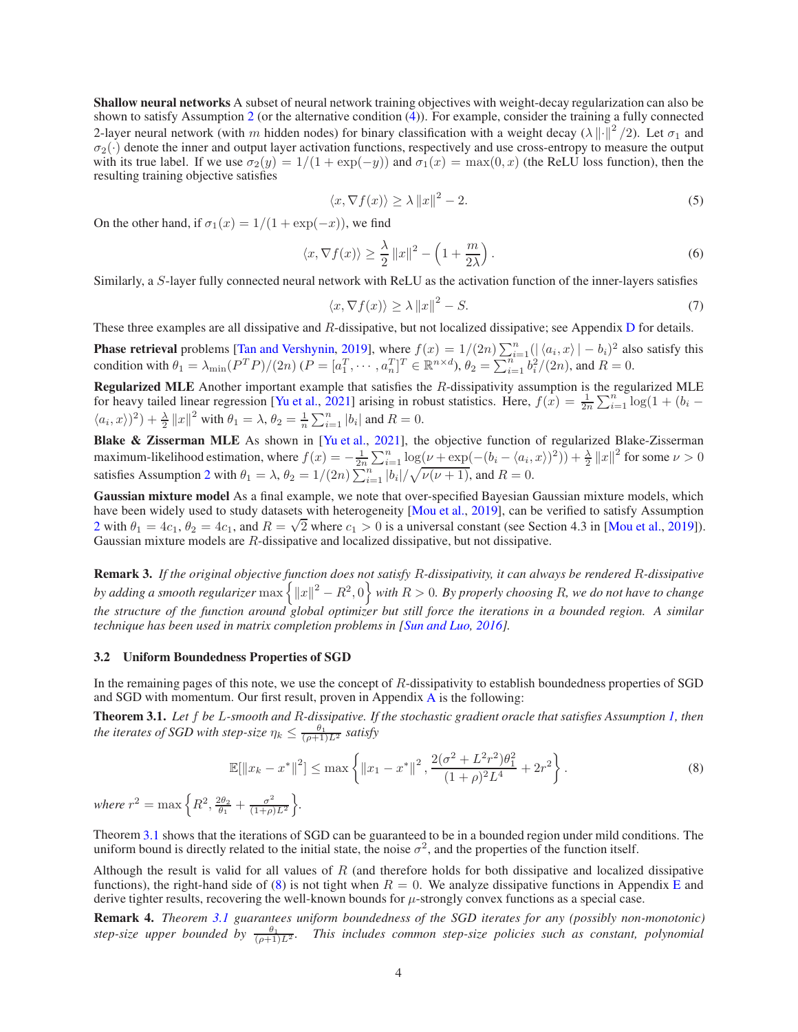Shallow neural networks A subset of neural network training objectives with weight-decay regularization can also be shown to satisfy Assumption [2](#page-2-1) (or the alternative condition  $(4)$ ). For example, consider the training a fully connected 2-layer neural network (with m hidden nodes) for binary classification with a weight decay ( $\lambda || \cdot ||^2 / 2$ ). Let  $\sigma_1$  and  $\sigma_2(\cdot)$  denote the inner and output layer activation functions, respectively and use cross-entropy to measure the output with its true label. If we use  $\sigma_2(y) = 1/(1 + \exp(-y))$  and  $\sigma_1(x) = \max(0, x)$  (the ReLU loss function), then the resulting training objective satisfies

$$
\langle x, \nabla f(x) \rangle \ge \lambda \|x\|^2 - 2. \tag{5}
$$

On the other hand, if  $\sigma_1(x) = 1/(1 + \exp(-x))$ , we find

$$
\langle x, \nabla f(x) \rangle \ge \frac{\lambda}{2} \|x\|^2 - \left(1 + \frac{m}{2\lambda}\right). \tag{6}
$$

Similarly, a S-layer fully connected neural network with ReLU as the activation function of the inner-layers satisfies

$$
\langle x, \nabla f(x) \rangle \ge \lambda \|x\|^2 - S. \tag{7}
$$

These three examples are all dissipative and  $R$ -dissipative, but not localized dissipative; see Appendix  $D$  for details.

**Phase retrieval** problems [\[Tan and Vershynin,](#page-8-21) [2019](#page-8-21)], where  $f(x) = 1/(2n) \sum_{i=1}^{n} (|\langle a_i, x \rangle| - b_i)^2$  also satisfy this condition with  $\theta_1 = \lambda_{\min}(P^T P)/(2n)$   $(P = [a_1^T, \dots, a_n^T]^T \in \mathbb{R}^{n \times d}$ ,  $\theta_2 = \sum_{i=1}^{n} b_i^2/(2n)$ , and  $R = 0$ .

Regularized MLE Another important example that satisfies the R-dissipativity assumption is the regularized MLE for heavy tailed linear regression [\[Yu et al.,](#page-8-15) [2021\]](#page-8-15) arising in robust statistics. Here,  $f(x) = \frac{1}{2n} \sum_{i=1}^{n} \log(1 + (b_i \langle a_i, x \rangle^2$  +  $\frac{\lambda}{2} ||x||^2$  with  $\theta_1 = \lambda$ ,  $\theta_2 = \frac{1}{n} \sum_{i=1}^n |b_i|$  and  $R = 0$ .

Blake & Zisserman MLE As shown in [\[Yu et al.,](#page-8-15) [2021\]](#page-8-15), the objective function of regularized Blake-Zisserman maximum-likelihood estimation, where  $f(x) = -\frac{1}{2n} \sum_{i=1}^{n} \log(\nu + \exp(-(b_i - \langle a_i, x \rangle)^2)) + \frac{\lambda}{2} ||x||^2$  for some  $\nu > 0$ satisfies Assumption [2](#page-2-1) with  $\theta_1 = \lambda$ ,  $\theta_2 = 1/(2n) \sum_{i=1}^n |b_i| / \sqrt{\nu(\nu+1)}$ , and  $R = 0$ .

Gaussian mixture model As a final example, we note that over-specified Bayesian Gaussian mixture models, which have been widely used to study datasets with heterogeneity [\[Mou et al.,](#page-8-19) [2019\]](#page-8-19), can be verified to satisfy Assumption [2](#page-2-1) with  $\theta_1 = 4c_1$ ,  $\theta_2 = 4c_1$ , and  $R = \sqrt{2}$  where  $c_1 > 0$  is a universal constant (see Section 4.3 in [\[Mou et al.,](#page-8-19) [2019\]](#page-8-19)). Gaussian mixture models are R-dissipative and localized dissipative, but not dissipative.

Remark 3. *If the original objective function does not satisfy* R*-dissipativity, it can always be rendered* R*-dissipative* by adding a smooth regularizer  $\max\left\{\|x\|^2-R^2,0\right\}$  with  $R>0$ . By properly choosing  $R$ , we do not have to change *the structure of the function around global optimizer but still force the iterations in a bounded region. A similar technique has been used in matrix completion problems in [\[Sun and Luo,](#page-8-22) [2016\]](#page-8-22).*

## 3.2 Uniform Boundedness Properties of SGD

In the remaining pages of this note, we use the concept of R-dissipativity to establish boundedness properties of SGD and SGD with momentum. Our first result, proven in Appendix [A](#page-9-0) is the following:

<span id="page-3-0"></span>Theorem 3.1. *Let* f *be* L*-smooth and* R*-dissipative. If the stochastic gradient oracle that satisfies Assumption [1,](#page-2-3) then the iterates of SGD with step-size*  $\eta_k \leq \frac{\theta_1}{(\rho+1)L^2}$  *satisfy* 

<span id="page-3-1"></span>
$$
\mathbb{E}[\|x_k - x^*\|^2] \le \max\left\{\|x_1 - x^*\|^2, \frac{2(\sigma^2 + L^2 r^2)\theta_1^2}{(1+\rho)^2 L^4} + 2r^2\right\}.
$$
\n(8)

where  $r^2 = \max \left\{ R^2, \frac{2\theta_2}{\theta_1} + \frac{\sigma^2}{(1+\rho)} \right\}$  $\frac{\sigma^2}{(1+\rho)L^2}$ .

Theorem [3.1](#page-3-0) shows that the iterations of SGD can be guaranteed to be in a bounded region under mild conditions. The uniform bound is directly related to the initial state, the noise  $\sigma^2$ , and the properties of the function itself.

Although the result is valid for all values of  $R$  (and therefore holds for both dissipative and localized dissipative functions), the right-hand side of [\(8\)](#page-3-1) is not tight when  $R = 0$ . We analyze dissipative functions in Appendix [E](#page-29-0) and derive tighter results, recovering the well-known bounds for  $\mu$ -strongly convex functions as a special case.

Remark 4. *Theorem [3.1](#page-3-0) guarantees uniform boundedness of the SGD iterates for any (possibly non-monotonic) step-size upper bounded by*  $\frac{\theta_1}{(\rho+1)L^2}$ . This includes common step-size policies such as constant, polynomial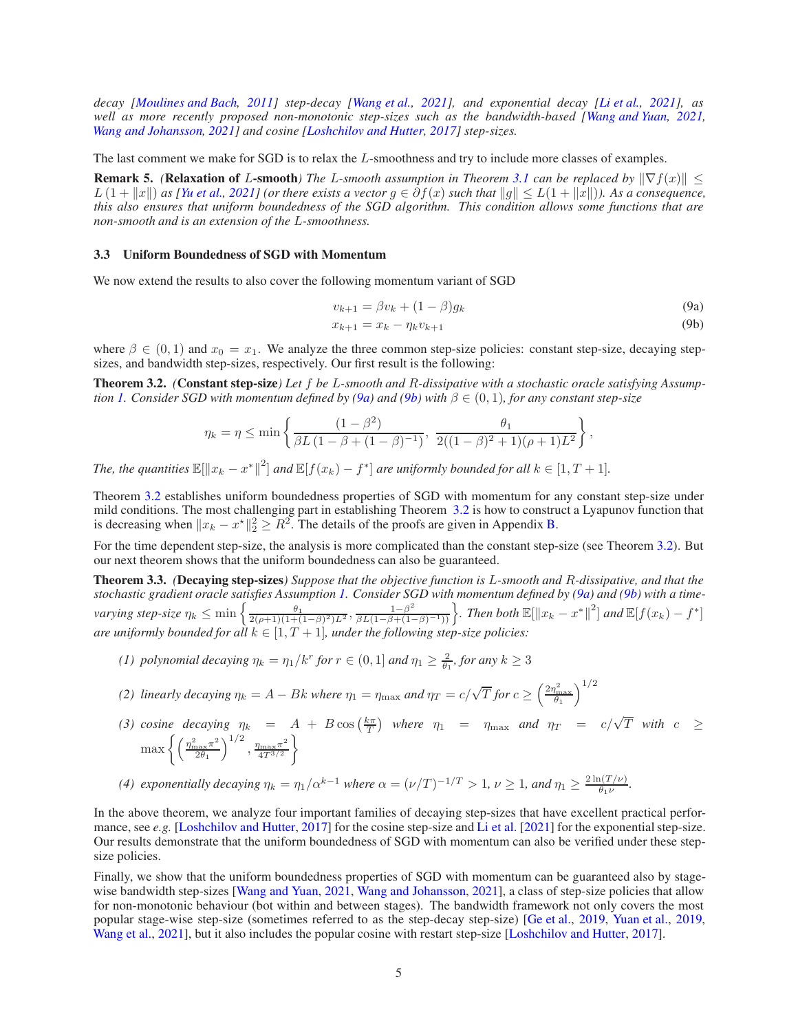*decay [\[Moulines and Bach,](#page-8-23) [2011\]](#page-8-23) step-decay [\[Wang et al.](#page-8-6), [2021](#page-8-6)], and exponential decay [\[Li et al.,](#page-7-5) [2021\]](#page-7-5), as well as more recently proposed non-monotonic step-sizes such as the bandwidth-based [\[Wang and Yuan,](#page-8-20) [2021,](#page-8-20) [Wang and Johansson,](#page-8-7) [2021](#page-8-7)] and cosine [\[Loshchilov and Hutter](#page-8-14), [2017](#page-8-14)] step-sizes.*

The last comment we make for SGD is to relax the L-smoothness and try to include more classes of examples.

**Remark 5.** *(Relaxation of L-smooth) The L-smooth assumption in Theorem [3.1](#page-3-0) can be replaced by* $\|\nabla f(x)\|$  $\leq$  $L(1 + ||x||)$  as [\[Yu et al.,](#page-8-15) [2021\]](#page-8-15) (or there exists a vector  $g \in \partial f(x)$  such that  $||g|| \leq L(1 + ||x||)$ ). As a consequence, *this also ensures that uniform boundedness of the SGD algorithm. This condition allows some functions that are non-smooth and is an extension of the* L*-smoothness.*

## <span id="page-4-4"></span>3.3 Uniform Boundedness of SGD with Momentum

We now extend the results to also cover the following momentum variant of SGD

$$
v_{k+1} = \beta v_k + (1 - \beta) g_k \tag{9a}
$$

<span id="page-4-1"></span><span id="page-4-0"></span>
$$
x_{k+1} = x_k - \eta_k v_{k+1} \tag{9b}
$$

where  $\beta \in (0,1)$  and  $x_0 = x_1$ . We analyze the three common step-size policies: constant step-size, decaying stepsizes, and bandwidth step-sizes, respectively. Our first result is the following:

<span id="page-4-2"></span>Theorem 3.2. *(*Constant step-size*) Let* f *be* L*-smooth and* R*-dissipative with a stochastic oracle satisfying Assumption* [1.](#page-2-3) Consider SGD with momentum defined by [\(9a\)](#page-4-0) and [\(9b\)](#page-4-1) with  $\beta \in (0,1)$ , for any constant step-size

$$
\eta_k = \eta \le \min\left\{\frac{(1-\beta^2)}{\beta L(1-\beta+(1-\beta)^{-1})}, \frac{\theta_1}{2((1-\beta)^2+1)(\rho+1)L^2}\right\},\,
$$

The, the quantities  $\mathbb{E}[\|x_k - x^*\|^2]$  and  $\mathbb{E}[f(x_k) - f^*]$  are uniformly bounded for all  $k \in [1, T + 1]$ .

Theorem [3.2](#page-4-2) establishes uniform boundedness properties of SGD with momentum for any constant step-size under mild conditions. The most challenging part in establishing Theorem [3.2](#page-4-2) is how to construct a Lyapunov function that is decreasing when  $||x_k - x^*||_2^2 \ge R^2$ . The details of the proofs are given in Appendix [B.](#page-10-0)

For the time dependent step-size, the analysis is more complicated than the constant step-size (see Theorem [3.2\)](#page-4-2). But our next theorem shows that the uniform boundedness can also be guaranteed.

<span id="page-4-3"></span>Theorem 3.3. *(*Decaying step-sizes*) Suppose that the objective function is* L*-smooth and* R*-dissipative, and that the stochastic gradient oracle satisfies Assumption [1.](#page-2-3) Consider SGD with momentum defined by [\(9a\)](#page-4-0) and [\(9b\)](#page-4-1) with a timevarying step-size*  $\eta_k \le \min\left\{\frac{\theta_1}{2(\rho+1)(1+(1-\beta)^2)L^2}, \frac{1-\beta^2}{\beta L(1-\beta+(1-\beta)^{-1}))}\right\}$ . Then both  $\mathbb{E}[\Vert x_k - x^* \Vert^2]$  and  $\mathbb{E}[f(x_k) - f^*]$ *are uniformly bounded for all*  $k \in [1, T + 1]$ , *under the following step-size policies:* 

*(1) polynomial decaying*  $\eta_k = \eta_1/k^r$  *for*  $r \in (0,1]$  *and*  $\eta_1 \ge \frac{2}{\theta_1}$ *, for any*  $k \ge 3$ 

(2) linearly decaying 
$$
\eta_k = A - Bk
$$
 where  $\eta_1 = \eta_{\text{max}}$  and  $\eta_T = c/\sqrt{T}$  for  $c \ge \left(\frac{2\eta_{\text{max}}^2}{\theta_1}\right)^{1/2}$ 

(3) cosine decaying  $\eta_k = A + B \cos(\frac{k\pi}{T})$  where  $\eta_1 = \eta_{\text{max}}$  and  $\eta_T = c/\sqrt{T}$  with  $c \geq$  $\max\left\{\left(\frac{\eta_{\max}^2\pi^2}{2\theta_1}\right)\right\}$  $\left(\frac{\pi a}{2\theta_{1}}\right)^{1/2},\frac{\eta_{\max}\pi^{2}}{4T^{3/2}}$  $4T^{3/2}$  $\mathcal{L}$ 

(4) exponentially decaying 
$$
\eta_k = \eta_1/\alpha^{k-1}
$$
 where  $\alpha = (\nu/T)^{-1/T} > 1$ ,  $\nu \ge 1$ , and  $\eta_1 \ge \frac{2 \ln(T/\nu)}{\theta_1 \nu}$ .

In the above theorem, we analyze four important families of decaying step-sizes that have excellent practical performance, see *e.g.* [\[Loshchilov and Hutter,](#page-8-14) [2017\]](#page-8-14) for the cosine step-size and [Li et al.](#page-7-5) [\[2021\]](#page-7-5) for the exponential step-size. Our results demonstrate that the uniform boundedness of SGD with momentum can also be verified under these stepsize policies.

Finally, we show that the uniform boundedness properties of SGD with momentum can be guaranteed also by stage-wise bandwidth step-sizes [\[Wang and Yuan](#page-8-20), [2021](#page-8-20), [Wang and Johansson,](#page-8-7) [2021\]](#page-8-7), a class of step-size policies that allow for non-monotonic behaviour (bot within and between stages). The bandwidth framework not only covers the most popular stage-wise step-size (sometimes referred to as the step-decay step-size) [\[Ge et al.](#page-7-4), [2019,](#page-7-4) [Yuan et al.,](#page-8-9) [2019,](#page-8-9) [Wang et al.](#page-8-6), [2021](#page-8-6)], but it also includes the popular cosine with restart step-size [\[Loshchilov and Hutter](#page-8-14), [2017](#page-8-14)].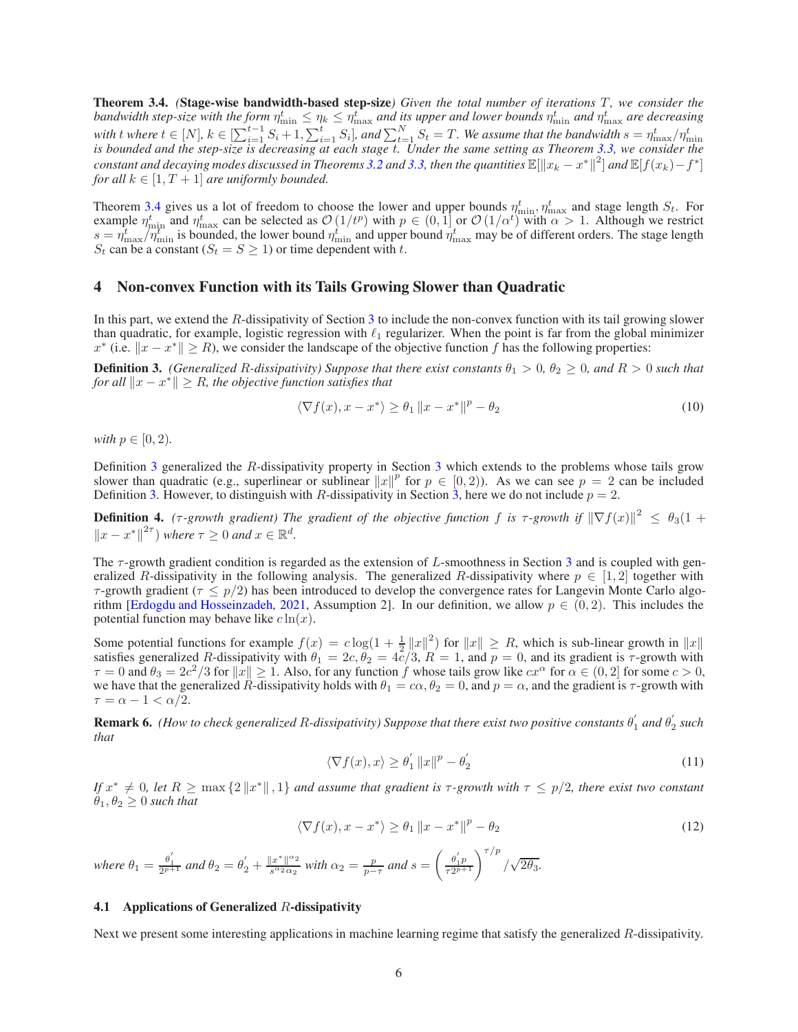<span id="page-5-0"></span>**Theorem 3.4.** *(Stage-wise bandwidth-based step-size) Given the total number of iterations T, we consider the* bandwidth step-size with the form  $\eta_{\min}^t \leq \eta_k \leq \eta_{\max}^t$  and its upper and lower bounds  $\eta_{\min}^t$  and  $\eta_{\max}^t$  are decreasing with t where  $t \in [N]$ ,  $k \in [\sum_{i=1}^{t-1} S_i + 1, \sum_{i=1}^t S_i]$ , and  $\sum_{t=1}^N S_t = T$ . We assume that the bandwidth  $s = \eta_{\max}^t / \eta_{\min}^t$  is bounded and the step-size is decreasing at each stage t. Under the same setting as The  $constant$  and decaying modes discussed in Theorems [3.2](#page-4-2) and [3.3,](#page-4-3) then the quantities  $\mathbb{E}[\|x_k-x^*\|^2]$  and  $\mathbb{E}[f(x_k)-f^*]$ *for all*  $k \in [1, T + 1]$  *are uniformly bounded.* 

Theorem [3.4](#page-5-0) gives us a lot of freedom to choose the lower and upper bounds  $\eta_{\min}^t$ ,  $\eta_{\max}^t$  and stage length  $S_t$ . For example  $\eta_{\min}^t$  and  $\eta_{\max}^t$  can be selected as  $\mathcal{O}(1/t^p)$  with  $p \in (0, 1]$  or  $\mathcal{O}(1/\alpha^t)$  with  $\alpha > 1$ . Although we restrict  $s = \eta_{\text{max}}^t/\eta_{\text{min}}^t$  is bounded, the lower bound  $\eta_{\text{min}}^t$  and upper bound  $\eta_{\text{max}}^t$  may be of different orders. The stage length  $S_t$  can be a constant  $(S_t = S \geq 1)$  or time dependent with t.

## <span id="page-5-4"></span>4 Non-convex Function with its Tails Growing Slower than Quadratic

In this part, we extend the R-dissipativity of Section [3](#page-2-4) to include the non-convex function with its tail growing slower than quadratic, for example, logistic regression with  $\ell_1$  regularizer. When the point is far from the global minimizer  $x^*$  (i.e.  $||x - x^*|| \ge R$ ), we consider the landscape of the objective function f has the following properties:

<span id="page-5-1"></span>**Definition 3.** *(Generalized R-dissipativity) Suppose that there exist constants*  $\theta_1 > 0$ ,  $\theta_2 \ge 0$ , and  $R > 0$  such that *for all*  $||x - x^*|| \geq R$ *, the objective function satisfies that* 

$$
\langle \nabla f(x), x - x^* \rangle \ge \theta_1 \|x - x^*\|^p - \theta_2 \tag{10}
$$

*with*  $p \in [0, 2)$ *.* 

Definition [3](#page-5-1) generalized the R-dissipativity property in Section [3](#page-2-4) which extends to the problems whose tails grow slower than quadratic (e.g., superlinear or sublinear  $||x||^p$  for  $p \in [0, 2)$ ). As we can see  $p = 2$  can be included Definition [3.](#page-5-1) However, to distinguish with R-dissipativity in Section [3,](#page-2-4) here we do not include  $p = 2$ .

<span id="page-5-2"></span>**Definition 4.** ( $\tau$ -growth gradient) The gradient of the objective function f is  $\tau$ -growth if  $\|\nabla f(x)\|^2 \leq \theta_3(1+\epsilon)$  $||x - x^*||^{2\tau}$  *where*  $\tau \ge 0$  *and*  $x \in \mathbb{R}^d$ .

The τ-growth gradient condition is regarded as the extension of L-smoothness in Section [3](#page-2-4) and is coupled with generalized R-dissipativity in the following analysis. The generalized R-dissipativity where  $p \in [1,2]$  together with  $\tau$ -growth gradient ( $\tau \leq p/2$ ) has been introduced to develop the convergence rates for Langevin Monte Carlo algo-rithm [\[Erdogdu and Hosseinzadeh](#page-7-9), [2021,](#page-7-9) Assumption 2]. In our definition, we allow  $p \in (0, 2)$ . This includes the potential function may behave like  $c \ln(x)$ .

Some potential functions for example  $f(x) = c \log(1 + \frac{1}{2} ||x||^2)$  for  $||x|| \ge R$ , which is sub-linear growth in  $||x||$ satisfies generalized R-dissipativity with  $\theta_1 = 2c, \theta_2 = 4\bar{c}/3$ ,  $R = 1$ , and  $p = 0$ , and its gradient is  $\tau$ -growth with  $\tau = 0$  and  $\theta_3 = 2c^2/3$  for  $||x|| \ge 1$ . Also, for any function f whose tails grow like  $cx^{\alpha}$  for  $\alpha \in (0, 2]$  for some  $c > 0$ , we have that the generalized R-dissipativity holds with  $\theta_1 = c\alpha$ ,  $\theta_2 = 0$ , and  $p = \alpha$ , and the gradient is  $\tau$ -growth with  $\tau = \alpha - 1 < \alpha/2$ .

<span id="page-5-3"></span>Remark 6. *(How to check generalized* R*-dissipativity) Suppose that there exist two positive constants* θ ′  $\frac{1}{1}$  and  $\theta_2'$ 2 *such that*

$$
\langle \nabla f(x), x \rangle \ge \theta_1' \|x\|^p - \theta_2' \tag{11}
$$

*If*  $x^* \neq 0$ , let  $R \geq \max\{2\|x^*\|, 1\}$  and assume that gradient is  $\tau$ -growth with  $\tau \leq p/2$ , there exist two constant  $\theta_1, \theta_2 \geq 0$  *such that* 

$$
\langle \nabla f(x), x - x^* \rangle \ge \theta_1 \|x - x^*\|^p - \theta_2 \tag{12}
$$

*where*  $\theta_1 = \frac{\theta_1^{'}}{2^{p+1}}$  *and*  $\theta_2 = \theta_2^{'} + \frac{\|x^*\|^{\alpha_2}}{s^{\alpha_2} \alpha_2}$  $\frac{|x^*|^{\alpha_2}}{s^{\alpha_2} \alpha_2}$  with  $\alpha_2 = \frac{p}{p-\tau}$  and  $s = \left(\frac{\theta_1'p}{\tau 2^{p+1}}\right)^{\tau/p} / \sqrt{2\theta_3}$ .

#### 4.1 Applications of Generalized  $R$ -dissipativity

Next we present some interesting applications in machine learning regime that satisfy the generalized R-dissipativity.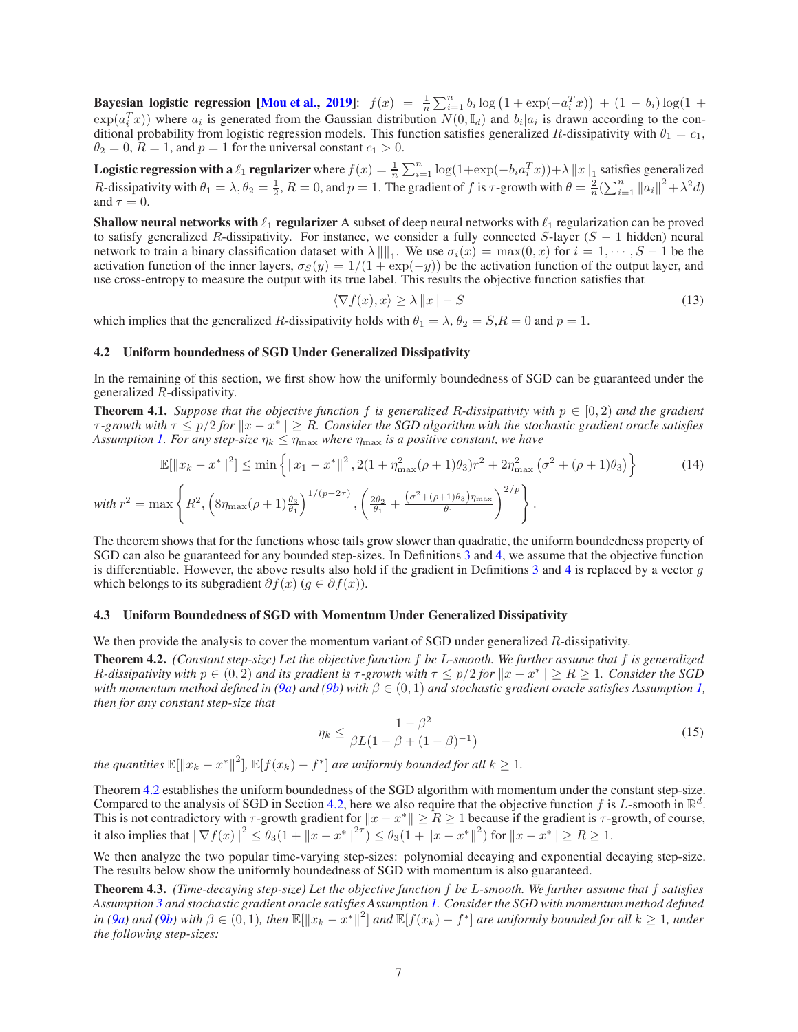Bayesian logistic regression [\[Mou et al.](#page-8-19), [2019](#page-8-19)]:  $f(x) = \frac{1}{n} \sum_{i=1}^{n} b_i \log (1 + \exp(-a_i^T x)) + (1 - b_i) \log (1 +$  $\exp(a_i^T x)$ ) where  $a_i$  is generated from the Gaussian distribution  $N(0, \mathbb{I}_d)$  and  $b_i|a_i$  is drawn according to the conditional probability from logistic regression models. This function satisfies generalized R-dissipativity with  $\theta_1 = c_1$ ,  $\theta_2 = 0$ ,  $R = 1$ , and  $p = 1$  for the universal constant  $c_1 > 0$ .

**Logistic regression with a**  $\ell_1$  **regularizer** where  $f(x) = \frac{1}{n} \sum_{i=1}^n \log(1 + \exp(-b_i a_i^T x)) + \lambda ||x||_1$  satisfies generalized R-dissipativity with  $\theta_1 = \lambda$ ,  $\theta_2 = \frac{1}{2}$ ,  $R = 0$ , and  $p = 1$ . The gradient of f is  $\tau$ -growth with  $\theta = \frac{2}{n} \left(\sum_{i=1}^n ||a_i||^2 + \lambda^2 d\right)$ and  $\tau = 0$ .

**Shallow neural networks with**  $\ell_1$  **regularizer** A subset of deep neural networks with  $\ell_1$  regularization can be proved to satisfy generalized R-dissipativity. For instance, we consider a fully connected S-layer  $(S - 1)$  hidden) neural network to train a binary classification dataset with  $\lambda \| \|_1$ . We use  $\sigma_i(x) = \max(0, x)$  for  $i = 1, \dots, S - 1$  be the activation function of the inner layers,  $\sigma_S(y) = 1/(1 + \exp(-y))$  be the activation function of the output layer, and use cross-entropy to measure the output with its true label. This results the objective function satisfies that

$$
\langle \nabla f(x), x \rangle \ge \lambda \|x\| - S \tag{13}
$$

<span id="page-6-1"></span>which implies that the generalized R-dissipativity holds with  $\theta_1 = \lambda$ ,  $\theta_2 = S$ ,  $R = 0$  and  $p = 1$ .

#### 4.2 Uniform boundedness of SGD Under Generalized Dissipativity

In the remaining of this section, we first show how the uniformly boundedness of SGD can be guaranteed under the generalized R-dissipativity.

<span id="page-6-3"></span>**Theorem 4.1.** Suppose that the objective function f is generalized R-dissipativity with  $p \in [0, 2)$  and the gradient  $\tau$ -growth with  $\tau \leq p/2$  for  $\|x - x^*\| \geq R$ . Consider the SGD algorithm with the stochastic gradient oracle satisfies *Assumption [1.](#page-2-3) For any step-size*  $\eta_k \leq \eta_{\text{max}}$  *where*  $\eta_{\text{max}}$  *is a positive constant, we have* 

$$
\mathbb{E}[\|x_k - x^*\|^2] \le \min\left\{\|x_1 - x^*\|^2, 2(1 + \eta_{\max}^2(\rho + 1)\theta_3)r^2 + 2\eta_{\max}^2(\sigma^2 + (\rho + 1)\theta_3)\right\}
$$
(14)  
with  $r^2 = \max\left\{R^2, \left(8\eta_{\max}(\rho + 1)\frac{\theta_3}{\theta_1}\right)^{1/(p-2\tau)}, \left(\frac{2\theta_2}{\theta_1} + \frac{(\sigma^2 + (\rho + 1)\theta_3)\eta_{\max}}{\theta_1}\right)^{2/p}\right\}.$ 

The theorem shows that for the functions whose tails grow slower than quadratic, the uniform boundedness property of SGD can also be guaranteed for any bounded step-sizes. In Definitions [3](#page-5-1) and [4,](#page-5-2) we assume that the objective function is differentiable. However, the above results also hold if the gradient in Definitions  $\overline{3}$  $\overline{3}$  $\overline{3}$  and  $\overline{4}$  $\overline{4}$  $\overline{4}$  is replaced by a vector g which belongs to its subgradient  $\partial f(x)$  ( $g \in \partial f(x)$ ).

#### 4.3 Uniform Boundedness of SGD with Momentum Under Generalized Dissipativity

We then provide the analysis to cover the momentum variant of SGD under generalized R-dissipativity.

<span id="page-6-0"></span>Theorem 4.2. *(Constant step-size) Let the objective function* f *be* L*-smooth. We further assume that* f *is generalized R*-dissipativity with  $p \in (0, 2)$  and its gradient is  $\tau$ -growth with  $\tau \leq p/2$  for  $\|x - x^*\| \geq R \geq 1$ . Consider the SGD *with momentum method defined in* [\(9a\)](#page-4-0) and [\(9b\)](#page-4-1) with  $\beta \in (0,1)$  and stochastic gradient oracle satisfies Assumption [1,](#page-2-3) *then for any constant step-size that*

$$
\eta_k \le \frac{1 - \beta^2}{\beta L (1 - \beta + (1 - \beta)^{-1})} \tag{15}
$$

*the quantities*  $\mathbb{E}[\Vert x_k - x^* \Vert^2]$ ,  $\mathbb{E}[f(x_k) - f^*]$  *are uniformly bounded for all*  $k \geq 1$ *.* 

Theorem [4.2](#page-6-0) establishes the uniform boundedness of the SGD algorithm with momentum under the constant step-size. Compared to the analysis of SGD in Section [4.2,](#page-6-1) here we also require that the objective function f is L-smooth in  $\mathbb{R}^d$ . This is not contradictory with  $\tau$ -growth gradient for  $||x - x^*|| \ge R \ge 1$  because if the gradient is  $\tau$ -growth, of course, it also implies that  $\|\nabla f(x)\|^2 \le \theta_3(1 + \|x - x^*\|^{2\tau}) \le \theta_3(1 + \|x - x^*\|^2)$  for  $\|x - x^*\| \ge R \ge 1$ .

We then analyze the two popular time-varying step-sizes: polynomial decaying and exponential decaying step-size. The results below show the uniformly boundedness of SGD with momentum is also guaranteed.

<span id="page-6-2"></span>Theorem 4.3. *(Time-decaying step-size) Let the objective function* f *be* L*-smooth. We further assume that* f *satisfies Assumption [3](#page-5-1) and stochastic gradient oracle satisfies Assumption [1.](#page-2-3) Consider the SGD with momentum method defined*  $\int$ *in* [\(9a\)](#page-4-0) and [\(9b\)](#page-4-1) with  $\beta \in (0,1)$ , then  $\mathbb{E}[\|x_k - x^*\|^2]$  and  $\mathbb{E}[f(x_k) - f^*]$  are uniformly bounded for all  $k \ge 1$ , under *the following step-sizes:*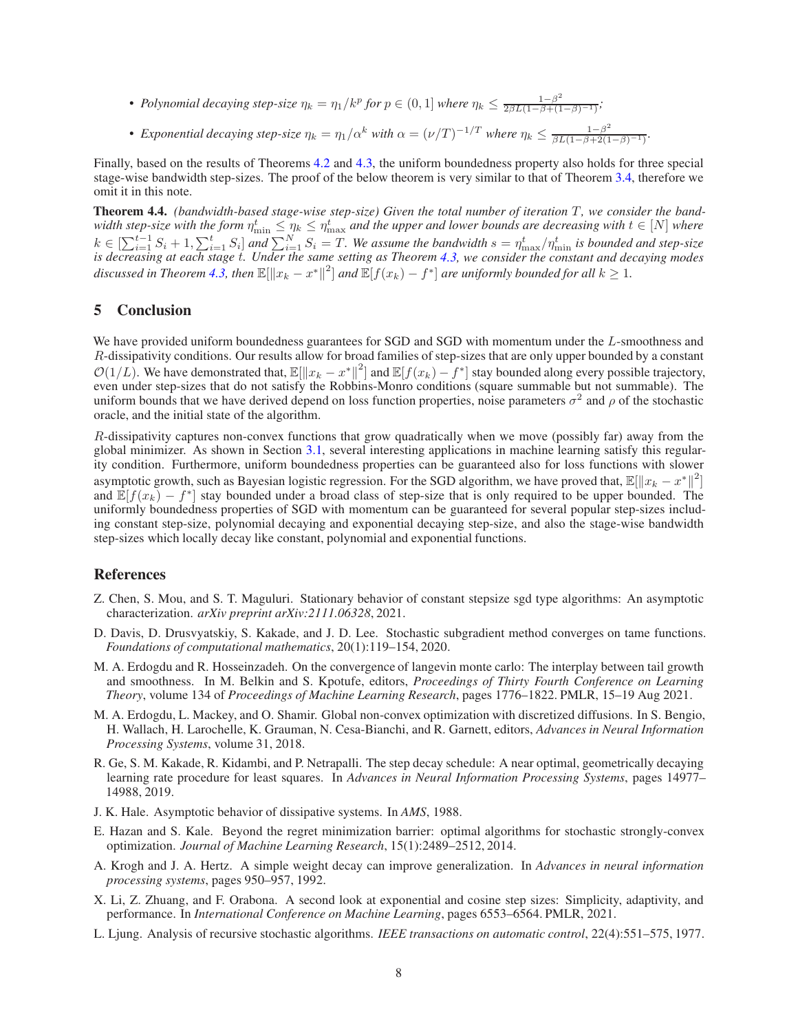- *Polynomial decaying step-size*  $\eta_k = \eta_1/k^p$  for  $p \in (0, 1]$  where  $\eta_k \leq \frac{1-\beta^2}{2\beta L(1-\beta+(1-\beta)^{-1})}$ ;
- *Exponential decaying step-size*  $\eta_k = \eta_1/\alpha^k$  *with*  $\alpha = (\nu/T)^{-1/T}$  *where*  $\eta_k \leq \frac{1-\beta^2}{\beta L(1-\beta+2(1-\beta)^{-1})}$ *.*

Finally, based on the results of Theorems [4.2](#page-6-0) and [4.3,](#page-6-2) the uniform boundedness property also holds for three special stage-wise bandwidth step-sizes. The proof of the below theorem is very similar to that of Theorem [3.4,](#page-5-0) therefore we omit it in this note.

**Theorem 4.4.** (bandwidth-based stage-wise step-size) Given the total number of iteration T, we consider the bandwidth step-size with the form  $\eta_{\min}^t \leq \eta_k \leq \eta_{\max}^t$  and the upper and lower bounds are decreasing with  $t \in [N]$  where  $k \in \left[\sum_{i=1}^{t-1} S_i + 1, \sum_{i=1}^t S_i\right]$  and  $\sum_{i=1}^N S_i = T$ . We assume the bandwidth  $s = \eta_{\max}^t/\eta_{\min}^t$  is bounded and step-size *is decreasing at each stage* t*. Under the same setting as Theorem [4.3,](#page-6-2) we consider the constant and decaying modes* discussed in Theorem [4.3,](#page-6-2) then  $\mathbb{E}[\|x_k - x^*\|^2]$  and  $\mathbb{E}[f(x_k) - f^*]$  are uniformly bounded for all  $k \geq 1$ .

# 5 Conclusion

We have provided uniform boundedness guarantees for SGD and SGD with momentum under the L-smoothness and R-dissipativity conditions. Our results allow for broad families of step-sizes that are only upper bounded by a constant  $\mathcal{O}(1/L)$ . We have demonstrated that,  $\mathbb{E}[\Vert x_k - x^* \Vert^2]$  and  $\mathbb{E}[f(x_k) - f^*]$  stay bounded along every possible trajectory, even under step-sizes that do not satisfy the Robbins-Monro conditions (square summable but not summable). The uniform bounds that we have derived depend on loss function properties, noise parameters  $\sigma^2$  and  $\rho$  of the stochastic oracle, and the initial state of the algorithm.

R-dissipativity captures non-convex functions that grow quadratically when we move (possibly far) away from the global minimizer. As shown in Section [3.1,](#page-2-0) several interesting applications in machine learning satisfy this regularity condition. Furthermore, uniform boundedness properties can be guaranteed also for loss functions with slower asymptotic growth, such as Bayesian logistic regression. For the SGD algorithm, we have proved that,  $\mathbb{E}[\Vert x_k - x^* \Vert^2]$ and  $\mathbb{E}[f(x_k) - f^*]$  stay bounded under a broad class of step-size that is only required to be upper bounded. The uniformly boundedness properties of SGD with momentum can be guaranteed for several popular step-sizes including constant step-size, polynomial decaying and exponential decaying step-size, and also the stage-wise bandwidth step-sizes which locally decay like constant, polynomial and exponential functions.

## References

- <span id="page-7-6"></span>Z. Chen, S. Mou, and S. T. Maguluri. Stationary behavior of constant stepsize sgd type algorithms: An asymptotic characterization. *arXiv preprint arXiv:2111.06328*, 2021.
- <span id="page-7-3"></span>D. Davis, D. Drusvyatskiy, S. Kakade, and J. D. Lee. Stochastic subgradient method converges on tame functions. *Foundations of computational mathematics*, 20(1):119–154, 2020.
- <span id="page-7-9"></span>M. A. Erdogdu and R. Hosseinzadeh. On the convergence of langevin monte carlo: The interplay between tail growth and smoothness. In M. Belkin and S. Kpotufe, editors, *Proceedings of Thirty Fourth Conference on Learning Theory*, volume 134 of *Proceedings of Machine Learning Research*, pages 1776–1822. PMLR, 15–19 Aug 2021.
- <span id="page-7-8"></span>M. A. Erdogdu, L. Mackey, and O. Shamir. Global non-convex optimization with discretized diffusions. In S. Bengio, H. Wallach, H. Larochelle, K. Grauman, N. Cesa-Bianchi, and R. Garnett, editors, *Advances in Neural Information Processing Systems*, volume 31, 2018.
- <span id="page-7-4"></span>R. Ge, S. M. Kakade, R. Kidambi, and P. Netrapalli. The step decay schedule: A near optimal, geometrically decaying learning rate procedure for least squares. In *Advances in Neural Information Processing Systems*, pages 14977– 14988, 2019.
- <span id="page-7-7"></span>J. K. Hale. Asymptotic behavior of dissipative systems. In *AMS*, 1988.
- <span id="page-7-2"></span>E. Hazan and S. Kale. Beyond the regret minimization barrier: optimal algorithms for stochastic strongly-convex optimization. *Journal of Machine Learning Research*, 15(1):2489–2512, 2014.
- <span id="page-7-0"></span>A. Krogh and J. A. Hertz. A simple weight decay can improve generalization. In *Advances in neural information processing systems*, pages 950–957, 1992.
- <span id="page-7-5"></span>X. Li, Z. Zhuang, and F. Orabona. A second look at exponential and cosine step sizes: Simplicity, adaptivity, and performance. In *International Conference on Machine Learning*, pages 6553–6564. PMLR, 2021.
- <span id="page-7-1"></span>L. Ljung. Analysis of recursive stochastic algorithms. *IEEE transactions on automatic control*, 22(4):551–575, 1977.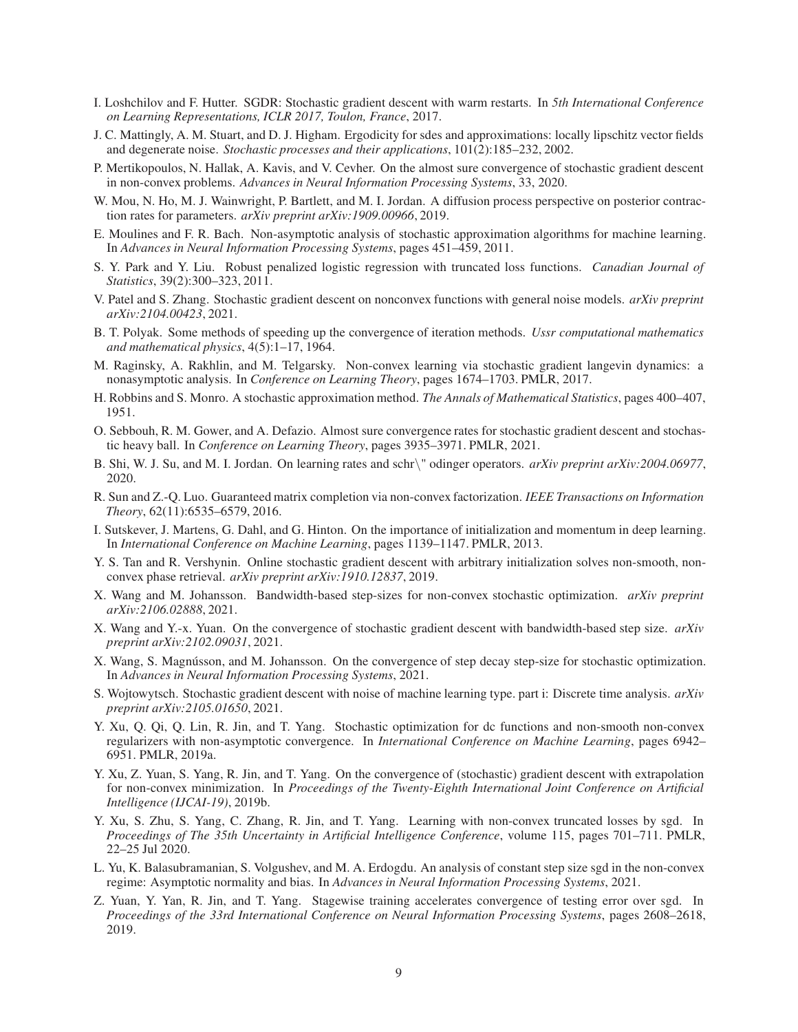- <span id="page-8-14"></span>I. Loshchilov and F. Hutter. SGDR: Stochastic gradient descent with warm restarts. In *5th International Conference on Learning Representations, ICLR 2017, Toulon, France*, 2017.
- <span id="page-8-17"></span>J. C. Mattingly, A. M. Stuart, and D. J. Higham. Ergodicity for sdes and approximations: locally lipschitz vector fields and degenerate noise. *Stochastic processes and their applications*, 101(2):185–232, 2002.
- <span id="page-8-10"></span>P. Mertikopoulos, N. Hallak, A. Kavis, and V. Cevher. On the almost sure convergence of stochastic gradient descent in non-convex problems. *Advances in Neural Information Processing Systems*, 33, 2020.
- <span id="page-8-19"></span>W. Mou, N. Ho, M. J. Wainwright, P. Bartlett, and M. I. Jordan. A diffusion process perspective on posterior contraction rates for parameters. *arXiv preprint arXiv:1909.00966*, 2019.
- <span id="page-8-23"></span>E. Moulines and F. R. Bach. Non-asymptotic analysis of stochastic approximation algorithms for machine learning. In *Advances in Neural Information Processing Systems*, pages 451–459, 2011.
- <span id="page-8-3"></span>S. Y. Park and Y. Liu. Robust penalized logistic regression with truncated loss functions. *Canadian Journal of Statistics*, 39(2):300–323, 2011.
- <span id="page-8-12"></span>V. Patel and S. Zhang. Stochastic gradient descent on nonconvex functions with general noise models. *arXiv preprint arXiv:2104.00423*, 2021.
- <span id="page-8-1"></span>B. T. Polyak. Some methods of speeding up the convergence of iteration methods. *Ussr computational mathematics and mathematical physics*, 4(5):1–17, 1964.
- <span id="page-8-18"></span>M. Raginsky, A. Rakhlin, and M. Telgarsky. Non-convex learning via stochastic gradient langevin dynamics: a nonasymptotic analysis. In *Conference on Learning Theory*, pages 1674–1703. PMLR, 2017.
- <span id="page-8-0"></span>H. Robbins and S. Monro. A stochastic approximation method. *The Annals of Mathematical Statistics*, pages 400–407, 1951.
- <span id="page-8-13"></span>O. Sebbouh, R. M. Gower, and A. Defazio. Almost sure convergence rates for stochastic gradient descent and stochastic heavy ball. In *Conference on Learning Theory*, pages 3935–3971. PMLR, 2021.
- <span id="page-8-16"></span>B. Shi, W. J. Su, and M. I. Jordan. On learning rates and schr\" odinger operators. *arXiv preprint arXiv:2004.06977*, 2020.
- <span id="page-8-22"></span>R. Sun and Z.-Q. Luo. Guaranteed matrix completion via non-convex factorization. *IEEE Transactions on Information Theory*, 62(11):6535–6579, 2016.
- <span id="page-8-2"></span>I. Sutskever, J. Martens, G. Dahl, and G. Hinton. On the importance of initialization and momentum in deep learning. In *International Conference on Machine Learning*, pages 1139–1147. PMLR, 2013.
- <span id="page-8-21"></span>Y. S. Tan and R. Vershynin. Online stochastic gradient descent with arbitrary initialization solves non-smooth, nonconvex phase retrieval. *arXiv preprint arXiv:1910.12837*, 2019.
- <span id="page-8-7"></span>X. Wang and M. Johansson. Bandwidth-based step-sizes for non-convex stochastic optimization. *arXiv preprint arXiv:2106.02888*, 2021.
- <span id="page-8-20"></span>X. Wang and Y.-x. Yuan. On the convergence of stochastic gradient descent with bandwidth-based step size. *arXiv preprint arXiv:2102.09031*, 2021.
- <span id="page-8-6"></span>X. Wang, S. Magnússon, and M. Johansson. On the convergence of step decay step-size for stochastic optimization. In *Advances in Neural Information Processing Systems*, 2021.
- <span id="page-8-11"></span>S. Wojtowytsch. Stochastic gradient descent with noise of machine learning type. part i: Discrete time analysis. *arXiv preprint arXiv:2105.01650*, 2021.
- <span id="page-8-5"></span>Y. Xu, Q. Qi, Q. Lin, R. Jin, and T. Yang. Stochastic optimization for dc functions and non-smooth non-convex regularizers with non-asymptotic convergence. In *International Conference on Machine Learning*, pages 6942– 6951. PMLR, 2019a.
- <span id="page-8-8"></span>Y. Xu, Z. Yuan, S. Yang, R. Jin, and T. Yang. On the convergence of (stochastic) gradient descent with extrapolation for non-convex minimization. In *Proceedings of the Twenty-Eighth International Joint Conference on Artificial Intelligence (IJCAI-19)*, 2019b.
- <span id="page-8-4"></span>Y. Xu, S. Zhu, S. Yang, C. Zhang, R. Jin, and T. Yang. Learning with non-convex truncated losses by sgd. In *Proceedings of The 35th Uncertainty in Artificial Intelligence Conference*, volume 115, pages 701–711. PMLR, 22–25 Jul 2020.
- <span id="page-8-15"></span>L. Yu, K. Balasubramanian, S. Volgushev, and M. A. Erdogdu. An analysis of constant step size sgd in the non-convex regime: Asymptotic normality and bias. In *Advances in Neural Information Processing Systems*, 2021.
- <span id="page-8-9"></span>Z. Yuan, Y. Yan, R. Jin, and T. Yang. Stagewise training accelerates convergence of testing error over sgd. In *Proceedings of the 33rd International Conference on Neural Information Processing Systems*, pages 2608–2618, 2019.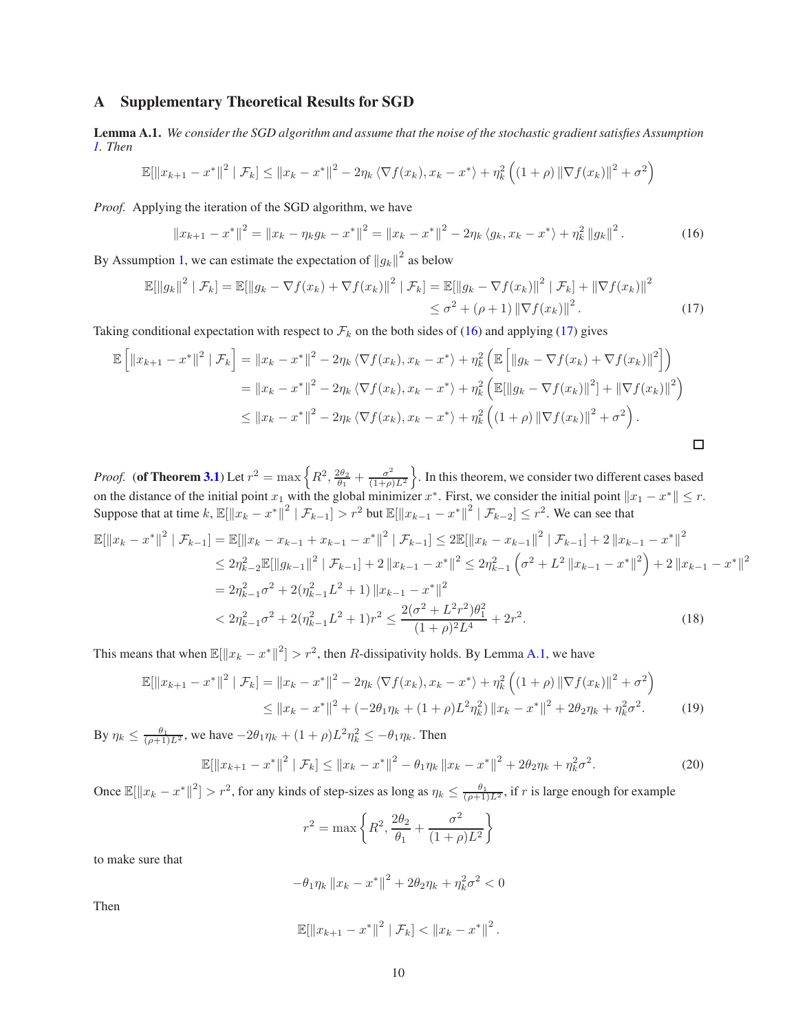# <span id="page-9-0"></span>A Supplementary Theoretical Results for SGD

<span id="page-9-3"></span>Lemma A.1. *We consider the SGD algorithm and assume that the noise of the stochastic gradient satisfies Assumption [1.](#page-2-3) Then*

$$
\mathbb{E}[\|x_{k+1} - x^*\|^2 \mid \mathcal{F}_k] \le \|x_k - x^*\|^2 - 2\eta_k \langle \nabla f(x_k), x_k - x^* \rangle + \eta_k^2 \left( (1 + \rho) \|\nabla f(x_k)\|^2 + \sigma^2 \right)
$$

*Proof.* Applying the iteration of the SGD algorithm, we have

<span id="page-9-2"></span><span id="page-9-1"></span>
$$
||x_{k+1} - x^*||^2 = ||x_k - \eta_k g_k - x^*||^2 = ||x_k - x^*||^2 - 2\eta_k \langle g_k, x_k - x^* \rangle + \eta_k^2 ||g_k||^2.
$$
 (16)

By Assumption [1,](#page-2-3) we can estimate the expectation of  $||g_k||^2$  as below

$$
\mathbb{E}[\|g_k\|^2 \mid \mathcal{F}_k] = \mathbb{E}[\|g_k - \nabla f(x_k) + \nabla f(x_k)\|^2 \mid \mathcal{F}_k] = \mathbb{E}[\|g_k - \nabla f(x_k)\|^2 \mid \mathcal{F}_k] + \|\nabla f(x_k)\|^2
$$
  

$$
\leq \sigma^2 + (\rho + 1) \|\nabla f(x_k)\|^2. \tag{17}
$$

Taking conditional expectation with respect to  $\mathcal{F}_k$  on the both sides of [\(16\)](#page-9-1) and applying [\(17\)](#page-9-2) gives

$$
\mathbb{E}\left[\|x_{k+1} - x^*\|^2 \mid \mathcal{F}_k\right] = \|x_k - x^*\|^2 - 2\eta_k \langle \nabla f(x_k), x_k - x^* \rangle + \eta_k^2 \left(\mathbb{E}\left[\|g_k - \nabla f(x_k) + \nabla f(x_k)\|^2\right]\right) \n= \|x_k - x^*\|^2 - 2\eta_k \langle \nabla f(x_k), x_k - x^* \rangle + \eta_k^2 \left(\mathbb{E}[\|g_k - \nabla f(x_k)\|^2] + \|\nabla f(x_k)\|^2\right) \n\le \|x_k - x^*\|^2 - 2\eta_k \langle \nabla f(x_k), x_k - x^* \rangle + \eta_k^2 \left((1 + \rho) \|\nabla f(x_k)\|^2 + \sigma^2\right).
$$

*Proof.* (of Theorem [3.1](#page-3-0)) Let  $r^2 = \max\left\{R^2, \frac{2\theta_2}{\theta_1} + \frac{\sigma^2}{(1+\rho)}\right\}$  $\left(\frac{\sigma^2}{(1+\rho)L^2}\right)$ . In this theorem, we consider two different cases based on the distance of the initial point  $x_1$  with the global minimizer  $x^*$ . First, we consider the initial point  $||x_1 - x^*|| \le r$ . Suppose that at time k,  $\mathbb{E}[\Vert x_k - x^* \Vert^2 \mid \mathcal{F}_{k-1}] > r^2$  but  $\mathbb{E}[\Vert x_{k-1} - x^* \Vert^2 \mid \mathcal{F}_{k-2}] \leq r^2$ . We can see that

$$
\mathbb{E}[\|x_{k} - x^{*}\|^{2} | \mathcal{F}_{k-1}] = \mathbb{E}[\|x_{k} - x_{k-1} + x_{k-1} - x^{*}\|^{2} | \mathcal{F}_{k-1}] \le 2\mathbb{E}[\|x_{k} - x_{k-1}\|^{2} | \mathcal{F}_{k-1}] + 2\|x_{k-1} - x^{*}\|^{2}
$$
  
\n
$$
\le 2\eta_{k-2}^{2} \mathbb{E}[\|g_{k-1}\|^{2} | \mathcal{F}_{k-1}] + 2\|x_{k-1} - x^{*}\|^{2} \le 2\eta_{k-1}^{2} \left(\sigma^{2} + L^{2} \|x_{k-1} - x^{*}\|^{2}\right) + 2\|x_{k-1} - x^{*}\|^{2}
$$
  
\n
$$
= 2\eta_{k-1}^{2} \sigma^{2} + 2(\eta_{k-1}^{2} L^{2} + 1) \|x_{k-1} - x^{*}\|^{2}
$$
  
\n
$$
< 2\eta_{k-1}^{2} \sigma^{2} + 2(\eta_{k-1}^{2} L^{2} + 1)r^{2} \le \frac{2(\sigma^{2} + L^{2}r^{2})\theta_{1}^{2}}{(1+\rho)^{2}L^{4}} + 2r^{2}.
$$
 (18)

This means that when  $\mathbb{E}[\Vert x_k - x^* \Vert^2] > r^2$ , then R-dissipativity holds. By Lemma [A.1,](#page-9-3) we have

$$
\mathbb{E}[\|x_{k+1} - x^*\|^2 \mid \mathcal{F}_k] = \|x_k - x^*\|^2 - 2\eta_k \langle \nabla f(x_k), x_k - x^* \rangle + \eta_k^2 \left( (1+\rho) \|\nabla f(x_k)\|^2 + \sigma^2 \right)
$$
  
 
$$
\le \|x_k - x^*\|^2 + (-2\theta_1 \eta_k + (1+\rho)L^2 \eta_k^2) \|x_k - x^*\|^2 + 2\theta_2 \eta_k + \eta_k^2 \sigma^2. \tag{19}
$$

By  $\eta_k \le \frac{\theta_1}{(\rho+1)L^2}$ , we have  $-2\theta_1\eta_k + (1+\rho)L^2\eta_k^2 \le -\theta_1\eta_k$ . Then

$$
\mathbb{E}[\|x_{k+1} - x^*\|^2 \mid \mathcal{F}_k] \le \|x_k - x^*\|^2 - \theta_1 \eta_k \, \|x_k - x^*\|^2 + 2\theta_2 \eta_k + \eta_k^2 \sigma^2. \tag{20}
$$

Once  $\mathbb{E}[\|x_k - x^*\|^2] > r^2$ , for any kinds of step-sizes as long as  $\eta_k \leq \frac{\theta_1}{(\rho+1)L^2}$ , if r is large enough for example

$$
r^2 = \max \left\{ R^2, \frac{2\theta_2}{\theta_1} + \frac{\sigma^2}{(1+\rho)L^2} \right\}
$$

to make sure that

$$
-\theta_1 \eta_k \|x_k - x^*\|^2 + 2\theta_2 \eta_k + \eta_k^2 \sigma^2 < 0
$$

Then

$$
\mathbb{E}[\|x_{k+1}-x^*\|^2 \mid \mathcal{F}_k] < \|x_k-x^*\|^2.
$$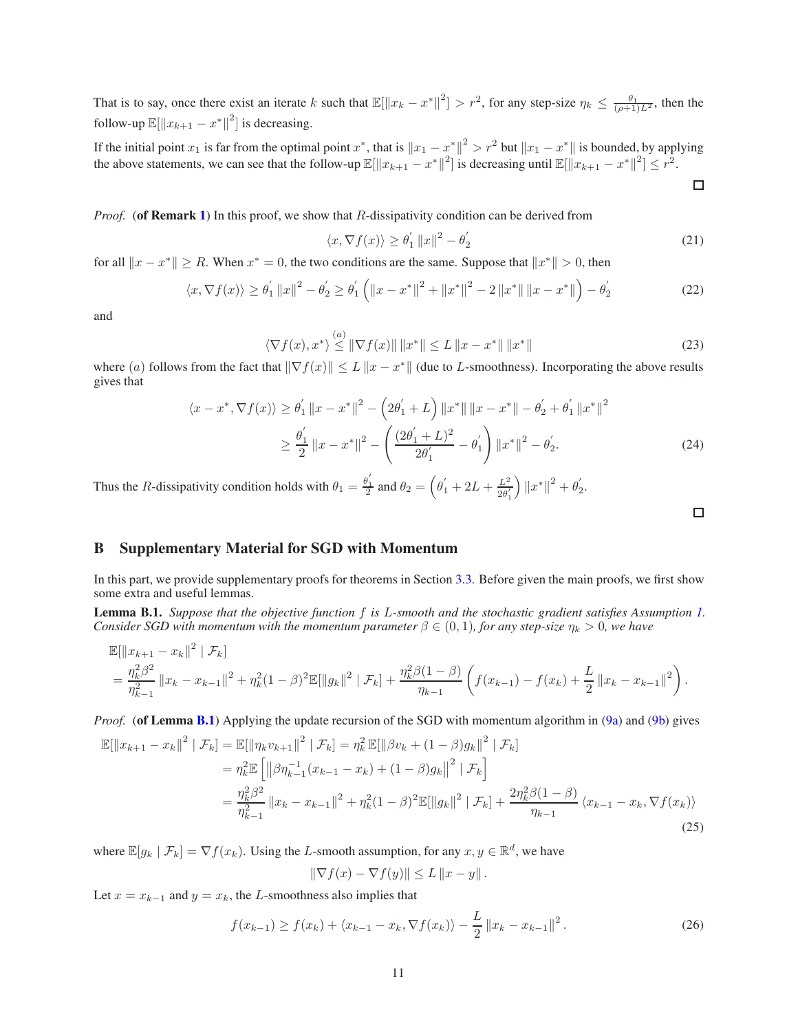That is to say, once there exist an iterate k such that  $\mathbb{E}[\|x_k - x^*\|^2] > r^2$ , for any step-size  $\eta_k \leq \frac{\theta_1}{(\rho+1)L^2}$ , then the follow-up  $\mathbb{E}[\Vert x_{k+1} - x^* \Vert^2]$  is decreasing.

If the initial point  $x_1$  is far from the optimal point  $x^*$ , that is  $||x_1 - x^*||^2 > r^2$  but  $||x_1 - x^*||$  is bounded, by applying the above statements, we can see that the follow-up  $\mathbb{E}[\|x_{k+1} - x^*\|^2]$  is decreasing until  $\mathbb{E}[\|x_{k+1} - x^*\|^2] \leq r^2$ .

$$
\Box
$$

*Proof.* (of **Remark [1](#page-2-5)**) In this proof, we show that R-dissipativity condition can be derived from

$$
\langle x, \nabla f(x) \rangle \ge \theta_1' \|x\|^2 - \theta_2' \tag{21}
$$

for all  $||x - x^*|| \ge R$ . When  $x^* = 0$ , the two conditions are the same. Suppose that  $||x^*|| > 0$ , then

$$
\langle x, \nabla f(x) \rangle \ge \theta_1' \|x\|^2 - \theta_2' \ge \theta_1' \left( \|x - x^*\|^2 + \|x^*\|^2 - 2\|x^*\| \|x - x^*\| \right) - \theta_2' \tag{22}
$$

and

$$
\langle \nabla f(x), x^* \rangle \stackrel{(a)}{\leq} \|\nabla f(x)\| \|x^*\| \leq L \|x - x^*\| \|x^*\|
$$
 (23)

where (a) follows from the fact that  $\|\nabla f(x)\| \le L \|x - x^*\|$  (due to L-smoothness). Incorporating the above results gives that

$$
\langle x - x^*, \nabla f(x) \rangle \ge \theta_1' \|x - x^*\|^2 - \left(2\theta_1' + L\right) \|x^*\| \|x - x^*\| - \theta_2' + \theta_1' \|x^*\|^2
$$
  

$$
\ge \frac{\theta_1'}{2} \|x - x^*\|^2 - \left(\frac{(2\theta_1' + L)^2}{2\theta_1'} - \theta_1'\right) \|x^*\|^2 - \theta_2'.
$$
 (24)

Thus the R-dissipativity condition holds with  $\theta_1 = \frac{\theta'_1}{2}$  and  $\theta_2 = (\theta'_1 + 2L + \frac{L^2}{2\theta'_1})$  $\overline{2\theta'_1}$  $\Big)\left\|x^*\right\|^2+\theta_2'$  $\frac{1}{2}$ .

<span id="page-10-2"></span>

## <span id="page-10-0"></span>B Supplementary Material for SGD with Momentum

In this part, we provide supplementary proofs for theorems in Section [3.3.](#page-4-4) Before given the main proofs, we first show some extra and useful lemmas.

<span id="page-10-1"></span>Lemma B.1. *Suppose that the objective function* f *is* L*-smooth and the stochastic gradient satisfies Assumption [1.](#page-2-3) Consider SGD with momentum with the momentum parameter*  $\beta \in (0, 1)$ *, for any step-size*  $\eta_k > 0$ *, we have* 

$$
\mathbb{E}[\|x_{k+1} - x_k\|^2 | \mathcal{F}_k]
$$
  
=  $\frac{\eta_k^2 \beta^2}{\eta_{k-1}^2} \|x_k - x_{k-1}\|^2 + \eta_k^2 (1 - \beta)^2 \mathbb{E}[\|g_k\|^2 | \mathcal{F}_k] + \frac{\eta_k^2 \beta (1 - \beta)}{\eta_{k-1}} \left( f(x_{k-1}) - f(x_k) + \frac{L}{2} \|x_k - x_{k-1}\|^2 \right).$ 

*Proof.* (of Lemma [B.1](#page-10-1)) Applying the update recursion of the SGD with momentum algorithm in [\(9a\)](#page-4-0) and [\(9b\)](#page-4-1) gives

$$
\mathbb{E}[\|x_{k+1} - x_k\|^2 \mid \mathcal{F}_k] = \mathbb{E}[\|\eta_k v_{k+1}\|^2 \mid \mathcal{F}_k] = \eta_k^2 \mathbb{E}[\|\beta v_k + (1 - \beta)g_k\|^2 \mid \mathcal{F}_k]
$$
  
\n
$$
= \eta_k^2 \mathbb{E}\left[\|\beta \eta_{k-1}^{-1} (x_{k-1} - x_k) + (1 - \beta)g_k\|^2 \mid \mathcal{F}_k\right]
$$
  
\n
$$
= \frac{\eta_k^2 \beta^2}{\eta_{k-1}^2} \|x_k - x_{k-1}\|^2 + \eta_k^2 (1 - \beta)^2 \mathbb{E}[\|g_k\|^2 \mid \mathcal{F}_k] + \frac{2\eta_k^2 \beta (1 - \beta)}{\eta_{k-1}} \langle x_{k-1} - x_k, \nabla f(x_k) \rangle
$$
\n(25)

where  $\mathbb{E}[g_k | \mathcal{F}_k] = \nabla f(x_k)$ . Using the L-smooth assumption, for any  $x, y \in \mathbb{R}^d$ , we have

<span id="page-10-3"></span>
$$
\|\nabla f(x) - \nabla f(y)\| \le L \|x - y\|.
$$

Let  $x = x_{k-1}$  and  $y = x_k$ , the L-smoothness also implies that

$$
f(x_{k-1}) \ge f(x_k) + \langle x_{k-1} - x_k, \nabla f(x_k) \rangle - \frac{L}{2} ||x_k - x_{k-1}||^2.
$$
 (26)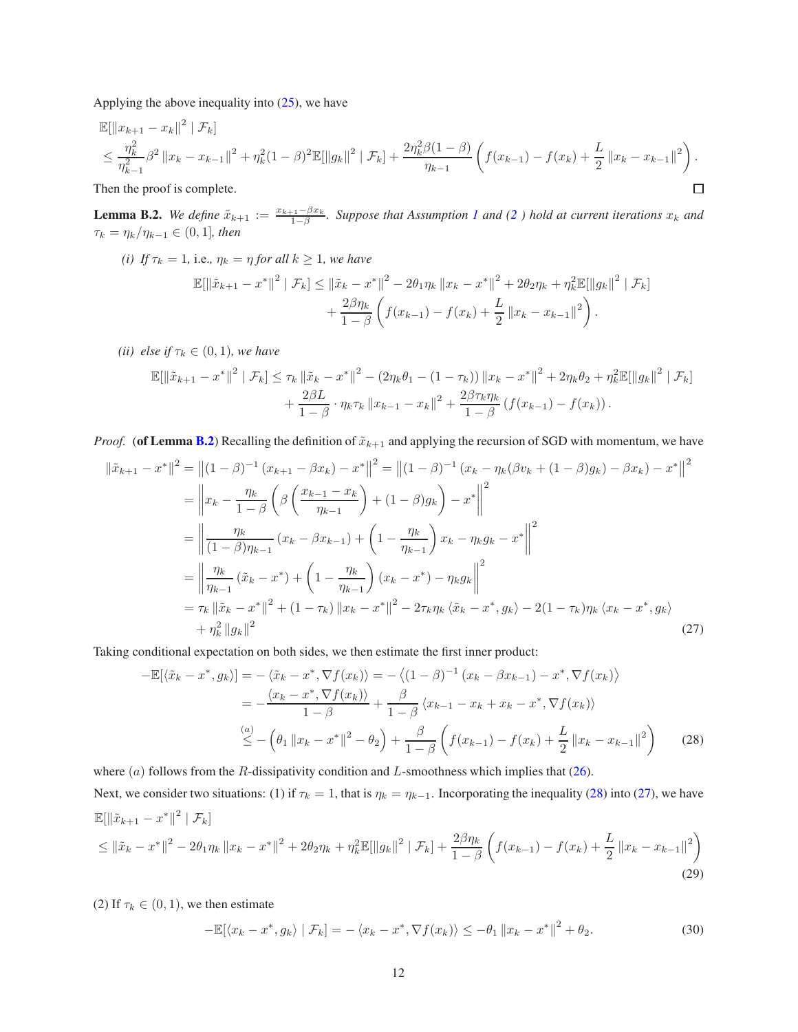Applying the above inequality into [\(25\)](#page-10-2), we have

$$
\mathbb{E}[\|x_{k+1} - x_k\|^2 \mid \mathcal{F}_k]
$$
\n
$$
\leq \frac{\eta_k^2}{\eta_{k-1}^2} \beta^2 \|x_k - x_{k-1}\|^2 + \eta_k^2 (1 - \beta)^2 \mathbb{E}[\|g_k\|^2 \mid \mathcal{F}_k] + \frac{2\eta_k^2 \beta (1 - \beta)}{\eta_{k-1}} \left( f(x_{k-1}) - f(x_k) + \frac{L}{2} \|x_k - x_{k-1}\|^2 \right).
$$
\nThen the proof is complete.

Then the proof is complete.

<span id="page-11-0"></span>**Lemma B.2.** We define  $\tilde{x}_{k+1} := \frac{x_{k+1} - \beta x_k}{1 - \beta}$ 1−β *. Suppose that Assumption [1](#page-2-3) and [\(2](#page-2-1) ) hold at current iterations* x<sup>k</sup> *and*  $\tau_k = \eta_k / \eta_{k-1} \in (0, 1]$ *, then* 

*(i)* If  $\tau_k = 1$ , i.e.,  $\eta_k = \eta$  *for all*  $k \geq 1$ *, we have* 

$$
\mathbb{E}[\|\tilde{x}_{k+1} - x^*\|^2 \mid \mathcal{F}_k] \le \|\tilde{x}_k - x^*\|^2 - 2\theta_1 \eta_k \|x_k - x^*\|^2 + 2\theta_2 \eta_k + \eta_k^2 \mathbb{E}[\|g_k\|^2 \mid \mathcal{F}_k] + \frac{2\beta \eta_k}{1 - \beta} \left(f(x_{k-1}) - f(x_k) + \frac{L}{2} \|x_k - x_{k-1}\|^2\right).
$$

*(ii)* else if  $\tau_k \in (0, 1)$ *, we have* 

$$
\mathbb{E}[\|\tilde{x}_{k+1} - x^*\|^2 \mid \mathcal{F}_k] \le \tau_k \|\tilde{x}_k - x^*\|^2 - (2\eta_k \theta_1 - (1 - \tau_k)) \|x_k - x^*\|^2 + 2\eta_k \theta_2 + \eta_k^2 \mathbb{E}[\|g_k\|^2 \mid \mathcal{F}_k] + \frac{2\beta L}{1 - \beta} \cdot \eta_k \tau_k \|x_{k-1} - x_k\|^2 + \frac{2\beta \tau_k \eta_k}{1 - \beta} (f(x_{k-1}) - f(x_k)).
$$

*Proof.* (of Lemma [B.2](#page-11-0)) Recalling the definition of  $\tilde{x}_{k+1}$  and applying the recursion of SGD with momentum, we have

$$
\|\tilde{x}_{k+1} - x^*\|^2 = \left\|(1-\beta)^{-1}(x_{k+1} - \beta x_k) - x^*\right\|^2 = \left\|(1-\beta)^{-1}(x_k - \eta_k(\beta v_k + (1-\beta)g_k) - \beta x_k) - x^*\right\|^2
$$
  
\n
$$
= \left\|x_k - \frac{\eta_k}{1-\beta}\left(\beta\left(\frac{x_{k-1} - x_k}{\eta_{k-1}}\right) + (1-\beta)g_k\right) - x^*\right\|^2
$$
  
\n
$$
= \left\|\frac{\eta_k}{(1-\beta)\eta_{k-1}}(x_k - \beta x_{k-1}) + \left(1 - \frac{\eta_k}{\eta_{k-1}}\right)x_k - \eta_k g_k - x^*\right\|^2
$$
  
\n
$$
= \left\|\frac{\eta_k}{\eta_{k-1}}(\tilde{x}_k - x^*) + \left(1 - \frac{\eta_k}{\eta_{k-1}}\right)(x_k - x^*) - \eta_k g_k\right\|^2
$$
  
\n
$$
= \tau_k \|\tilde{x}_k - x^*\|^2 + (1 - \tau_k) \|x_k - x^*\|^2 - 2\tau_k \eta_k \langle \tilde{x}_k - x^*, g_k \rangle - 2(1 - \tau_k) \eta_k \langle x_k - x^*, g_k \rangle
$$
  
\n
$$
+ \eta_k^2 \|g_k\|^2
$$
\n(27)

Taking conditional expectation on both sides, we then estimate the first inner product:

<span id="page-11-2"></span>
$$
-\mathbb{E}[\langle \tilde{x}_k - x^*, g_k \rangle] = -\langle \tilde{x}_k - x^*, \nabla f(x_k) \rangle = -\langle (1 - \beta)^{-1} (x_k - \beta x_{k-1}) - x^*, \nabla f(x_k) \rangle
$$
  
\n
$$
= -\frac{\langle x_k - x^*, \nabla f(x_k) \rangle}{1 - \beta} + \frac{\beta}{1 - \beta} \langle x_{k-1} - x_k + x_k - x^*, \nabla f(x_k) \rangle
$$
  
\n
$$
\stackrel{(a)}{\le} - \left( \theta_1 \| x_k - x^* \|^2 - \theta_2 \right) + \frac{\beta}{1 - \beta} \left( f(x_{k-1}) - f(x_k) + \frac{L}{2} \| x_k - x_{k-1} \|^2 \right) \tag{28}
$$

where  $(a)$  follows from the R-dissipativity condition and L-smoothness which implies that [\(26\)](#page-10-3).

Next, we consider two situations: (1) if  $\tau_k = 1$ , that is  $\eta_k = \eta_{k-1}$ . Incorporating the inequality [\(28\)](#page-11-1) into [\(27\)](#page-11-2), we have  $\mathbb{E}[\left\|\tilde{x}_{k+1}-x^*\right\|^2 | \mathcal{F}_k]$ 

$$
\leq \left\|\tilde{x}_{k}-x^{*}\right\|^{2}-2\theta_{1}\eta_{k}\left\|x_{k}-x^{*}\right\|^{2}+2\theta_{2}\eta_{k}+\eta_{k}^{2}\mathbb{E}[\left\|g_{k}\right\|^{2}|\mathcal{F}_{k}]+\frac{2\beta\eta_{k}}{1-\beta}\left(f(x_{k-1})-f(x_{k})+\frac{L}{2}\left\|x_{k}-x_{k-1}\right\|^{2}\right)
$$
\n(29)

(2) If  $\tau_k \in (0,1)$ , we then estimate

<span id="page-11-3"></span><span id="page-11-1"></span>
$$
-\mathbb{E}[\langle x_k - x^*, g_k \rangle \mid \mathcal{F}_k] = -\langle x_k - x^*, \nabla f(x_k) \rangle \le -\theta_1 \|x_k - x^*\|^2 + \theta_2.
$$
\n(30)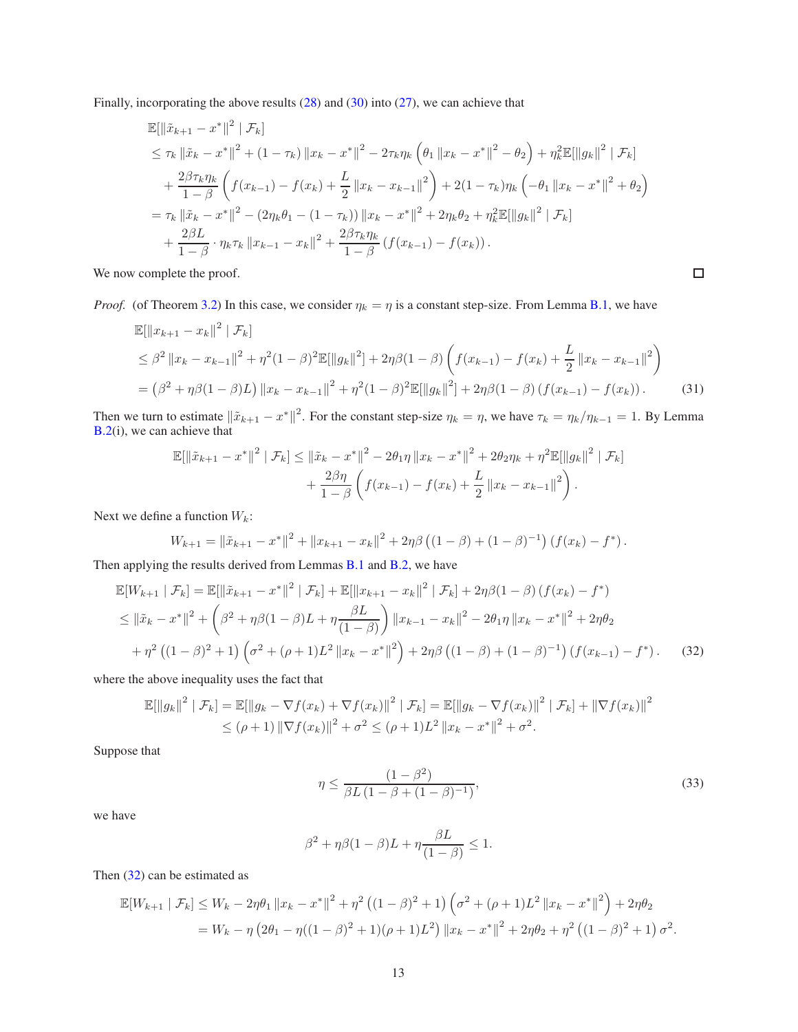Finally, incorporating the above results [\(28\)](#page-11-1) and [\(30\)](#page-11-3) into [\(27\)](#page-11-2), we can achieve that

$$
\mathbb{E}[\|\tilde{x}_{k+1} - x^*\|^2 | \mathcal{F}_k]
$$
\n
$$
\leq \tau_k \|\tilde{x}_k - x^*\|^2 + (1 - \tau_k) \|x_k - x^*\|^2 - 2\tau_k \eta_k \left(\theta_1 \|x_k - x^*\|^2 - \theta_2\right) + \eta_k^2 \mathbb{E}[\|g_k\|^2 | \mathcal{F}_k]
$$
\n
$$
+ \frac{2\beta \tau_k \eta_k}{1 - \beta} \left(f(x_{k-1}) - f(x_k) + \frac{L}{2} \|x_k - x_{k-1}\|^2\right) + 2(1 - \tau_k) \eta_k \left(-\theta_1 \|x_k - x^*\|^2 + \theta_2\right)
$$
\n
$$
= \tau_k \|\tilde{x}_k - x^*\|^2 - (2\eta_k \theta_1 - (1 - \tau_k)) \|x_k - x^*\|^2 + 2\eta_k \theta_2 + \eta_k^2 \mathbb{E}[\|g_k\|^2 | \mathcal{F}_k]
$$
\n
$$
+ \frac{2\beta L}{1 - \beta} \cdot \eta_k \tau_k \|x_{k-1} - x_k\|^2 + \frac{2\beta \tau_k \eta_k}{1 - \beta} \left(f(x_{k-1}) - f(x_k)\right).
$$

We now complete the proof.

*Proof.* (of Theorem [3.2\)](#page-4-2) In this case, we consider  $\eta_k = \eta$  is a constant step-size. From Lemma [B.1,](#page-10-1) we have

$$
\mathbb{E}[\|x_{k+1} - x_k\|^2 | \mathcal{F}_k]
$$
\n
$$
\leq \beta^2 \|x_k - x_{k-1}\|^2 + \eta^2 (1 - \beta)^2 \mathbb{E}[\|g_k\|^2] + 2\eta\beta (1 - \beta) \left( f(x_{k-1}) - f(x_k) + \frac{L}{2} \|x_k - x_{k-1}\|^2 \right)
$$
\n
$$
= (\beta^2 + \eta\beta (1 - \beta)L) \|x_k - x_{k-1}\|^2 + \eta^2 (1 - \beta)^2 \mathbb{E}[\|g_k\|^2] + 2\eta\beta (1 - \beta) \left( f(x_{k-1}) - f(x_k) \right). \tag{31}
$$

Then we turn to estimate  $\|\tilde{x}_{k+1} - x^*\|^2$ . For the constant step-size  $\eta_k = \eta$ , we have  $\tau_k = \eta_k/\eta_{k-1} = 1$ . By Lemma [B.2\(](#page-11-0)i), we can achieve that

$$
\mathbb{E}[\|\tilde{x}_{k+1} - x^*\|^2 | \mathcal{F}_k] \le \|\tilde{x}_k - x^*\|^2 - 2\theta_1 \eta \|x_k - x^*\|^2 + 2\theta_2 \eta_k + \eta^2 \mathbb{E}[\|g_k\|^2 | \mathcal{F}_k] + \frac{2\beta\eta}{1-\beta} \left(f(x_{k-1}) - f(x_k) + \frac{L}{2} \|x_k - x_{k-1}\|^2\right).
$$

Next we define a function  $W_k$ :

$$
W_{k+1} = \|\tilde{x}_{k+1} - x^*\|^2 + \|x_{k+1} - x_k\|^2 + 2\eta\beta \left( (1 - \beta) + (1 - \beta)^{-1} \right) \left( f(x_k) - f^* \right).
$$

Then applying the results derived from Lemmas [B.1](#page-10-1) and [B.2,](#page-11-0) we have

$$
\mathbb{E}[W_{k+1} | \mathcal{F}_k] = \mathbb{E}[\|\tilde{x}_{k+1} - x^*\|^2 | \mathcal{F}_k] + \mathbb{E}[\|x_{k+1} - x_k\|^2 | \mathcal{F}_k] + 2\eta\beta(1-\beta)(f(x_k) - f^*)
$$
  
\n
$$
\leq \|\tilde{x}_k - x^*\|^2 + \left(\beta^2 + \eta\beta(1-\beta)L + \eta\frac{\beta L}{(1-\beta)}\right) \|x_{k-1} - x_k\|^2 - 2\theta_1\eta \|x_k - x^*\|^2 + 2\eta\theta_2
$$
  
\n
$$
+ \eta^2 ((1-\beta)^2 + 1) \left(\sigma^2 + (\rho+1)L^2 \|x_k - x^*\|^2\right) + 2\eta\beta ((1-\beta) + (1-\beta)^{-1}) (f(x_{k-1}) - f^*).
$$
 (32)

where the above inequality uses the fact that

$$
\mathbb{E}[\|g_k\|^2 \mid \mathcal{F}_k] = \mathbb{E}[\|g_k - \nabla f(x_k) + \nabla f(x_k)\|^2 \mid \mathcal{F}_k] = \mathbb{E}[\|g_k - \nabla f(x_k)\|^2 \mid \mathcal{F}_k] + \|\nabla f(x_k)\|^2
$$
  
\n
$$
\leq (\rho + 1) \|\nabla f(x_k)\|^2 + \sigma^2 \leq (\rho + 1)L^2 \|x_k - x^*\|^2 + \sigma^2.
$$

Suppose that

$$
\eta \le \frac{(1 - \beta^2)}{\beta L (1 - \beta + (1 - \beta)^{-1})},\tag{33}
$$

<span id="page-12-0"></span> $\Box$ 

we have

$$
\beta^2 + \eta \beta (1 - \beta)L + \eta \frac{\beta L}{(1 - \beta)} \le 1.
$$

Then [\(32\)](#page-12-0) can be estimated as

$$
\mathbb{E}[W_{k+1} | \mathcal{F}_k] \le W_k - 2\eta \theta_1 \|x_k - x^*\|^2 + \eta^2 \left( (1-\beta)^2 + 1 \right) \left( \sigma^2 + (\rho+1)L^2 \|x_k - x^*\|^2 \right) + 2\eta \theta_2
$$
  
=  $W_k - \eta \left( 2\theta_1 - \eta ((1-\beta)^2 + 1)(\rho+1)L^2 \right) \|x_k - x^*\|^2 + 2\eta \theta_2 + \eta^2 \left( (1-\beta)^2 + 1 \right) \sigma^2.$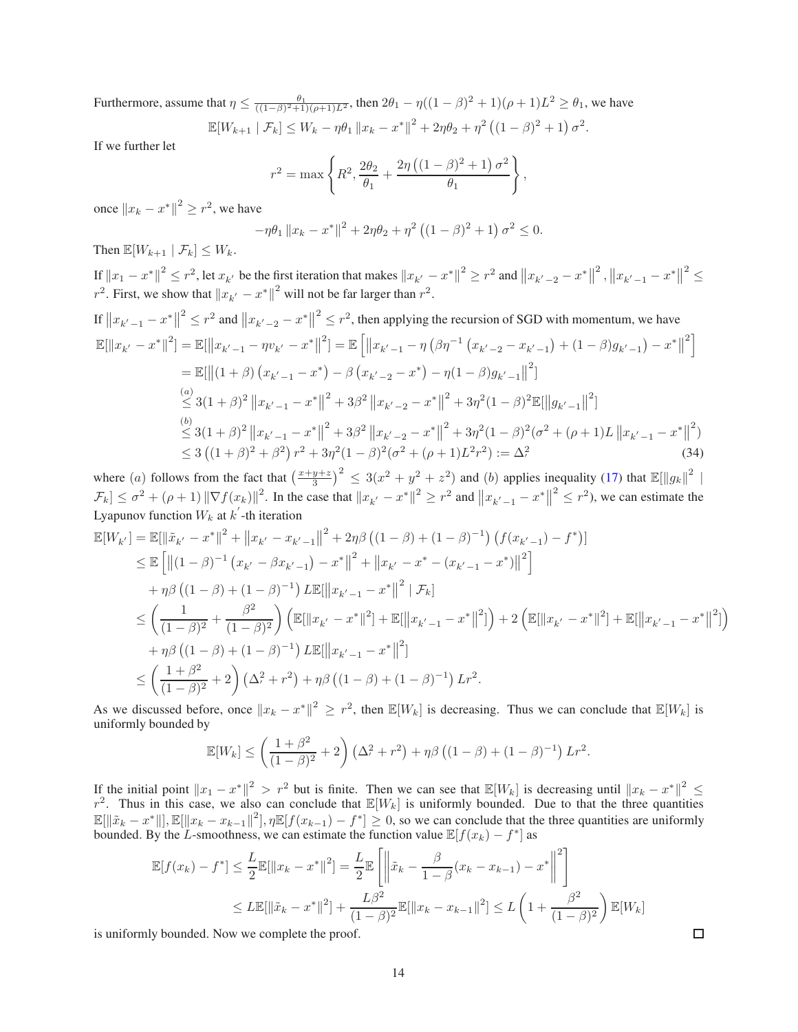Furthermore, assume that  $\eta \leq \frac{\theta_1}{((1-\beta)^2+1)(\rho+1)L^2}$ , then  $2\theta_1 - \eta((1-\beta)^2+1)(\rho+1)L^2 \geq \theta_1$ , we have

$$
\mathbb{E}[W_{k+1} | \mathcal{F}_k] \le W_k - \eta \theta_1 \|x_k - x^*\|^2 + 2\eta \theta_2 + \eta^2 ((1 - \beta)^2 + 1) \sigma^2.
$$

If we further let

$$
r^{2} = \max \left\{ R^{2}, \frac{2\theta_{2}}{\theta_{1}} + \frac{2\eta \left( (1 - \beta)^{2} + 1 \right) \sigma^{2}}{\theta_{1}} \right\},\,
$$

once  $||x_k - x^*||^2 \ge r^2$ , we have

$$
-\eta \theta_1 \|x_k - x^*\|^2 + 2\eta \theta_2 + \eta^2 \left( (1 - \beta)^2 + 1 \right) \sigma^2 \le 0.
$$

Then  $\mathbb{E}[W_{k+1} | \mathcal{F}_k] \leq W_k$ .

If  $||x_1 - x^*||^2 \le r^2$ , let  $x_{k'}$  be the first iteration that makes  $||x_{k'} - x^*||^2 \ge r^2$  and  $||x_{k'-2} - x^*||$ <sup>2</sup>,  $||x_{k'-1} - x^*||$  $2\leq$  $r^2$ . First, we show that  $||x_{k'} - x^*||^2$  will not be far larger than  $r^2$ .

If 
$$
||x_{k'-1} - x^*||^2 \le r^2
$$
 and  $||x_{k'-2} - x^*||^2 \le r^2$ , then applying the recursion of SGD with momentum, we have  
\n
$$
\mathbb{E}[||x_{k'} - x^*||^2] = \mathbb{E}[||x_{k'-1} - \eta v_{k'} - x^*||^2] = \mathbb{E}[||x_{k'-1} - \eta (\beta \eta^{-1} (x_{k'-2} - x_{k'-1}) + (1 - \beta)g_{k'-1}) - x^*||^2]
$$
\n
$$
= \mathbb{E}[||(1 + \beta) (x_{k'-1} - x^*) - \beta (x_{k'-2} - x^*) - \eta (1 - \beta)g_{k'-1}||^2]
$$
\n
$$
\stackrel{(a)}{\le} 3(1 + \beta)^2 ||x_{k'-1} - x^*||^2 + 3\beta^2 ||x_{k'-2} - x^*||^2 + 3\eta^2 (1 - \beta)^2 \mathbb{E}[||g_{k'-1}||^2]
$$
\n
$$
\stackrel{(b)}{\le} 3(1 + \beta)^2 ||x_{k'-1} - x^*||^2 + 3\beta^2 ||x_{k'-2} - x^*||^2 + 3\eta^2 (1 - \beta)^2 (\sigma^2 + (\rho + 1)L ||x_{k'-1} - x^*||^2)
$$
\n
$$
\leq 3 ((1 + \beta)^2 + \beta^2) r^2 + 3\eta^2 (1 - \beta)^2 (\sigma^2 + (\rho + 1)L^2 r^2) := \Delta^2,
$$
\n(34)

where (a) follows from the fact that  $\left(\frac{x+y+z}{3}\right)^2 \leq 3(x^2+y^2+z^2)$  and (b) applies inequality [\(17\)](#page-9-2) that  $\mathbb{E}[\Vert g_k \Vert^2 \vert]$  $\mathcal{F}_k] \leq \sigma^2 + (\rho + 1) \|\nabla f(x_k)\|^2$ . In the case that  $\|x_{k'} - x^*\|^2 \geq r^2$  and  $\|x_{k'-1} - x^*\|$  $2 \leq r^2$ ), we can estimate the Lyapunov function  $W_k$  at  $k'$ -th iteration

$$
\mathbb{E}[W_{k'}] = \mathbb{E}[\|\tilde{x}_{k'} - x^*\|^2 + \|x_{k'} - x_{k'-1}\|^2 + 2\eta\beta \left((1-\beta) + (1-\beta)^{-1}\right) \left(f(x_{k'-1}) - f^*\right)]
$$
\n
$$
\leq \mathbb{E}\left[\|(1-\beta)^{-1}\left(x_{k'} - \beta x_{k'-1}\right) - x^*\|^2 + \|x_{k'} - x^* - (x_{k'-1} - x^*)\|^2\right]
$$
\n
$$
+ \eta\beta \left((1-\beta) + (1-\beta)^{-1}\right) L\mathbb{E}[\|x_{k'-1} - x^*\|^2 \mid \mathcal{F}_k]
$$
\n
$$
\leq \left(\frac{1}{(1-\beta)^2} + \frac{\beta^2}{(1-\beta)^2}\right) \left(\mathbb{E}[\|x_{k'} - x^*\|^2] + \mathbb{E}[\|x_{k'-1} - x^*\|^2]\right) + 2\left(\mathbb{E}[\|x_{k'} - x^*\|^2] + \mathbb{E}[\|x_{k'-1} - x^*\|^2]\right)
$$
\n
$$
+ \eta\beta \left((1-\beta) + (1-\beta)^{-1}\right) L\mathbb{E}[\|x_{k'-1} - x^*\|^2]
$$
\n
$$
\leq \left(\frac{1+\beta^2}{(1-\beta)^2} + 2\right) \left(\Delta^2 + r^2\right) + \eta\beta \left((1-\beta) + (1-\beta)^{-1}\right) Lr^2.
$$

As we discussed before, once  $||x_k - x^*||^2 \ge r^2$ , then  $\mathbb{E}[W_k]$  is decreasing. Thus we can conclude that  $\mathbb{E}[W_k]$  is uniformly bounded by

$$
\mathbb{E}[W_k] \le \left(\frac{1+\beta^2}{(1-\beta)^2} + 2\right) \left(\Delta^2 + r^2\right) + \eta \beta \left((1-\beta) + (1-\beta)^{-1}\right) Lr^2.
$$

If the initial point  $||x_1 - x^*||^2 > r^2$  but is finite. Then we can see that  $\mathbb{E}[W_k]$  is decreasing until  $||x_k - x^*||^2 \le r^2$ . Thus in this case, we also can conclude that  $\mathbb{E}[W_k]$  is uniformly bounded. Due to that the  $\mathbb{E}[\|\tilde{x}_k - x^*\|], \mathbb{E}[\|x_k - x_{k-1}\|^2], \eta \mathbb{E}[f(x_{k-1}) - f^*] \ge 0$ , so we can conclude that the three quantities are uniformly bounded. By the L-smoothness, we can estimate the function value  $\mathbb{E}[f(x_k) - f^*]$  as

$$
\mathbb{E}[f(x_k) - f^*] \le \frac{L}{2} \mathbb{E}[\|x_k - x^*\|^2] = \frac{L}{2} \mathbb{E}\left[\left\|\tilde{x}_k - \frac{\beta}{1 - \beta}(x_k - x_{k-1}) - x^*\right\|^2\right]
$$
  

$$
\le L \mathbb{E}[\|\tilde{x}_k - x^*\|^2] + \frac{L\beta^2}{(1 - \beta)^2} \mathbb{E}[\|x_k - x_{k-1}\|^2] \le L \left(1 + \frac{\beta^2}{(1 - \beta)^2}\right) \mathbb{E}[W_k]
$$

is uniformly bounded. Now we complete the proof.

 $\Box$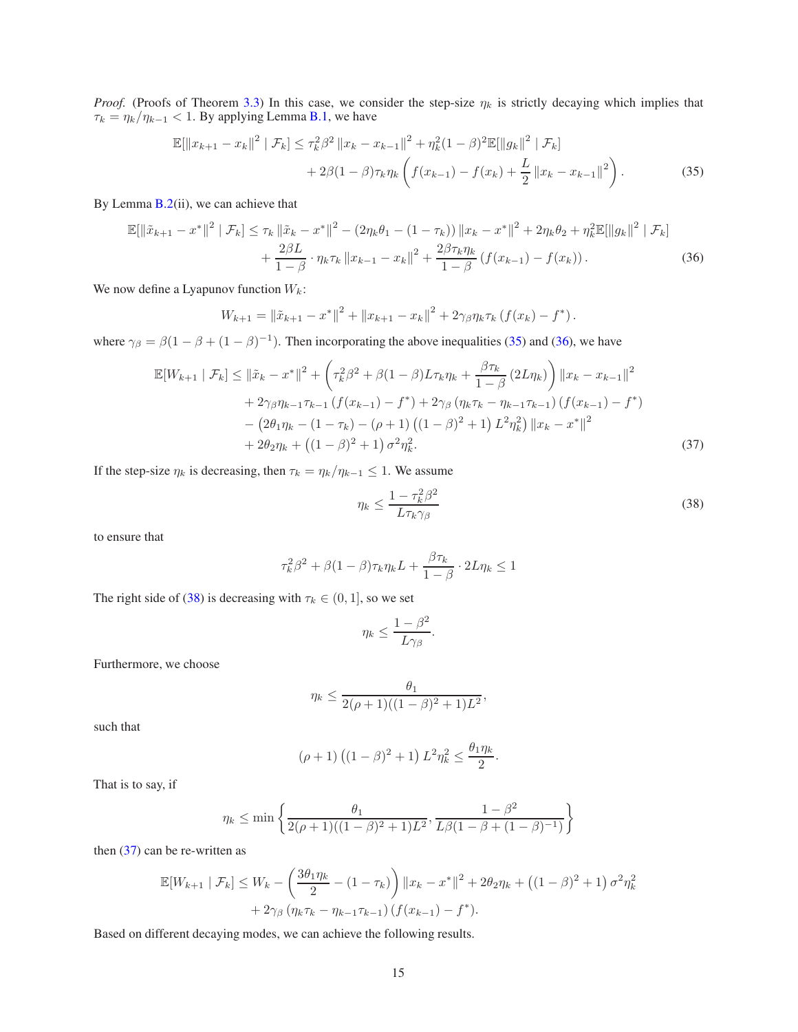*Proof.* (Proofs of Theorem [3.3\)](#page-4-3) In this case, we consider the step-size  $\eta_k$  is strictly decaying which implies that  $\tau_k = \eta_k / \eta_{k-1} < 1$ . By applying Lemma [B.1,](#page-10-1) we have

$$
\mathbb{E}[\|x_{k+1} - x_k\|^2 \mid \mathcal{F}_k] \le \tau_k^2 \beta^2 \|x_k - x_{k-1}\|^2 + \eta_k^2 (1 - \beta)^2 \mathbb{E}[\|g_k\|^2 \mid \mathcal{F}_k] + 2\beta (1 - \beta)\tau_k \eta_k \left(f(x_{k-1}) - f(x_k) + \frac{L}{2} \|x_k - x_{k-1}\|^2\right).
$$
 (35)

By Lemma [B.2\(](#page-11-0)ii), we can achieve that

$$
\mathbb{E}[\|\tilde{x}_{k+1} - x^*\|^2 \mid \mathcal{F}_k] \le \tau_k \|\tilde{x}_k - x^*\|^2 - (2\eta_k \theta_1 - (1 - \tau_k)) \|x_k - x^*\|^2 + 2\eta_k \theta_2 + \eta_k^2 \mathbb{E}[\|g_k\|^2 \mid \mathcal{F}_k] + \frac{2\beta L}{1 - \beta} \cdot \eta_k \tau_k \|x_{k-1} - x_k\|^2 + \frac{2\beta \tau_k \eta_k}{1 - \beta} (f(x_{k-1}) - f(x_k)).
$$
 (36)

We now define a Lyapunov function  $W_k$ :

$$
W_{k+1} = ||\tilde{x}_{k+1} - x^*||^2 + ||x_{k+1} - x_k||^2 + 2\gamma_\beta \eta_k \tau_k (f(x_k) - f^*).
$$

where  $\gamma_{\beta} = \beta(1 - \beta + (1 - \beta)^{-1})$ . Then incorporating the above inequalities [\(35\)](#page-14-0) and [\(36\)](#page-14-1), we have

$$
\mathbb{E}[W_{k+1} | \mathcal{F}_k] \le ||\tilde{x}_k - x^*||^2 + \left(\tau_k^2 \beta^2 + \beta(1-\beta)L\tau_k \eta_k + \frac{\beta \tau_k}{1-\beta}(2L\eta_k)\right) ||x_k - x_{k-1}||^2 + 2\gamma_\beta \eta_{k-1}\tau_{k-1}\left(f(x_{k-1}) - f^*\right) + 2\gamma_\beta \left(\eta_k \tau_k - \eta_{k-1}\tau_{k-1}\right)\left(f(x_{k-1}) - f^*\right) - \left(2\theta_1 \eta_k - (1 - \tau_k) - (\rho + 1)\left((1 - \beta)^2 + 1\right)L^2 \eta_k^2\right) ||x_k - x^*||^2 + 2\theta_2 \eta_k + \left((1 - \beta)^2 + 1\right)\sigma^2 \eta_k^2.
$$
\n(37)

If the step-size  $\eta_k$  is decreasing, then  $\tau_k = \eta_k/\eta_{k-1} \leq 1$ . We assume

<span id="page-14-3"></span><span id="page-14-2"></span><span id="page-14-1"></span><span id="page-14-0"></span>
$$
\eta_k \le \frac{1 - \tau_k^2 \beta^2}{L \tau_k \gamma_\beta} \tag{38}
$$

to ensure that

$$
\tau_k^2 \beta^2 + \beta (1 - \beta) \tau_k \eta_k L + \frac{\beta \tau_k}{1 - \beta} \cdot 2L \eta_k \le 1
$$

The right side of [\(38\)](#page-14-2) is decreasing with  $\tau_k \in (0, 1]$ , so we set

$$
\eta_k \le \frac{1-\beta^2}{L\gamma_\beta}.
$$

Furthermore, we choose

$$
\eta_k \le \frac{\theta_1}{2(\rho+1)((1-\beta)^2+1)L^2},
$$

such that

$$
(\rho + 1) ((1 - \beta)^2 + 1) L^2 \eta_k^2 \le \frac{\theta_1 \eta_k}{2}.
$$

That is to say, if

$$
\eta_k \le \min\left\{\frac{\theta_1}{2(\rho+1)((1-\beta)^2+1)L^2}, \frac{1-\beta^2}{L\beta(1-\beta+(1-\beta)^{-1})}\right\}
$$

then  $(37)$  can be re-written as

$$
\mathbb{E}[W_{k+1} | \mathcal{F}_k] \le W_k - \left(\frac{3\theta_1 \eta_k}{2} - (1 - \tau_k)\right) \|x_k - x^*\|^2 + 2\theta_2 \eta_k + \left((1 - \beta)^2 + 1\right)\sigma^2 \eta_k^2 + 2\gamma_\beta \left(\eta_k \tau_k - \eta_{k-1} \tau_{k-1}\right) \left(f(x_{k-1}) - f^*\right).
$$

Based on different decaying modes, we can achieve the following results.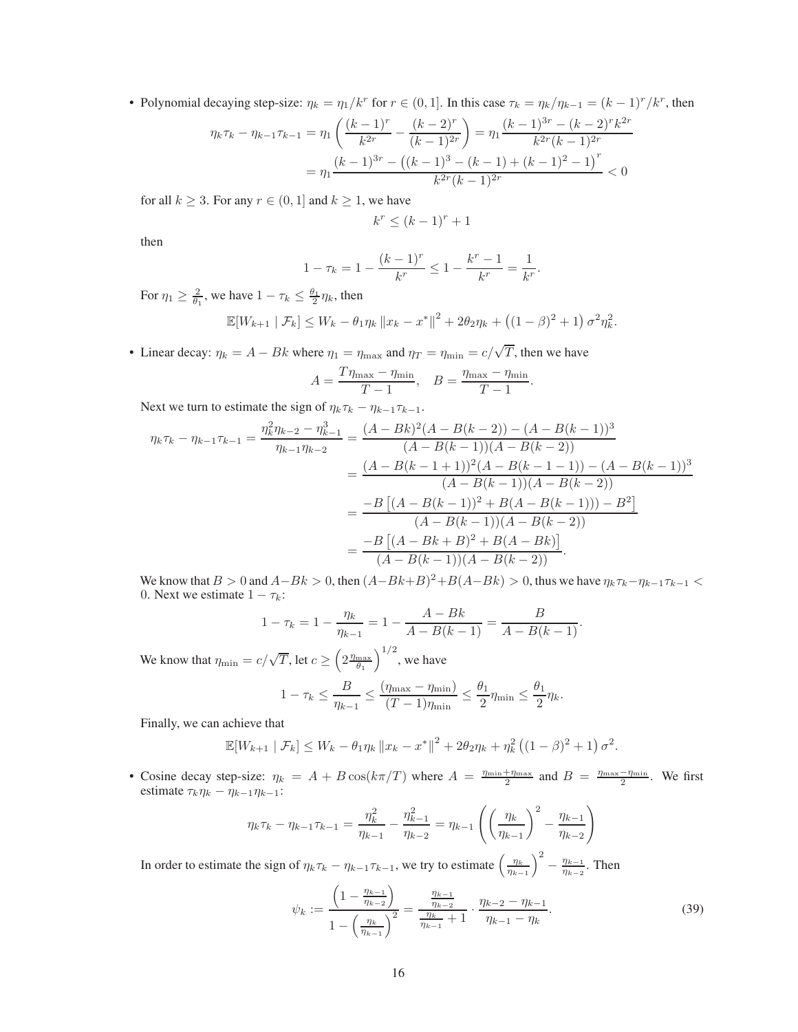• Polynomial decaying step-size:  $\eta_k = \eta_1/k^r$  for  $r \in (0, 1]$ . In this case  $\tau_k = \eta_k/\eta_{k-1} = (k-1)^r/k^r$ , then

$$
\eta_k \tau_k - \eta_{k-1} \tau_{k-1} = \eta_1 \left( \frac{(k-1)^r}{k^{2r}} - \frac{(k-2)^r}{(k-1)^{2r}} \right) = \eta_1 \frac{(k-1)^{3r} - (k-2)^r k^{2r}}{k^{2r}(k-1)^{2r}}
$$

$$
= \eta_1 \frac{(k-1)^{3r} - ((k-1)^3 - (k-1) + (k-1)^2 - 1)^r}{k^{2r}(k-1)^{2r}} < 0
$$

for all  $k \geq 3$ . For any  $r \in (0, 1]$  and  $k \geq 1$ , we have

$$
k^r \le (k-1)^r + 1
$$

then

$$
1 - \tau_k = 1 - \frac{(k-1)^r}{k^r} \le 1 - \frac{k^r - 1}{k^r} = \frac{1}{k^r}.
$$

For  $\eta_1 \ge \frac{2}{\theta_1}$ , we have  $1 - \tau_k \le \frac{\theta_1}{2} \eta_k$ , then

$$
\mathbb{E}[W_{k+1} | \mathcal{F}_k] \le W_k - \theta_1 \eta_k \|x_k - x^*\|^2 + 2\theta_2 \eta_k + ((1 - \beta)^2 + 1) \sigma^2 \eta_k^2.
$$

• Linear decay:  $\eta_k = A - Bk$  where  $\eta_1 = \eta_{\text{max}}$  and  $\eta_T = \eta_{\text{min}} = c/\sqrt{T}$ , then we have

$$
A = \frac{T\eta_{\text{max}} - \eta_{\text{min}}}{T - 1}, \quad B = \frac{\eta_{\text{max}} - \eta_{\text{min}}}{T - 1}.
$$

Next we turn to estimate the sign of  $\eta_k \tau_k - \eta_{k-1} \tau_{k-1}$ .

$$
\eta_k \tau_k - \eta_{k-1} \tau_{k-1} = \frac{\eta_k^2 \eta_{k-2} - \eta_{k-1}^3}{\eta_{k-1} \eta_{k-2}} = \frac{(A - Bk)^2 (A - B(k-2)) - (A - B(k-1))^3}{(A - B(k-1))(A - B(k-2))}
$$

$$
= \frac{(A - B(k-1+1))^2 (A - B(k-1-1)) - (A - B(k-1))^3}{(A - B(k-1))(A - B(k-2))}
$$

$$
= \frac{-B [(A - B(k-1))^2 + B(A - B(k-1)) - B^2]}{(A - B(k-1))(A - B(k-2))}
$$

$$
= \frac{-B [(A - Bk + B)^2 + B(A - Bk)]}{(A - B(k-1))(A - B(k-2))}.
$$

We know that  $B > 0$  and  $A-Bk > 0$ , then  $(A-Bk+B)^2+B(A-Bk) > 0$ , thus we have  $\eta_k \tau_k - \eta_{k-1} \tau_{k-1} <$ 0. Next we estimate  $1 - \tau_k$ :

$$
1 - \tau_k = 1 - \frac{\eta_k}{\eta_{k-1}} = 1 - \frac{A - Bk}{A - B(k-1)} = \frac{B}{A - B(k-1)}.
$$

We know that  $\eta_{\min} = c/\sqrt{T}$ , let  $c \geq \left(2 \frac{\eta_{\max}}{\theta_1}\right)^{1/2}$ , we have

$$
1 - \tau_k \le \frac{B}{\eta_{k-1}} \le \frac{(\eta_{\max} - \eta_{\min})}{(T-1)\eta_{\min}} \le \frac{\theta_1}{2}\eta_{\min} \le \frac{\theta_1}{2}\eta_k.
$$

Finally, we can achieve that

$$
\mathbb{E}[W_{k+1} | \mathcal{F}_k] \le W_k - \theta_1 \eta_k \|x_k - x^*\|^2 + 2\theta_2 \eta_k + \eta_k^2 \left( (1 - \beta)^2 + 1 \right) \sigma^2.
$$

• Cosine decay step-size:  $\eta_k = A + B \cos(k\pi/T)$  where  $A = \frac{\eta_{\min} + \eta_{\max}}{2}$  and  $B = \frac{\eta_{\max} - \eta_{\min}}{2}$ . We first estimate  $\tau_k \eta_k - \eta_{k-1} \eta_{k-1}$ :

$$
\eta_k \tau_k - \eta_{k-1} \tau_{k-1} = \frac{\eta_k^2}{\eta_{k-1}} - \frac{\eta_{k-1}^2}{\eta_{k-2}} = \eta_{k-1} \left( \left( \frac{\eta_k}{\eta_{k-1}} \right)^2 - \frac{\eta_{k-1}}{\eta_{k-2}} \right)
$$

In order to estimate the sign of  $\eta_k \tau_k - \eta_{k-1} \tau_{k-1}$ , we try to estimate  $\left(\frac{\eta_k}{\eta_{k-1}}\right)^2 - \frac{\eta_{k-1}}{\eta_{k-2}}$  $\frac{\eta_{k-1}}{\eta_{k-2}}$ . Then  $\mathcal{L}$ 

<span id="page-15-0"></span>
$$
\psi_k := \frac{\left(1 - \frac{\eta_{k-1}}{\eta_{k-2}}\right)}{1 - \left(\frac{\eta_k}{\eta_{k-1}}\right)^2} = \frac{\frac{\eta_{k-1}}{\eta_{k-2}}}{\frac{\eta_k}{\eta_{k-1}} + 1} \cdot \frac{\eta_{k-2} - \eta_{k-1}}{\eta_{k-1} - \eta_k}.
$$
\n(39)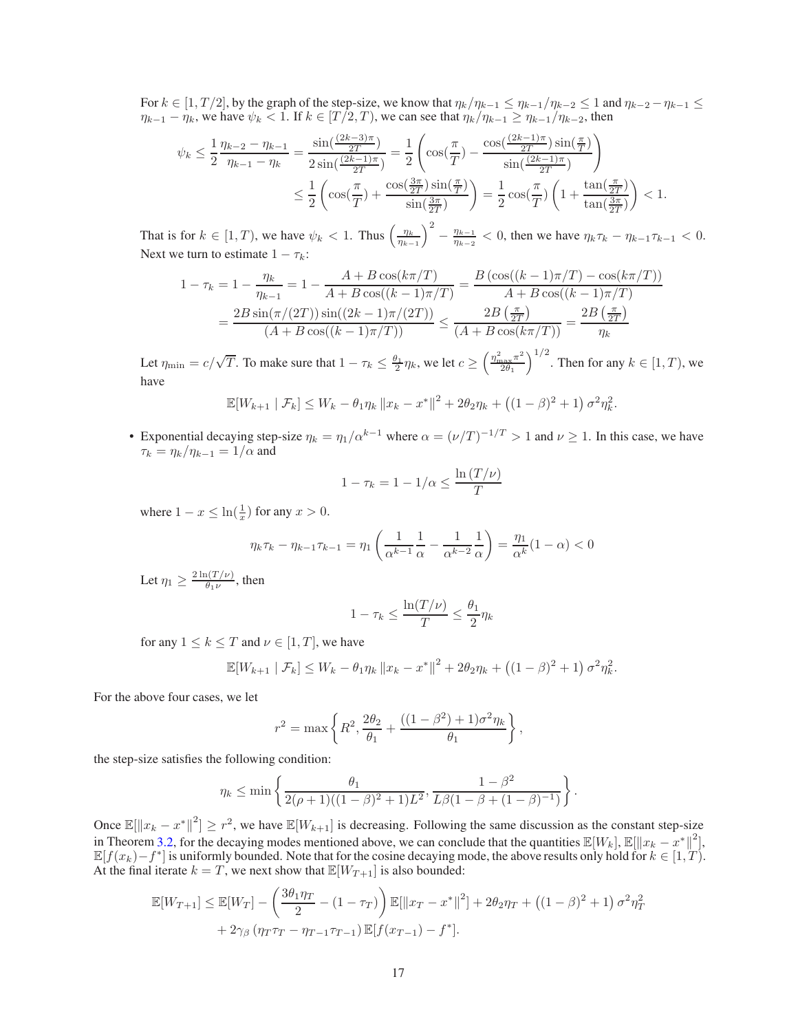For  $k \in [1, T/2]$ , by the graph of the step-size, we know that  $\eta_k/\eta_{k-1} \leq \eta_{k-1}/\eta_{k-2} \leq 1$  and  $\eta_{k-2} - \eta_{k-1} \leq$  $\eta_{k-1} - \eta_k$ , we have  $\psi_k < 1$ . If  $k \in [T/2, T)$ , we can see that  $\eta_k / \eta_{k-1} \ge \eta_{k-1} / \eta_{k-2}$ , then

$$
\psi_k \le \frac{1}{2} \frac{\eta_{k-2} - \eta_{k-1}}{\eta_{k-1} - \eta_k} = \frac{\sin(\frac{(2k-3)\pi}{2T})}{2\sin(\frac{(2k-1)\pi}{2T})} = \frac{1}{2} \left( \cos(\frac{\pi}{T}) - \frac{\cos(\frac{(2k-1)\pi}{2T})\sin(\frac{\pi}{T})}{\sin(\frac{(2k-1)\pi}{2T})} \right)
$$

$$
\le \frac{1}{2} \left( \cos(\frac{\pi}{T}) + \frac{\cos(\frac{3\pi}{2T})\sin(\frac{\pi}{T})}{\sin(\frac{3\pi}{2T})} \right) = \frac{1}{2} \cos(\frac{\pi}{T}) \left( 1 + \frac{\tan(\frac{\pi}{2T})}{\tan(\frac{3\pi}{2T})} \right) < 1.
$$

That is for  $k \in [1, T)$ , we have  $\psi_k < 1$ . Thus  $\left(\frac{\eta_k}{\eta_{k-1}}\right)^2 - \frac{\eta_{k-1}}{\eta_{k-2}}$  $\frac{\eta_{k-1}}{\eta_{k-2}}$  < 0, then we have  $\eta_k \tau_k - \eta_{k-1} \tau_{k-1}$  < 0. Next we turn to estimate  $1 - \tau_k$ :

$$
1 - \tau_k = 1 - \frac{\eta_k}{\eta_{k-1}} = 1 - \frac{A + B \cos(k\pi/T)}{A + B \cos((k-1)\pi/T)} = \frac{B \left(\cos((k-1)\pi/T) - \cos(k\pi/T)\right)}{A + B \cos((k-1)\pi/T)}
$$
  
= 
$$
\frac{2B \sin(\pi/(2T)) \sin((2k-1)\pi/(2T))}{(A + B \cos((k-1)\pi/T))} \le \frac{2B\left(\frac{\pi}{2T}\right)}{(A + B \cos(k\pi/T))} = \frac{2B\left(\frac{\pi}{2T}\right)}{\eta_k}
$$

Let  $\eta_{\min} = c/\sqrt{T}$ . To make sure that  $1 - \tau_k \leq \frac{\theta_1}{2} \eta_k$ , we let  $c \geq \left(\frac{\eta_{\max}^2 \pi^2}{2\theta_1}\right)$  $\left(\frac{2}{2\theta_1}\right)^{1/2}$ . Then for any  $k \in [1, T)$ , we have

$$
\mathbb{E}[W_{k+1} | \mathcal{F}_k] \le W_k - \theta_1 \eta_k \|x_k - x^*\|^2 + 2\theta_2 \eta_k + ((1 - \beta)^2 + 1) \sigma^2 \eta_k^2.
$$

• Exponential decaying step-size  $\eta_k = \eta_1/\alpha^{k-1}$  where  $\alpha = (\nu/T)^{-1/T} > 1$  and  $\nu \ge 1$ . In this case, we have  $\tau_k = \eta_k/\eta_{k-1} = 1/\alpha$  and

$$
1 - \tau_k = 1 - 1/\alpha \le \frac{\ln(T/\nu)}{T}
$$

where  $1 - x \leq \ln(\frac{1}{x})$  for any  $x > 0$ .

$$
\eta_k \tau_k - \eta_{k-1} \tau_{k-1} = \eta_1 \left( \frac{1}{\alpha^{k-1}} \frac{1}{\alpha} - \frac{1}{\alpha^{k-2}} \frac{1}{\alpha} \right) = \frac{\eta_1}{\alpha^k} (1 - \alpha) < 0
$$

Let  $\eta_1 \geq \frac{2 \ln(T/\nu)}{\theta_1 \nu}$  $\frac{\ln(1/\nu)}{\theta_1 \nu}$ , then

$$
1 - \tau_k \le \frac{\ln(T/\nu)}{T} \le \frac{\theta_1}{2} \eta_k
$$

for any  $1 \leq k \leq T$  and  $\nu \in [1, T]$ , we have

$$
\mathbb{E}[W_{k+1} | \mathcal{F}_k] \le W_k - \theta_1 \eta_k \|x_k - x^*\|^2 + 2\theta_2 \eta_k + ((1 - \beta)^2 + 1) \sigma^2 \eta_k^2.
$$

For the above four cases, we let

$$
r^{2} = \max \left\{ R^{2}, \frac{2\theta_{2}}{\theta_{1}} + \frac{((1 - \beta^{2}) + 1)\sigma^{2}\eta_{k}}{\theta_{1}} \right\},\,
$$

the step-size satisfies the following condition:

$$
\eta_k \le \min\left\{\frac{\theta_1}{2(\rho+1)((1-\beta)^2+1)L^2}, \frac{1-\beta^2}{L\beta(1-\beta+(1-\beta)^{-1})}\right\}.
$$

Once  $\mathbb{E}[\|x_k - x^*\|^2] \geq r^2$ , we have  $\mathbb{E}[W_{k+1}]$  is decreasing. Following the same discussion as the constant step-size in Theorem [3.2,](#page-4-2) for the decaying modes mentioned above, we can conclude that the quantities  $\mathbb{E}[W_k], \mathbb{E}[\Vert x_k - x^* \Vert^2],$  $\mathbb{E}[f(x_k)-f^*]$  is uniformly bounded. Note that for the cosine decaying mode, the above results only hold for  $k \in [1,T)$ . At the final iterate  $k = T$ , we next show that  $\mathbb{E}[W_{T+1}]$  is also bounded:

$$
\mathbb{E}[W_{T+1}] \leq \mathbb{E}[W_T] - \left(\frac{3\theta_1\eta_T}{2} - (1 - \tau_T)\right) \mathbb{E}[\|x_T - x^*\|^2] + 2\theta_2\eta_T + \left((1 - \beta)^2 + 1\right)\sigma^2\eta_T^2 + 2\gamma_\beta\left(\eta_T\tau_T - \eta_{T-1}\tau_{T-1}\right) \mathbb{E}[f(x_{T-1}) - f^*].
$$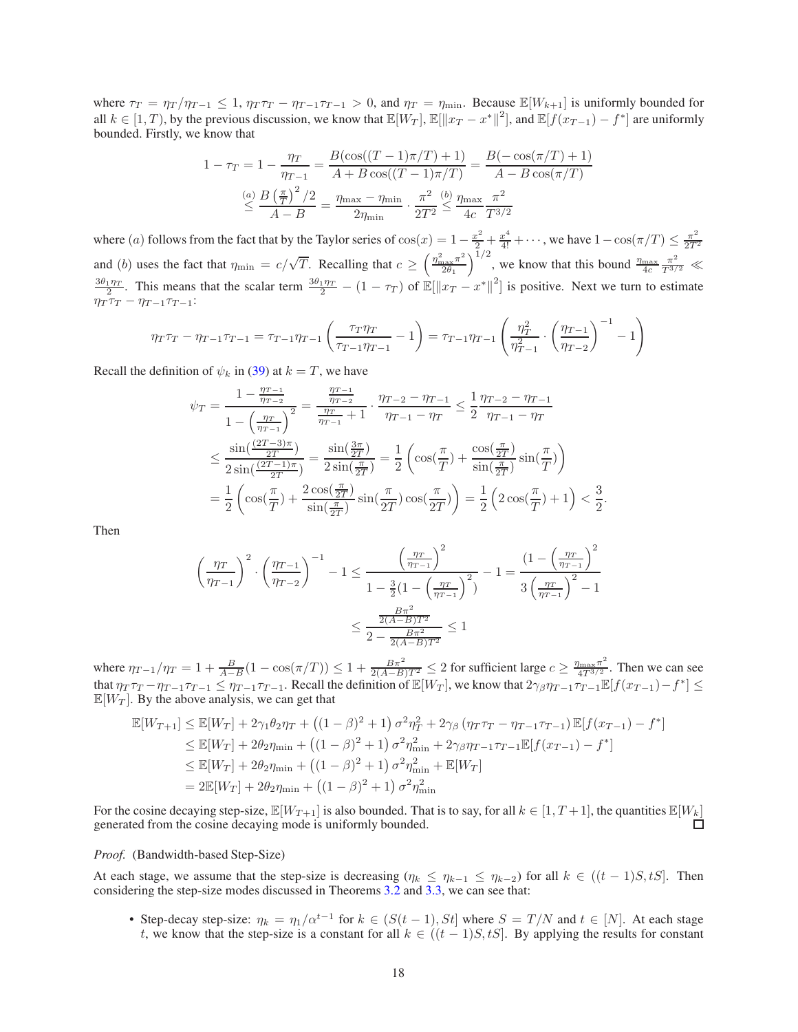where  $\tau_T = \eta_T / \eta_{T-1} \leq 1$ ,  $\eta_T \tau_T - \eta_{T-1} \tau_{T-1} > 0$ , and  $\eta_T = \eta_{\min}$ . Because  $\mathbb{E}[W_{k+1}]$  is uniformly bounded for all  $k \in [1, T)$ , by the previous discussion, we know that  $\mathbb{E}[W_T]$ ,  $\mathbb{E}[\|x_T - x^*\|^2]$ , and  $\mathbb{E}[f(x_{T-1}) - f^*]$  are uniformly bounded. Firstly, we know that

$$
1 - \tau_T = 1 - \frac{\eta_T}{\eta_{T-1}} = \frac{B(\cos((T-1)\pi/T) + 1)}{A + B\cos((T-1)\pi/T)} = \frac{B(-\cos(\pi/T) + 1)}{A - B\cos(\pi/T)}
$$

$$
\leq \frac{(a)B(\frac{\pi}{T})^2/2}{A - B} = \frac{\eta_{\text{max}} - \eta_{\text{min}}}{2\eta_{\text{min}}} \cdot \frac{\pi^2}{2T^2} \leq \frac{(b) \eta_{\text{max}}}{4c} \frac{\pi^2}{T^{3/2}}
$$

where (a) follows from the fact that by the Taylor series of  $cos(x) = 1 - \frac{x^2}{2} + \frac{x^4}{4!} + \cdots$ , we have  $1 - cos(\pi/T) \le \frac{\pi^2}{2T}$  $2T^2$ and (b) uses the fact that  $\eta_{\min} = c/\sqrt{T}$ . Recalling that  $c \ge \left(\frac{\eta_{\max}^2 \pi^2}{2\theta_1}\right)$  $\frac{\int_{\text{max}}^{\infty} \pi^2}{2\theta_1}$  and  $\int_{\text{max}}^{\infty} \frac{\pi^2}{2\theta_1}$  we know that this bound  $\frac{\eta_{\text{max}}}{4c} \frac{\pi^2}{T^{3/2}}$   $\ll$  $\frac{3\theta_1\eta_T}{2}$ . This means that the scalar term  $\frac{3\theta_1\eta_T}{2} - (1 - \tau_T)$  of  $\mathbb{E}[\|x_T - x^*\|^2]$  is positive. Next we turn to estimate  $\eta_T \tau_T - \eta_{T-1} \tau_{T-1}$ :

$$
\eta_T \tau_T - \eta_{T-1} \tau_{T-1} = \tau_{T-1} \eta_{T-1} \left( \frac{\tau_T \eta_T}{\tau_{T-1} \eta_{T-1}} - 1 \right) = \tau_{T-1} \eta_{T-1} \left( \frac{\eta_T^2}{\eta_{T-1}^2} \cdot \left( \frac{\eta_{T-1}}{\eta_{T-2}} \right)^{-1} - 1 \right)
$$

Recall the definition of  $\psi_k$  in [\(39\)](#page-15-0) at  $k = T$ , we have

$$
\psi_T = \frac{1 - \frac{\eta_{T-1}}{\eta_{T-2}}}{1 - \left(\frac{\eta_T}{\eta_{T-1}}\right)^2} = \frac{\frac{\eta_{T-1}}{\eta_{T-2}}}{\frac{\eta_{T-1}}{\eta_{T-1}} + 1} \cdot \frac{\eta_{T-2} - \eta_{T-1}}{\eta_{T-1} - \eta_T} \le \frac{1}{2} \frac{\eta_{T-2} - \eta_{T-1}}{\eta_{T-1} - \eta_T}
$$

$$
\le \frac{\sin\left(\frac{(2T-3)\pi}{2T}\right)}{2\sin\left(\frac{(2T-1)\pi}{2T}\right)} = \frac{\sin\left(\frac{3\pi}{2T}\right)}{2\sin\left(\frac{\pi}{2T}\right)} = \frac{1}{2} \left( \cos\left(\frac{\pi}{T}\right) + \frac{\cos\left(\frac{\pi}{2T}\right)}{\sin\left(\frac{\pi}{2T}\right)} \sin\left(\frac{\pi}{T}\right) \right)
$$

$$
= \frac{1}{2} \left( \cos\left(\frac{\pi}{T}\right) + \frac{2\cos\left(\frac{\pi}{2T}\right)}{\sin\left(\frac{\pi}{2T}\right)} \sin\left(\frac{\pi}{2T}\right) \cos\left(\frac{\pi}{2T}\right) \right) = \frac{1}{2} \left( 2\cos\left(\frac{\pi}{T}\right) + 1 \right) < \frac{3}{2}
$$

.

Then

$$
\left(\frac{\eta_T}{\eta_{T-1}}\right)^2 \cdot \left(\frac{\eta_{T-1}}{\eta_{T-2}}\right)^{-1} - 1 \le \frac{\left(\frac{\eta_T}{\eta_{T-1}}\right)^2}{1 - \frac{3}{2}\left(1 - \left(\frac{\eta_T}{\eta_{T-1}}\right)^2\right)} - 1 = \frac{\left(1 - \left(\frac{\eta_T}{\eta_{T-1}}\right)^2\right)}{3\left(\frac{\eta_T}{\eta_{T-1}}\right)^2 - 1}
$$

$$
\le \frac{\frac{B\pi^2}{2(A - B)T^2}}{2 - \frac{B\pi^2}{2(A - B)T^2}} \le 1
$$

where  $\eta_{T-1}/\eta_T = 1 + \frac{B}{A-B}(1 - \cos(\pi/T)) \leq 1 + \frac{B\pi^2}{2(A-B)T^2} \leq 2$  for sufficient large  $c \geq \frac{\eta_{\text{max}}\pi^2}{4T^{3/2}}$  $\frac{\sqrt{\tan x \pi}}{4T^{3/2}}$ . Then we can see that  $\eta_T \tau_T - \eta_{T-1} \tau_{T-1} \leq \eta_{T-1} \tau_{T-1}$ . Recall the definition of  $\mathbb{E}[W_T]$ , we know that  $2\gamma_\beta \eta_{T-1} \tau_{T-1} \mathbb{E}[f(x_{T-1}) - f^*] \leq$  $\mathbb{E}[W_T]$ . By the above analysis, we can get that

$$
\mathbb{E}[W_{T+1}] \leq \mathbb{E}[W_T] + 2\gamma_1 \theta_2 \eta_T + ((1-\beta)^2 + 1) \sigma^2 \eta_T^2 + 2\gamma_\beta (\eta_T \tau_T - \eta_{T-1} \tau_{T-1}) \mathbb{E}[f(x_{T-1}) - f^*]
$$
  
\n
$$
\leq \mathbb{E}[W_T] + 2\theta_2 \eta_{\min} + ((1-\beta)^2 + 1) \sigma^2 \eta_{\min}^2 + 2\gamma_\beta \eta_{T-1} \tau_{T-1} \mathbb{E}[f(x_{T-1}) - f^*]
$$
  
\n
$$
\leq \mathbb{E}[W_T] + 2\theta_2 \eta_{\min} + ((1-\beta)^2 + 1) \sigma^2 \eta_{\min}^2 + \mathbb{E}[W_T]
$$
  
\n
$$
= 2\mathbb{E}[W_T] + 2\theta_2 \eta_{\min} + ((1-\beta)^2 + 1) \sigma^2 \eta_{\min}^2
$$

For the cosine decaying step-size,  $\mathbb{E}[W_{T+1}]$  is also bounded. That is to say, for all  $k \in [1, T+1]$ , the quantities  $\mathbb{E}[W_k]$  generated from the cosine decaying mode is uniformly bounded. generated from the cosine decaying mode is uniformly bounded.

#### *Proof.* (Bandwidth-based Step-Size)

At each stage, we assume that the step-size is decreasing ( $\eta_k \leq \eta_{k-1} \leq \eta_{k-2}$ ) for all  $k \in ((t-1)S, tS]$ . Then considering the step-size modes discussed in Theorems [3.2](#page-4-2) and [3.3,](#page-4-3) we can see that:

• Step-decay step-size:  $\eta_k = \eta_1/\alpha^{t-1}$  for  $k \in (S(t-1), St]$  where  $S = T/N$  and  $t \in [N]$ . At each stage t, we know that the step-size is a constant for all  $k \in ((t-1)S, tS]$ . By applying the results for constant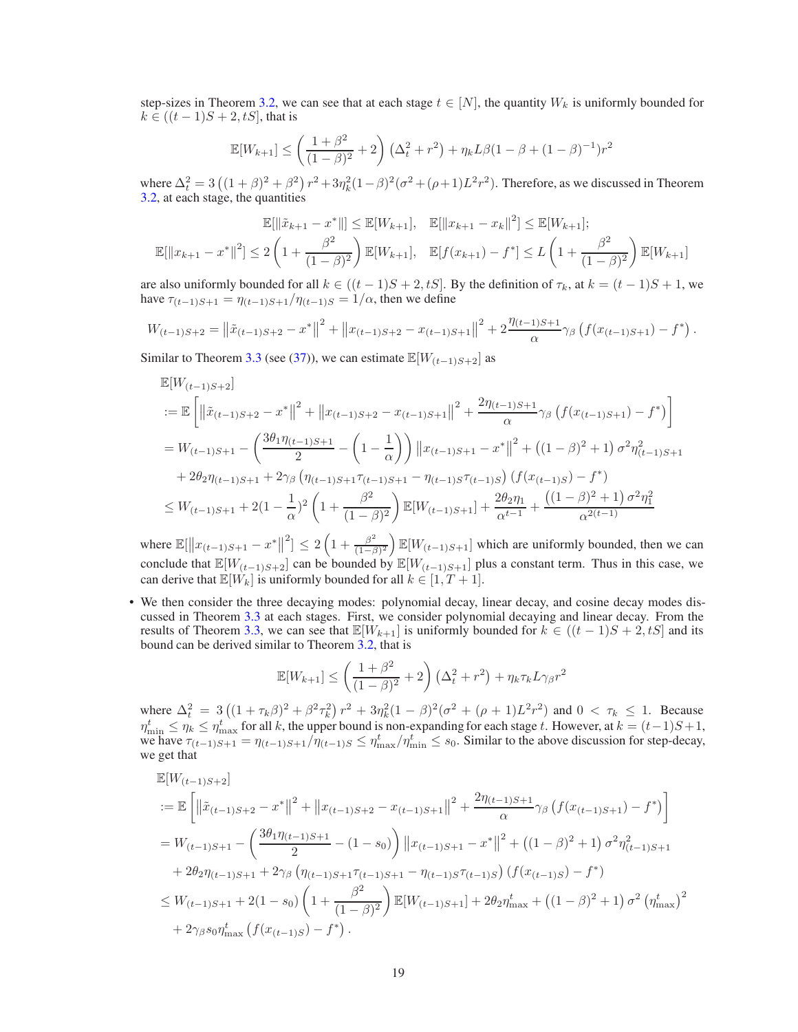step-sizes in Theorem [3.2,](#page-4-2) we can see that at each stage  $t \in [N]$ , the quantity  $W_k$  is uniformly bounded for  $k \in ((t-1)S + 2, tS]$ , that is

$$
\mathbb{E}[W_{k+1}] \le \left(\frac{1+\beta^2}{(1-\beta)^2} + 2\right) \left(\Delta_t^2 + r^2\right) + \eta_k L\beta (1-\beta + (1-\beta)^{-1})r^2
$$

where  $\Delta_t^2 = 3((1+\beta)^2 + \beta^2) r^2 + 3\eta_k^2 (1-\beta)^2 (\sigma^2 + (\rho+1)L^2 r^2)$ . Therefore, as we discussed in Theorem [3.2,](#page-4-2) at each stage, the quantities

$$
\mathbb{E}[\|\tilde{x}_{k+1} - x^*\|] \le \mathbb{E}[W_{k+1}], \quad \mathbb{E}[\|x_{k+1} - x_k\|^2] \le \mathbb{E}[W_{k+1}];
$$
  

$$
\mathbb{E}[\|x_{k+1} - x^*\|^2] \le 2\left(1 + \frac{\beta^2}{(1-\beta)^2}\right) \mathbb{E}[W_{k+1}], \quad \mathbb{E}[f(x_{k+1}) - f^*] \le L\left(1 + \frac{\beta^2}{(1-\beta)^2}\right) \mathbb{E}[W_{k+1}]
$$

are also uniformly bounded for all  $k \in ((t-1)S + 2, tS]$ . By the definition of  $\tau_k$ , at  $k = (t-1)S + 1$ , we have  $\tau_{(t-1)S+1} = \eta_{(t-1)S+1}/\eta_{(t-1)S} = 1/\alpha$ , then we define

$$
W_{(t-1)S+2} = ||\tilde{x}_{(t-1)S+2} - x^*||^2 + ||x_{(t-1)S+2} - x_{(t-1)S+1}||^2 + 2\frac{\eta_{(t-1)S+1}}{\alpha}\gamma_\beta \left(f(x_{(t-1)S+1}) - f^*\right).
$$

Similar to Theorem [3.3](#page-4-3) (see [\(37\)](#page-14-3)), we can estimate  $\mathbb{E}[W_{(t-1)S+2}]$  as

$$
\mathbb{E}[W_{(t-1)S+2}]
$$
\n
$$
:= \mathbb{E}\left[\left\|\tilde{x}_{(t-1)S+2} - x^*\right\|^2 + \left\|x_{(t-1)S+2} - x_{(t-1)S+1}\right\|^2 + \frac{2\eta_{(t-1)S+1}}{\alpha}\gamma_\beta\left(f(x_{(t-1)S+1}) - f^*\right)\right]
$$
\n
$$
= W_{(t-1)S+1} - \left(\frac{3\theta_1\eta_{(t-1)S+1}}{2} - \left(1 - \frac{1}{\alpha}\right)\right) \left\|x_{(t-1)S+1} - x^*\right\|^2 + \left((1 - \beta)^2 + 1\right)\sigma^2\eta_{(t-1)S+1}^2
$$
\n
$$
+ 2\theta_2\eta_{(t-1)S+1} + 2\gamma_\beta\left(\eta_{(t-1)S+1}\tau_{(t-1)S+1} - \eta_{(t-1)S}\tau_{(t-1)S}\right)\left(f(x_{(t-1)S}) - f^*\right)
$$
\n
$$
\leq W_{(t-1)S+1} + 2(1 - \frac{1}{\alpha})^2 \left(1 + \frac{\beta^2}{(1 - \beta)^2}\right) \mathbb{E}[W_{(t-1)S+1}] + \frac{2\theta_2\eta_1}{\alpha^{t-1}} + \frac{\left((1 - \beta)^2 + 1\right)\sigma^2\eta_1^2}{\alpha^{2(t-1)}}
$$

where  $\mathbb{E}[\|x_{(t-1)S+1} - x^*\|]$  $\left[ \frac{2}{1+\frac{\beta^2}{(1-\beta)^2}} \right]$  $\left(\frac{\beta^2}{(1-\beta)^2}\right) \mathbb{E}[W_{(t-1)S+1}]$  which are uniformly bounded, then we can conclude that  $\mathbb{E}[W_{(t-1)S+2}]$  can be bounded by  $\mathbb{E}[W_{(t-1)S+1}]$  plus a constant term. Thus in this case, we can derive that  $\mathbb{E}[W_k]$  is uniformly bounded for all  $k \in [1, T+1]$ .

• We then consider the three decaying modes: polynomial decay, linear decay, and cosine decay modes discussed in Theorem [3.3](#page-4-3) at each stages. First, we consider polynomial decaying and linear decay. From the results of Theorem [3.3,](#page-4-3) we can see that  $\mathbb{E}[W_{k+1}]$  is uniformly bounded for  $k \in ((t-1)S + 2, tS]$  and its bound can be derived similar to Theorem [3.2,](#page-4-2) that is

$$
\mathbb{E}[W_{k+1}] \le \left(\frac{1+\beta^2}{(1-\beta)^2} + 2\right) \left(\Delta_t^2 + r^2\right) + \eta_k \tau_k L \gamma_\beta r^2
$$

where  $\Delta_t^2 = 3((1 + \tau_k \beta)^2 + \beta^2 \tau_k^2) r^2 + 3\eta_k^2 (1 - \beta)^2 (\sigma^2 + (\rho + 1)L^2 r^2)$  and  $0 < \tau_k \le 1$ . Because  $\eta_{\min}^t \leq \eta_k \leq \eta_{\max}^t$  for all k, the upper bound is non-expanding for each stage t. However, at  $k = (t-1)S + 1$ , we have  $\tau_{(t-1)S+1} = \eta_{(t-1)S+1}/\overline{\eta}_{(t-1)S} \leq \eta_{\text{max}}^t/\eta_{\text{min}}^t \leq s_0$ . Similar to the above discussion for step-decay, we get that

$$
\mathbb{E}[W_{(t-1)S+2}] \n:= \mathbb{E}\left[\left\|\tilde{x}_{(t-1)S+2} - x^*\right\|^2 + \left\|x_{(t-1)S+2} - x_{(t-1)S+1}\right\|^2 + \frac{2\eta_{(t-1)S+1}}{\alpha}\gamma_\beta\left(f(x_{(t-1)S+1}) - f^*\right)\right] \n= W_{(t-1)S+1} - \left(\frac{3\theta_1\eta_{(t-1)S+1}}{2} - (1-s_0)\right) \left\|x_{(t-1)S+1} - x^*\right\|^2 + \left((1-\beta)^2 + 1\right)\sigma^2\eta_{(t-1)S+1}^2 \n+ 2\theta_2\eta_{(t-1)S+1} + 2\gamma_\beta\left(\eta_{(t-1)S+1}\tau_{(t-1)S+1} - \eta_{(t-1)S}\tau_{(t-1)S}\right)\left(f(x_{(t-1)S}) - f^*\right) \n\leq W_{(t-1)S+1} + 2(1-s_0)\left(1 + \frac{\beta^2}{(1-\beta)^2}\right) \mathbb{E}[W_{(t-1)S+1}] + 2\theta_2\eta_{\text{max}}^t + \left((1-\beta)^2 + 1\right)\sigma^2\left(\eta_{\text{max}}^t\right)^2 \n+ 2\gamma_\beta s_0\eta_{\text{max}}^t\left(f(x_{(t-1)S}) - f^*\right).
$$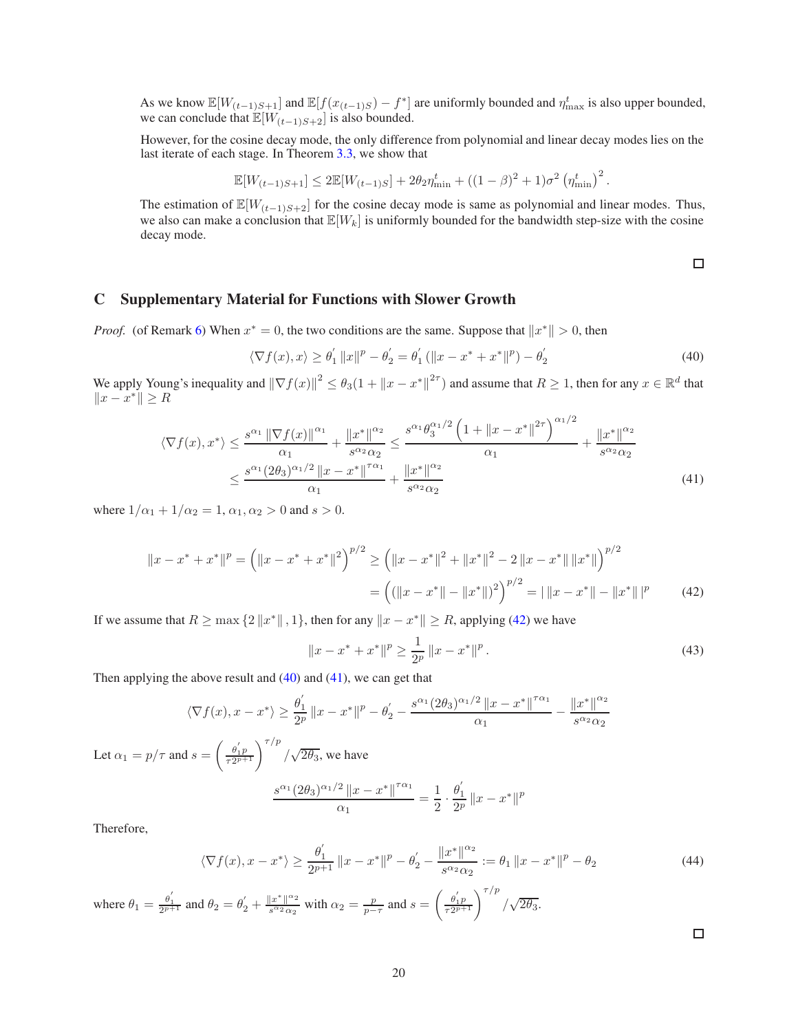As we know  $\mathbb{E}[W_{(t-1)S+1}]$  and  $\mathbb{E}[f(x_{(t-1)S}) - f^*]$  are uniformly bounded and  $\eta_{\max}^t$  is also upper bounded, we can conclude that  $\mathbb{E}[W_{(t-1)S+2}]$  is also bounded.

However, for the cosine decay mode, the only difference from polynomial and linear decay modes lies on the last iterate of each stage. In Theorem [3.3,](#page-4-3) we show that

$$
\mathbb{E}[W_{(t-1)S+1}] \le 2\mathbb{E}[W_{(t-1)S}] + 2\theta_2 \eta_{\min}^t + ((1-\beta)^2 + 1)\sigma^2 (\eta_{\min}^t)^2
$$

The estimation of  $\mathbb{E}[W_{(t-1)S+2}]$  for the cosine decay mode is same as polynomial and linear modes. Thus, we also can make a conclusion that  $\mathbb{E}[W_k]$  is uniformly bounded for the bandwidth step-size with the cosine decay mode.

<span id="page-19-2"></span><span id="page-19-1"></span> $\Box$ 

.

# C Supplementary Material for Functions with Slower Growth

*Proof.* (of Remark [6\)](#page-5-3) When  $x^* = 0$ , the two conditions are the same. Suppose that  $||x^*|| > 0$ , then

$$
\langle \nabla f(x), x \rangle \ge \theta_1' \|x\|^p - \theta_2' = \theta_1' (\|x - x^* + x^*\|^p) - \theta_2' \tag{40}
$$

We apply Young's inequality and  $\|\nabla f(x)\|^2 \leq \theta_3(1 + \|x - x^*\|^{2\tau})$  and assume that  $R \geq 1$ , then for any  $x \in \mathbb{R}^d$  that  $||x - x^*|| \geq R$ 

$$
\langle \nabla f(x), x^* \rangle \le \frac{s^{\alpha_1} \|\nabla f(x)\|^{\alpha_1}}{\alpha_1} + \frac{\|x^*\|^{\alpha_2}}{s^{\alpha_2} \alpha_2} \le \frac{s^{\alpha_1} \theta_3^{\alpha_1/2} \left(1 + \|x - x^*\|^{2\tau}\right)^{\alpha_1/2}}{\alpha_1} + \frac{\|x^*\|^{\alpha_2}}{s^{\alpha_2} \alpha_2} \le \frac{s^{\alpha_1} (2\theta_3)^{\alpha_1/2} \|x - x^*\|^{7\alpha_1}}{\alpha_1} + \frac{\|x^*\|^{\alpha_2}}{s^{\alpha_2} \alpha_2}
$$
\n(41)

where  $1/\alpha_1 + 1/\alpha_2 = 1$ ,  $\alpha_1, \alpha_2 > 0$  and  $s > 0$ .

$$
||x - x^* + x^*||^p = (||x - x^* + x^*||^2)^{p/2} \ge (||x - x^*||^2 + ||x^*||^2 - 2||x - x^*|| ||x^*||)^{p/2}
$$
  
= 
$$
((||x - x^*|| - ||x^*||)^2)^{p/2} = ||x - x^*|| - ||x^*||^p
$$
 (42)

If we assume that  $R \ge \max\{2\|x^*\|, 1\}$ , then for any  $\|x - x^*\| \ge R$ , applying [\(42\)](#page-19-0) we have

$$
||x - x^* + x^*||^p \ge \frac{1}{2^p} ||x - x^*||^p.
$$
\n(43)

Then applying the above result and  $(40)$  and  $(41)$ , we can get that

$$
\langle \nabla f(x), x - x^* \rangle \ge \frac{\theta_1'}{2^p} \|x - x^*\|^p - \theta_2' - \frac{s^{\alpha_1} (2\theta_3)^{\alpha_1/2} \|x - x^*\|^{\tau \alpha_1}}{\alpha_1} - \frac{\|x^*\|^{\alpha_2}}{s^{\alpha_2} \alpha_2}
$$

Let  $\alpha_1 = p/\tau$  and  $s = \left(\frac{\theta_1'p}{\tau_2^{2p+1}}\right)^{\tau/p}/\sqrt{2\theta_3}$ , we have  $s^{\alpha_1} (2\theta_3)^{\alpha_1/2} ||x - x^*||^{\tau \alpha_1}$  $\frac{2||x-x^*||^{7\alpha_1}}{\alpha_1} = \frac{1}{2}$ 

Therefore,

$$
\langle \nabla f(x), x - x^* \rangle \ge \frac{\theta_1'}{2^{p+1}} \|x - x^*\|^p - \theta_2' - \frac{\|x^*\|^{\alpha_2}}{s^{\alpha_2} \alpha_2} := \theta_1 \|x - x^*\|^p - \theta_2 \tag{44}
$$

 $\overline{2}$  .  $\theta_1^{'}$ 1

<span id="page-19-0"></span> $\frac{\sigma_1}{2^p} \|x - x^*\|^p$ 

where  $\theta_1 = \frac{\theta_1'}{2^{p+1}}$  and  $\theta_2 = \theta_2' + \frac{||x^*||^{\alpha_2}}{s^{\alpha_2} \alpha_2}$  $\frac{|x^*|^{\alpha_2}}{s^{\alpha_2} \alpha_2}$  with  $\alpha_2 = \frac{p}{p-\tau}$  and  $s = \left(\frac{\theta'_1 p}{\tau 2^{p+1}}\right)^{\tau/p} / \sqrt{2\theta_3}$ .

 $\Box$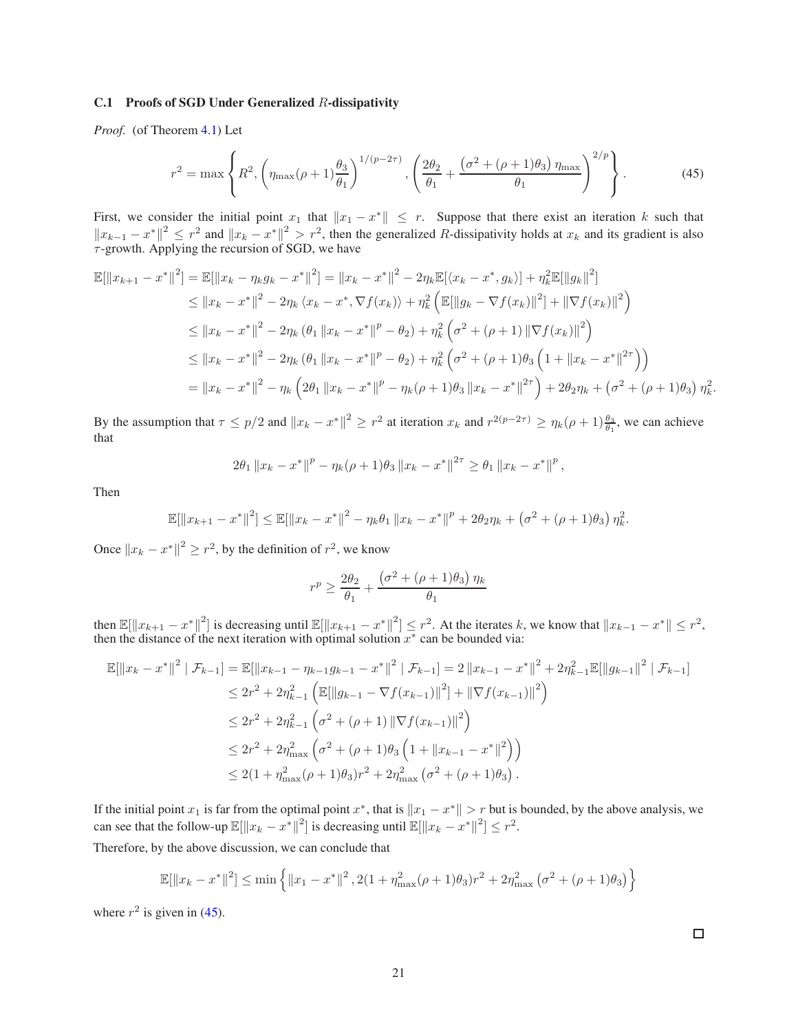#### C.1 Proofs of SGD Under Generalized R-dissipativity

*Proof.* (of Theorem [4.1\)](#page-6-3) Let

<span id="page-20-0"></span>
$$
r^{2} = \max \left\{ R^{2}, \left( \eta_{\max}(\rho + 1) \frac{\theta_{3}}{\theta_{1}} \right)^{1/(p-2\tau)}, \left( \frac{2\theta_{2}}{\theta_{1}} + \frac{(\sigma^{2} + (\rho + 1)\theta_{3}) \eta_{\max}}{\theta_{1}} \right)^{2/p} \right\}.
$$
 (45)

First, we consider the initial point  $x_1$  that  $||x_1 - x^*|| \leq r$ . Suppose that there exist an iteration k such that  $||x_{k-1} - x^*||^2 \le r^2$  and  $||x_k - x^*||^2 > r^2$ , then the generalized R-dissipativity holds at  $x_k$  and its gradient is also  $\tau$ -growth. Applying the recursion of SGD, we have

$$
\mathbb{E}[\|x_{k+1} - x^*\|^2] = \mathbb{E}[\|x_k - \eta_k g_k - x^*\|^2] = \|x_k - x^*\|^2 - 2\eta_k \mathbb{E}[\langle x_k - x^*, g_k \rangle] + \eta_k^2 \mathbb{E}[\|g_k\|^2]
$$
  
\n
$$
\leq \|x_k - x^*\|^2 - 2\eta_k \langle x_k - x^*, \nabla f(x_k) \rangle + \eta_k^2 \left( \mathbb{E}[\|g_k - \nabla f(x_k)\|^2] + \|\nabla f(x_k)\|^2 \right)
$$
  
\n
$$
\leq \|x_k - x^*\|^2 - 2\eta_k (\theta_1 \|x_k - x^*\|^p - \theta_2) + \eta_k^2 \left( \sigma^2 + (\rho + 1) \|\nabla f(x_k)\|^2 \right)
$$
  
\n
$$
\leq \|x_k - x^*\|^2 - 2\eta_k (\theta_1 \|x_k - x^*\|^p - \theta_2) + \eta_k^2 \left( \sigma^2 + (\rho + 1)\theta_3 \left(1 + \|x_k - x^*\|^2\right) \right)
$$
  
\n
$$
= \|x_k - x^*\|^2 - \eta_k \left(2\theta_1 \|x_k - x^*\|^p - \eta_k (\rho + 1)\theta_3 \|x_k - x^*\|^2\right) + 2\theta_2 \eta_k + (\sigma^2 + (\rho + 1)\theta_3) \eta_k^2.
$$

By the assumption that  $\tau \le p/2$  and  $||x_k - x^*||^2 \ge r^2$  at iteration  $x_k$  and  $r^{2(p-2\tau)} \ge \eta_k(\rho+1)\frac{\theta_3}{\theta_1}$ , we can achieve that

$$
2\theta_1 \|x_k - x^*\|^p - \eta_k(\rho+1)\theta_3 \|x_k - x^*\|^{2\tau} \ge \theta_1 \|x_k - x^*\|^p,
$$

Then

$$
\mathbb{E}[\|x_{k+1}-x^*\|^2] \leq \mathbb{E}[\|x_k-x^*\|^2 - \eta_k \theta_1 \|x_k-x^*\|^2 + 2\theta_2 \eta_k + (\sigma^2 + (\rho+1)\theta_3) \eta_k^2.
$$

Once  $||x_k - x^*||^2 \ge r^2$ , by the definition of  $r^2$ , we know

$$
r^{p} \ge \frac{2\theta_2}{\theta_1} + \frac{\left(\sigma^2 + (\rho + 1)\theta_3\right)\eta_k}{\theta_1}
$$

then  $\mathbb{E}[\Vert x_{k+1} - x^* \Vert^2]$  is decreasing until  $\mathbb{E}[\Vert x_{k+1} - x^* \Vert^2] \leq r^2$ . At the iterates k, we know that  $\Vert x_{k-1} - x^* \Vert \leq r^2$ , then the distance of the next iteration with optimal solution  $x^*$  can be bounded via:

$$
\mathbb{E}[\|x_{k}-x^{*}\|^{2} | \mathcal{F}_{k-1}] = \mathbb{E}[\|x_{k-1}-\eta_{k-1}g_{k-1}-x^{*}\|^{2} | \mathcal{F}_{k-1}] = 2\|x_{k-1}-x^{*}\|^{2} + 2\eta_{k-1}^{2}\mathbb{E}[\|g_{k-1}\|^{2} | \mathcal{F}_{k-1}]
$$
  
\n
$$
\leq 2r^{2} + 2\eta_{k-1}^{2} \left(\mathbb{E}[\|g_{k-1}-\nabla f(x_{k-1})\|^{2}] + \|\nabla f(x_{k-1})\|^{2}\right)
$$
  
\n
$$
\leq 2r^{2} + 2\eta_{k-1}^{2} \left(\sigma^{2} + (\rho+1) \|\nabla f(x_{k-1})\|^{2}\right)
$$
  
\n
$$
\leq 2r^{2} + 2\eta_{\max}^{2} \left(\sigma^{2} + (\rho+1)\theta_{3} \left(1 + \|x_{k-1} - x^{*}\|^{2}\right)\right)
$$
  
\n
$$
\leq 2(1 + \eta_{\max}^{2}(\rho+1)\theta_{3})r^{2} + 2\eta_{\max}^{2} \left(\sigma^{2} + (\rho+1)\theta_{3}\right).
$$

If the initial point  $x_1$  is far from the optimal point  $x^*$ , that is  $||x_1 - x^*|| > r$  but is bounded, by the above analysis, we can see that the follow-up  $\mathbb{E}[\Vert x_k - x^* \Vert^2]$  is decreasing until  $\mathbb{E}[\Vert x_k - x^* \Vert^2] \leq r^2$ .

Therefore, by the above discussion, we can conclude that

$$
\mathbb{E}[\|x_k - x^*\|^2] \le \min\left\{\|x_1 - x^*\|^2, 2(1 + \eta_{\max}^2(\rho + 1)\theta_3)r^2 + 2\eta_{\max}^2(\sigma^2 + (\rho + 1)\theta_3)\right\}
$$

where  $r^2$  is given in [\(45\)](#page-20-0).

 $\Box$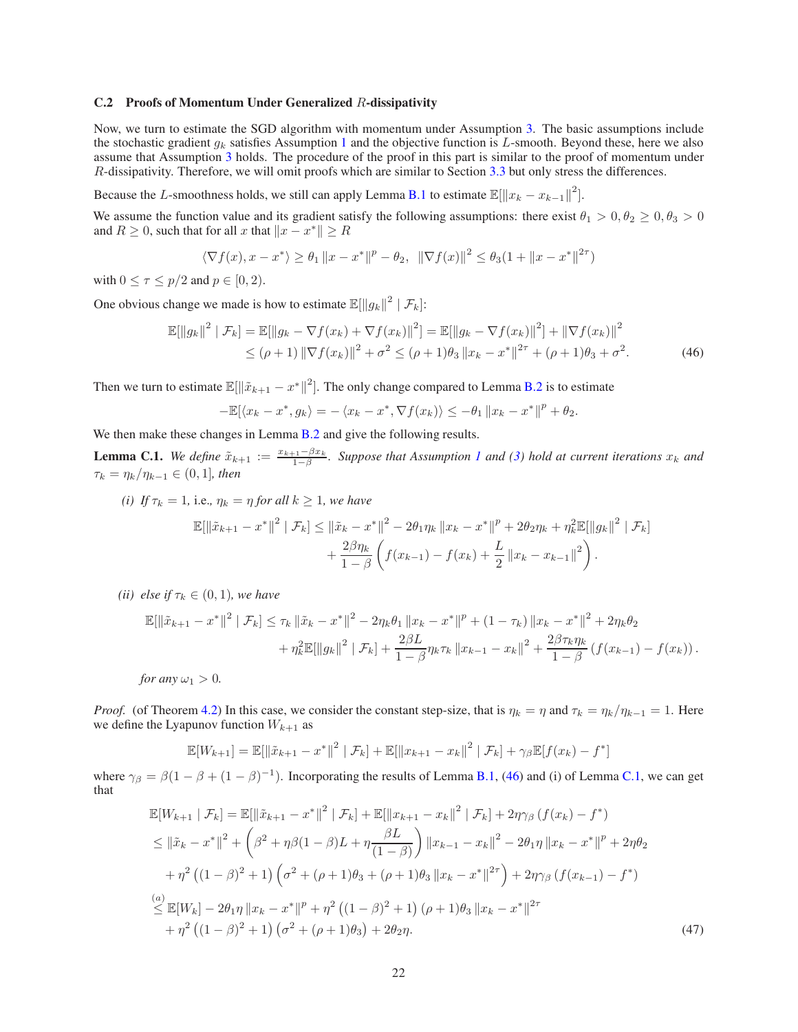#### C.2 Proofs of Momentum Under Generalized R-dissipativity

Now, we turn to estimate the SGD algorithm with momentum under Assumption [3.](#page-5-1) The basic assumptions include the stochastic gradient  $g_k$  satisfies Assumption [1](#page-2-3) and the objective function is L-smooth. Beyond these, here we also assume that Assumption [3](#page-5-1) holds. The procedure of the proof in this part is similar to the proof of momentum under R-dissipativity. Therefore, we will omit proofs which are similar to Section [3.3](#page-4-4) but only stress the differences.

Because the L-smoothness holds, we still can apply Lemma [B.1](#page-10-1) to estimate  $\mathbb{E}[\Vert x_k - x_{k-1} \Vert^2]$ .

We assume the function value and its gradient satisfy the following assumptions: there exist  $\theta_1 > 0, \theta_2 \ge 0, \theta_3 > 0$ and  $R \geq 0$ , such that for all x that  $||x - x^*|| \geq R$ 

$$
\langle \nabla f(x), x - x^* \rangle \ge \theta_1 \|x - x^*\|^p - \theta_2, \|\nabla f(x)\|^2 \le \theta_3 (1 + \|x - x^*\|^{2\tau})
$$

with  $0 \leq \tau \leq p/2$  and  $p \in [0, 2)$ .

One obvious change we made is how to estimate  $\mathbb{E}[\Vert g_k \Vert^2 \mid \mathcal{F}_k]$ :

$$
\mathbb{E}[\|g_k\|^2 \mid \mathcal{F}_k] = \mathbb{E}[\|g_k - \nabla f(x_k) + \nabla f(x_k)\|^2] = \mathbb{E}[\|g_k - \nabla f(x_k)\|^2] + \|\nabla f(x_k)\|^2
$$
  
\n
$$
\leq (\rho + 1) \|\nabla f(x_k)\|^2 + \sigma^2 \leq (\rho + 1)\theta_3 \left\|x_k - x^*\right\|^{2\tau} + (\rho + 1)\theta_3 + \sigma^2. \tag{46}
$$

Then we turn to estimate  $\mathbb{E}[\|\tilde{x}_{k+1} - x^*\|^2]$ . The only change compared to Lemma [B.2](#page-11-0) is to estimate

<span id="page-21-0"></span>
$$
-\mathbb{E}[\langle x_k - x^*, g_k \rangle = -\langle x_k - x^*, \nabla f(x_k) \rangle \leq -\theta_1 \|x_k - x^*\|^p + \theta_2.
$$

We then make these changes in Lemma [B.2](#page-11-0) and give the following results.

<span id="page-21-1"></span>**Lemma C.1.** We define  $\tilde{x}_{k+1} := \frac{x_{k+1} - \beta x_k}{1 - \beta}$ 1−β *. Suppose that Assumption [1](#page-2-3) and [\(3\)](#page-5-1) hold at current iterations* x<sup>k</sup> *and*  $\tau_k = \eta_k / \eta_{k-1} \in (0, 1]$ *, then* 

*(i)* If  $\tau_k = 1$ , i.e.,  $\eta_k = \eta$  *for all*  $k \geq 1$ *, we have* 

$$
\mathbb{E}[\left\|\tilde{x}_{k+1} - x^*\right\|^2 | \mathcal{F}_k] \leq \left\|\tilde{x}_k - x^*\right\|^2 - 2\theta_1 \eta_k \left\|x_k - x^*\right\|^p + 2\theta_2 \eta_k + \eta_k^2 \mathbb{E}[\left\|g_k\right\|^2 | \mathcal{F}_k] + \frac{2\beta\eta_k}{1-\beta} \left(f(x_{k-1}) - f(x_k) + \frac{L}{2} \left\|x_k - x_{k-1}\right\|^2\right).
$$

*(ii) else if*  $\tau_k \in (0,1)$ *, we have* 

$$
\mathbb{E}[\|\tilde{x}_{k+1} - x^*\|^2 \mid \mathcal{F}_k] \le \tau_k \|\tilde{x}_k - x^*\|^2 - 2\eta_k \theta_1 \|x_k - x^*\|^p + (1 - \tau_k) \|x_k - x^*\|^2 + 2\eta_k \theta_2 + \eta_k^2 \mathbb{E}[\|g_k\|^2 \mid \mathcal{F}_k] + \frac{2\beta L}{1 - \beta} \eta_k \tau_k \|x_{k-1} - x_k\|^2 + \frac{2\beta \tau_k \eta_k}{1 - \beta} (f(x_{k-1}) - f(x_k)).
$$

*for any*  $\omega_1 > 0$ *.* 

*Proof.* (of Theorem [4.2\)](#page-6-0) In this case, we consider the constant step-size, that is  $\eta_k = \eta$  and  $\tau_k = \eta_k/\eta_{k-1} = 1$ . Here we define the Lyapunov function  $W_{k+1}$  as

<span id="page-21-2"></span>
$$
\mathbb{E}[W_{k+1}] = \mathbb{E}[\|\tilde{x}_{k+1} - x^*\|^2 | \mathcal{F}_k] + \mathbb{E}[\|x_{k+1} - x_k\|^2 | \mathcal{F}_k] + \gamma_{\beta} \mathbb{E}[f(x_k) - f^*]
$$

where  $\gamma_{\beta} = \beta(1 - \beta + (1 - \beta)^{-1})$ . Incorporating the results of Lemma [B.1,](#page-10-1) [\(46\)](#page-21-0) and (i) of Lemma [C.1,](#page-21-1) we can get that

$$
\mathbb{E}[W_{k+1} | \mathcal{F}_k] = \mathbb{E}[\|\tilde{x}_{k+1} - x^*\|^2 | \mathcal{F}_k] + \mathbb{E}[\|x_{k+1} - x_k\|^2 | \mathcal{F}_k] + 2\eta\gamma_\beta (f(x_k) - f^*)
$$
\n
$$
\leq \|\tilde{x}_k - x^*\|^2 + \left(\beta^2 + \eta\beta(1 - \beta)L + \eta\frac{\beta L}{(1 - \beta)}\right) \|x_{k-1} - x_k\|^2 - 2\theta_1\eta \|x_k - x^*\|^p + 2\eta\theta_2
$$
\n
$$
+ \eta^2 \left((1 - \beta)^2 + 1\right) \left(\sigma^2 + (\rho + 1)\theta_3 + (\rho + 1)\theta_3 \|x_k - x^*\|^{2\tau}\right) + 2\eta\gamma_\beta (f(x_{k-1}) - f^*)
$$
\n
$$
\stackrel{(a)}{\leq} \mathbb{E}[W_k] - 2\theta_1\eta \|x_k - x^*\|^p + \eta^2 \left((1 - \beta)^2 + 1\right) (\rho + 1)\theta_3 \|x_k - x^*\|^{2\tau}
$$
\n
$$
+ \eta^2 \left((1 - \beta)^2 + 1\right) (\sigma^2 + (\rho + 1)\theta_3) + 2\theta_2\eta. \tag{47}
$$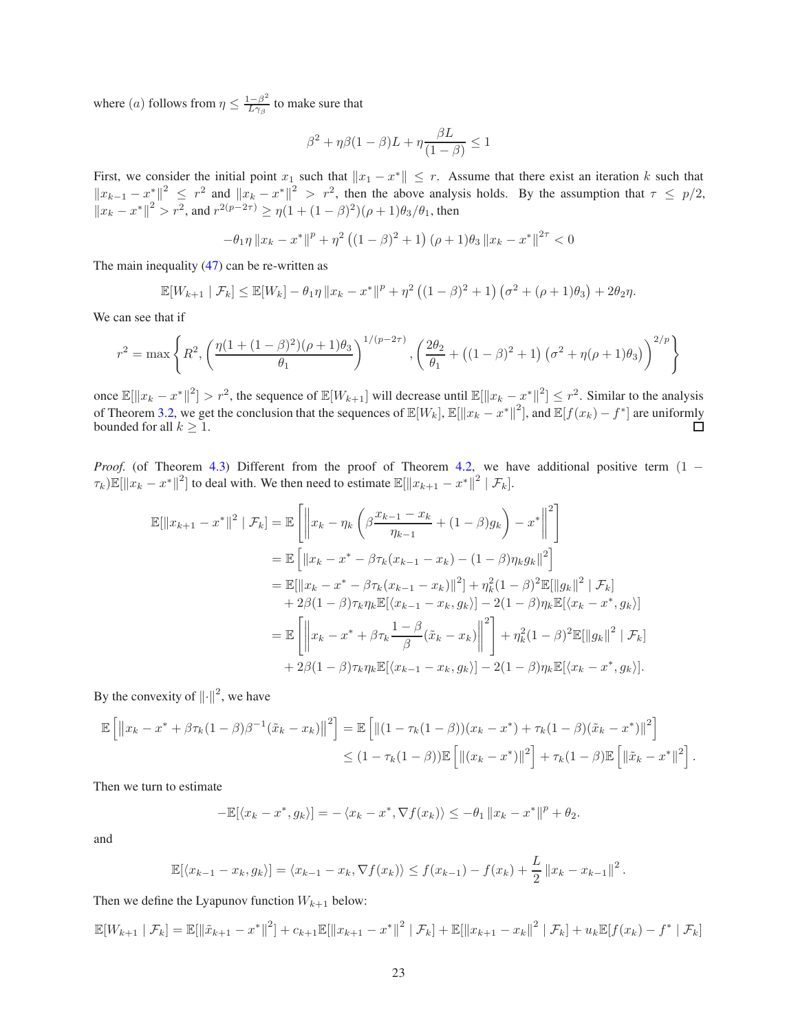where (*a*) follows from  $\eta \leq \frac{1-\beta^2}{L\gamma_\beta}$  $\frac{1-\beta^2}{L\gamma_\beta}$  to make sure that

$$
\beta^2 + \eta \beta (1 - \beta)L + \eta \frac{\beta L}{(1 - \beta)} \le 1
$$

First, we consider the initial point  $x_1$  such that  $||x_1 - x^*|| \leq r$ . Assume that there exist an iteration k such that  $||x_{k-1} - x^*||^2 \leq r^2$  and  $||x_k - x^*||^2 > r^2$ , then the above analysis holds. By the assumption that  $\tau \leq p/2$ ,  $||x_k - x^*||^2 > r^2$ , and  $r^{2(p-2\tau)} \ge \eta(1 + (1 - \beta)^2)(\rho + 1)\theta_3/\theta_1$ , then

$$
-\theta_1 \eta \|x_k - x^*\|^p + \eta^2 \left( (1 - \beta)^2 + 1 \right) (\rho + 1)\theta_3 \|x_k - x^*\|^{2\tau} < 0
$$

The main inequality [\(47\)](#page-21-2) can be re-written as

$$
\mathbb{E}[W_{k+1} | \mathcal{F}_k] \le \mathbb{E}[W_k] - \theta_1 \eta \|x_k - x^*\|^p + \eta^2 \left( (1 - \beta)^2 + 1 \right) \left( \sigma^2 + (\rho + 1)\theta_3 \right) + 2\theta_2 \eta.
$$

We can see that if

$$
r^{2} = \max \left\{ R^{2}, \left( \frac{\eta(1 + (1 - \beta)^{2})(\rho + 1)\theta_{3}}{\theta_{1}} \right)^{1/(p - 2\tau)}, \left( \frac{2\theta_{2}}{\theta_{1}} + ((1 - \beta)^{2} + 1) (\sigma^{2} + \eta(\rho + 1)\theta_{3}) \right)^{2/p} \right\}
$$

once  $\mathbb{E}[\Vert x_k - x^* \Vert^2] > r^2$ , the sequence of  $\mathbb{E}[W_{k+1}]$  will decrease until  $\mathbb{E}[\Vert x_k - x^* \Vert^2] \leq r^2$ . Similar to the analysis of Theorem [3.2,](#page-4-2) we get the conclusion that the sequences of  $\mathbb{E}[W_k], \mathbb{E}[\|x_k - x^*\|^2]$ , and  $\mathbb{E}[f(x_k) - f^*]$  are uniformly bounded for all  $k \geq 1$ .

*Proof.* (of Theorem [4.3\)](#page-6-2) Different from the proof of Theorem [4.2,](#page-6-0) we have additional positive term  $(1 \tau_k)\mathbb{E}[\|x_k - x^*\|^2]$  to deal with. We then need to estimate  $\mathbb{E}[\|x_{k+1} - x^*\|^2 | \mathcal{F}_k]$ .

$$
\mathbb{E}[\|x_{k+1} - x^*\|^2 \mid \mathcal{F}_k] = \mathbb{E}\left[\left\|x_k - \eta_k\left(\beta \frac{x_{k-1} - x_k}{\eta_{k-1}} + (1 - \beta)g_k\right) - x^*\right\|^2\right]
$$
  
\n
$$
= \mathbb{E}\left[\|x_k - x^* - \beta \tau_k(x_{k-1} - x_k) - (1 - \beta)\eta_k g_k\|^2\right]
$$
  
\n
$$
= \mathbb{E}[\|x_k - x^* - \beta \tau_k(x_{k-1} - x_k)\|^2] + \eta_k^2 (1 - \beta)^2 \mathbb{E}[\|g_k\|^2 \mid \mathcal{F}_k]
$$
  
\n
$$
+ 2\beta(1 - \beta)\tau_k \eta_k \mathbb{E}[\langle x_{k-1} - x_k, g_k \rangle] - 2(1 - \beta)\eta_k \mathbb{E}[\langle x_k - x^*, g_k \rangle]
$$
  
\n
$$
= \mathbb{E}\left[\left\|x_k - x^* + \beta \tau_k \frac{1 - \beta}{\beta}(\tilde{x}_k - x_k)\right\|^2\right] + \eta_k^2 (1 - \beta)^2 \mathbb{E}[\|g_k\|^2 \mid \mathcal{F}_k]
$$
  
\n
$$
+ 2\beta(1 - \beta)\tau_k \eta_k \mathbb{E}[\langle x_{k-1} - x_k, g_k \rangle] - 2(1 - \beta)\eta_k \mathbb{E}[\langle x_k - x^*, g_k \rangle].
$$

By the convexity of  $\left\Vert \cdot \right\Vert ^{2}$ , we have

$$
\mathbb{E}\left[\left\|x_{k}-x^{*}+\beta\tau_{k}(1-\beta)\beta^{-1}(\tilde{x}_{k}-x_{k})\right\|^{2}\right] = \mathbb{E}\left[\left\|(1-\tau_{k}(1-\beta))(x_{k}-x^{*})+\tau_{k}(1-\beta)(\tilde{x}_{k}-x^{*})\right\|^{2}\right] \leq (1-\tau_{k}(1-\beta))\mathbb{E}\left[\left\|(x_{k}-x^{*})\right\|^{2}\right]+\tau_{k}(1-\beta)\mathbb{E}\left[\left\|\tilde{x}_{k}-x^{*}\right\|^{2}\right].
$$

Then we turn to estimate

$$
-\mathbb{E}[\langle x_k - x^*, g_k \rangle] = -\langle x_k - x^*, \nabla f(x_k) \rangle \le -\theta_1 \|x_k - x^*\|^p + \theta_2.
$$

and

$$
\mathbb{E}[\langle x_{k-1} - x_k, g_k \rangle] = \langle x_{k-1} - x_k, \nabla f(x_k) \rangle \le f(x_{k-1}) - f(x_k) + \frac{L}{2} ||x_k - x_{k-1}||^2.
$$

Then we define the Lyapunov function  $W_{k+1}$  below:

$$
\mathbb{E}[W_{k+1} | \mathcal{F}_k] = \mathbb{E}[\|\tilde{x}_{k+1} - x^*\|^2] + c_{k+1}\mathbb{E}[\|x_{k+1} - x^*\|^2 | \mathcal{F}_k] + \mathbb{E}[\|x_{k+1} - x_k\|^2 | \mathcal{F}_k] + u_k\mathbb{E}[f(x_k) - f^* | \mathcal{F}_k]
$$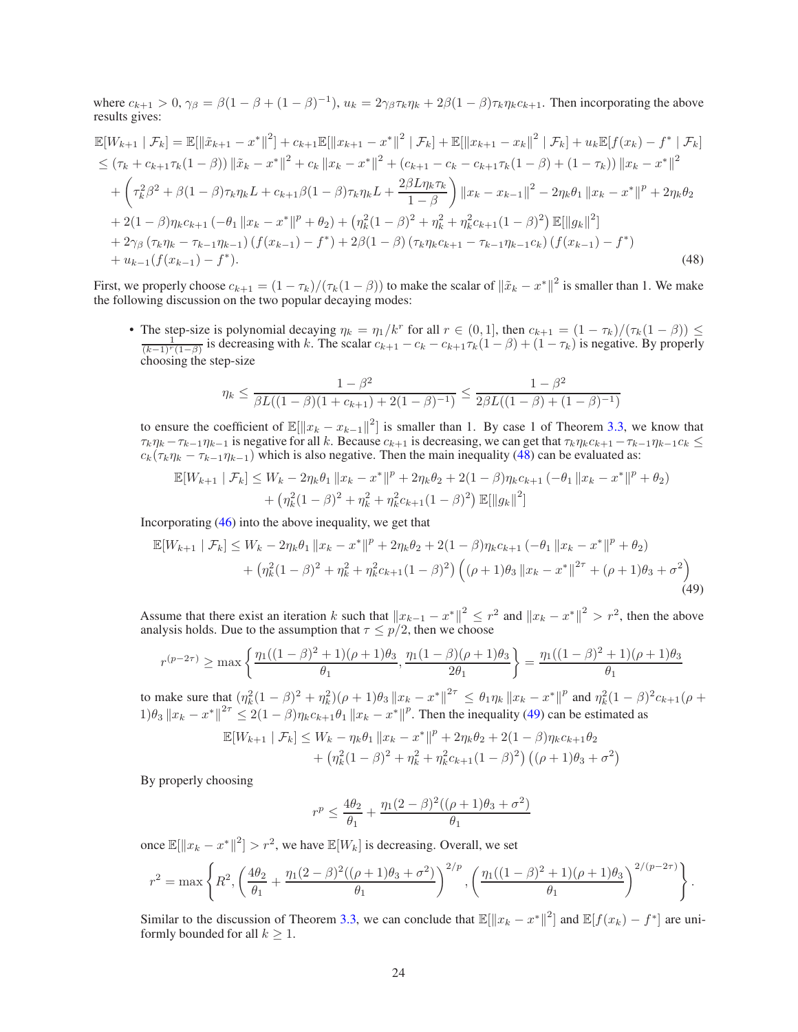where  $c_{k+1} > 0$ ,  $\gamma_{\beta} = \beta(1 - \beta + (1 - \beta)^{-1})$ ,  $u_k = 2\gamma_{\beta}\tau_k\eta_k + 2\beta(1 - \beta)\tau_k\eta_kc_{k+1}$ . Then incorporating the above results gives:

$$
\mathbb{E}[W_{k+1} | \mathcal{F}_k] = \mathbb{E}[\|\tilde{x}_{k+1} - x^*\|^2] + c_{k+1}\mathbb{E}[\|x_{k+1} - x^*\|^2 | \mathcal{F}_k] + \mathbb{E}[\|x_{k+1} - x_k\|^2 | \mathcal{F}_k] + u_k\mathbb{E}[f(x_k) - f^* | \mathcal{F}_k]
$$
  
\n
$$
\leq (\tau_k + c_{k+1}\tau_k(1-\beta)) \|\tilde{x}_k - x^*\|^2 + c_k \|x_k - x^*\|^2 + (c_{k+1} - c_k - c_{k+1}\tau_k(1-\beta) + (1-\tau_k)) \|x_k - x^*\|^2
$$
  
\n
$$
+ \left(\tau_k^2 \beta^2 + \beta(1-\beta)\tau_k\eta_k L + c_{k+1}\beta(1-\beta)\tau_k\eta_k L + \frac{2\beta L\eta_k\tau_k}{1-\beta}\right) \|x_k - x_{k-1}\|^2 - 2\eta_k \theta_1 \|x_k - x^*\|^p + 2\eta_k \theta_2
$$
  
\n
$$
+ 2(1-\beta)\eta_k c_{k+1} (-\theta_1 \|x_k - x^*\|^p + \theta_2) + (\eta_k^2(1-\beta)^2 + \eta_k^2 + \eta_k^2 c_{k+1}(1-\beta)^2) \mathbb{E}[\|g_k\|^2]
$$
  
\n
$$
+ 2\gamma_\beta (\tau_k \eta_k - \tau_{k-1}\eta_{k-1}) (f(x_{k-1}) - f^*) + 2\beta(1-\beta) (\tau_k \eta_k c_{k+1} - \tau_{k-1}\eta_{k-1}c_k) (f(x_{k-1}) - f^*)
$$
  
\n
$$
+ u_{k-1} (f(x_{k-1}) - f^*).
$$
\n(48)

First, we properly choose  $c_{k+1} = (1 - \tau_k)/(\tau_k(1 - \beta))$  to make the scalar of  $\|\tilde{x}_k - x^*\|^2$  is smaller than 1. We make the following discussion on the two popular decaying modes:

• The step-size is polynomial decaying  $\eta_k = \eta_1/k^r$  for all  $r \in (0, 1]$ , then  $c_{k+1} = (1 - \tau_k)/(\tau_k(1 - \beta)) \le \frac{1}{(k-1)^r(1-\beta)}$  is decreasing with k. The scalar  $c_{k+1} - c_k - c_{k+1}\tau_k(1-\beta) + (1 - \tau_k)$  is negative. By properly choosing the step-size

<span id="page-23-0"></span>
$$
\eta_k \le \frac{1-\beta^2}{\beta L((1-\beta)(1+c_{k+1})+2(1-\beta)^{-1})} \le \frac{1-\beta^2}{2\beta L((1-\beta)+(1-\beta)^{-1})}
$$

to ensure the coefficient of  $\mathbb{E}[\Vert x_k - x_{k-1} \Vert^2]$  is smaller than 1. By case 1 of Theorem [3.3,](#page-4-3) we know that  $\tau_k \eta_k - \tau_{k-1} \eta_{k-1}$  is negative for all k. Because  $c_{k+1}$  is decreasing, we can get that  $\tau_k \eta_k c_{k+1} - \tau_{k-1} \eta_{k-1} c_k \leq$  $c_k(\tau_k \eta_k - \tau_{k-1} \eta_{k-1})$  which is also negative. Then the main inequality [\(48\)](#page-23-0) can be evaluated as:

$$
\mathbb{E}[W_{k+1} | \mathcal{F}_k] \le W_k - 2\eta_k \theta_1 \|x_k - x^*\|^p + 2\eta_k \theta_2 + 2(1 - \beta)\eta_k c_{k+1} (-\theta_1 \|x_k - x^*\|^p + \theta_2) + \left(\eta_k^2 (1 - \beta)^2 + \eta_k^2 + \eta_k^2 c_{k+1} (1 - \beta)^2\right) \mathbb{E}[\|g_k\|^2]
$$

Incorporating [\(46\)](#page-21-0) into the above inequality, we get that

$$
\mathbb{E}[W_{k+1} | \mathcal{F}_k] \le W_k - 2\eta_k \theta_1 \|x_k - x^*\|^p + 2\eta_k \theta_2 + 2(1 - \beta)\eta_k c_{k+1} (-\theta_1 \|x_k - x^*\|^p + \theta_2)
$$
  
+ 
$$
(\eta_k^2 (1 - \beta)^2 + \eta_k^2 + \eta_k^2 c_{k+1} (1 - \beta)^2) \left( (\rho + 1)\theta_3 \|x_k - x^*\|^{2\tau} + (\rho + 1)\theta_3 + \sigma^2 \right)
$$
  
(49)

Assume that there exist an iteration k such that  $||x_{k-1} - x^*||^2 \le r^2$  and  $||x_k - x^*||^2 > r^2$ , then the above analysis holds. Due to the assumption that  $\tau \leq p/2$ , then we choose

$$
r^{(p-2\tau)} \ge \max\left\{\frac{\eta_1((1-\beta)^2+1)(\rho+1)\theta_3}{\theta_1}, \frac{\eta_1(1-\beta)(\rho+1)\theta_3}{2\theta_1}\right\} = \frac{\eta_1((1-\beta)^2+1)(\rho+1)\theta_3}{\theta_1}
$$

to make sure that  $(\eta_k^2(1-\beta)^2 + \eta_k^2)(\rho+1)\theta_3 \|x_k - x^*\|^{2\tau} \leq \theta_1 \eta_k \|x_k - x^*\|^p$  and  $\eta_k^2(1-\beta)^2 c_{k+1}(\rho+1)$  $1)\theta_3 \|x_k - x^*\|^2 \leq 2(1-\beta)\eta_k c_{k+1}\theta_1 \|x_k - x^*\|^p$ . Then the inequality [\(49\)](#page-23-1) can be estimated as

$$
\mathbb{E}[W_{k+1} | \mathcal{F}_k] \le W_k - \eta_k \theta_1 \|x_k - x^*\|^p + 2\eta_k \theta_2 + 2(1 - \beta)\eta_k c_{k+1} \theta_2 + \left(\eta_k^2 (1 - \beta)^2 + \eta_k^2 + \eta_k^2 c_{k+1} (1 - \beta)^2\right) \left((\rho + 1)\theta_3 + \sigma^2\right)
$$

By properly choosing

<span id="page-23-1"></span>
$$
r^{p} \le \frac{4\theta_{2}}{\theta_{1}} + \frac{\eta_{1}(2-\beta)^{2}((\rho+1)\theta_{3}+\sigma^{2})}{\theta_{1}}
$$

once  $\mathbb{E}[\Vert x_k - x^* \Vert^2] > r^2$ , we have  $\mathbb{E}[W_k]$  is decreasing. Overall, we set

$$
r^{2} = \max \left\{ R^{2}, \left( \frac{4\theta_{2}}{\theta_{1}} + \frac{\eta_{1}(2-\beta)^{2}((\rho+1)\theta_{3}+\sigma^{2})}{\theta_{1}} \right)^{2/p}, \left( \frac{\eta_{1}((1-\beta)^{2}+1)(\rho+1)\theta_{3}}{\theta_{1}} \right)^{2/(p-2\tau)} \right\}.
$$

Similar to the discussion of Theorem [3.3,](#page-4-3) we can conclude that  $\mathbb{E}[\Vert x_k - x^* \Vert^2]$  and  $\mathbb{E}[f(x_k) - f^*]$  are uniformly bounded for all  $k \geq 1$ .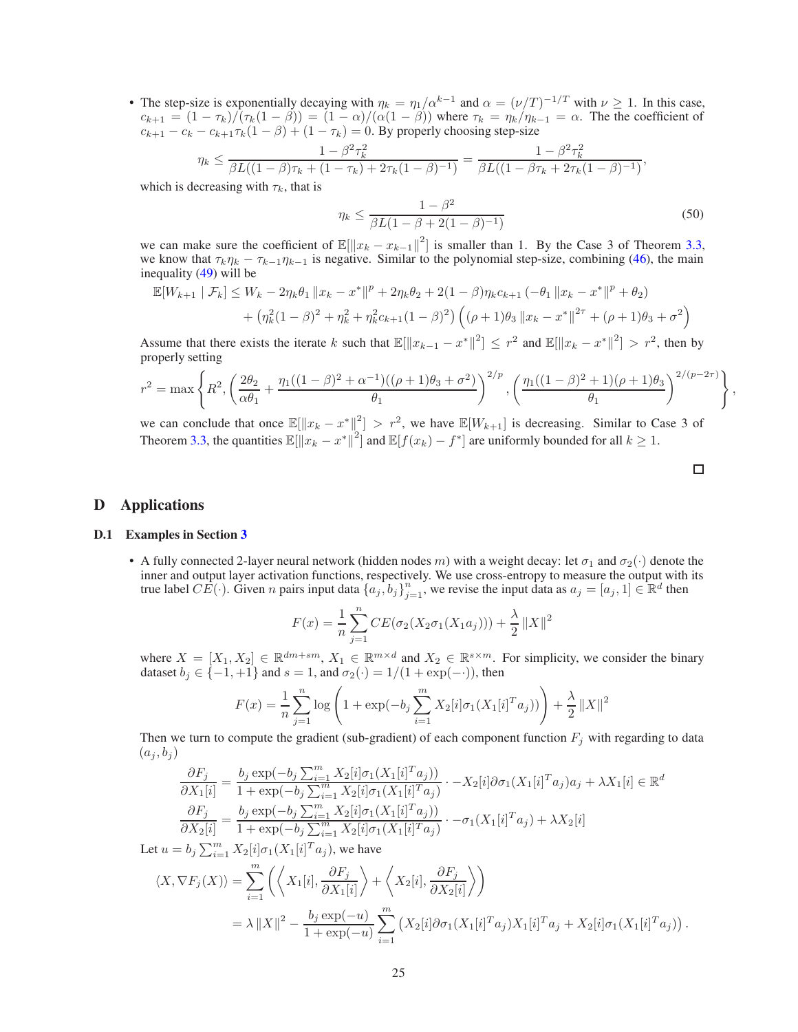• The step-size is exponentially decaying with  $\eta_k = \eta_1/\alpha^{k-1}$  and  $\alpha = (\nu/T)^{-1/T}$  with  $\nu \ge 1$ . In this case,  $c_{k+1} = (1 - \tau_k)/(\tau_k(1 - \beta)) = (1 - \alpha)/(\alpha(1 - \beta))$  where  $\tau_k = \eta_k/\eta_{k-1} = \alpha$ . The the coefficient of  $c_{k+1} - c_k - c_{k+1}\tau_k(1-\beta) + (1-\tau_k) = 0$ . By properly choosing step-size

$$
\eta_k \le \frac{1 - \beta^2 \tau_k^2}{\beta L((1 - \beta)\tau_k + (1 - \tau_k) + 2\tau_k(1 - \beta)^{-1})} = \frac{1 - \beta^2 \tau_k^2}{\beta L((1 - \beta\tau_k + 2\tau_k(1 - \beta)^{-1})},
$$
  
decreasing with  $\tau_k$  that is

which is decreasing with  $\tau_k$ , that is

$$
\eta_k \le \frac{1 - \beta^2}{\beta L (1 - \beta + 2(1 - \beta)^{-1})} \tag{50}
$$

we can make sure the coefficient of  $\mathbb{E}[\Vert x_k - x_{k-1} \Vert^2]$  is smaller than 1. By the Case 3 of Theorem [3.3,](#page-4-3) we know that  $\tau_k \eta_k - \tau_{k-1} \eta_{k-1}$  is negative. Similar to the polynomial step-size, combining [\(46\)](#page-21-0), the main inequality [\(49\)](#page-23-1) will be

$$
\mathbb{E}[W_{k+1} | \mathcal{F}_k] \le W_k - 2\eta_k \theta_1 \|x_k - x^*\|^p + 2\eta_k \theta_2 + 2(1-\beta)\eta_k c_{k+1} (-\theta_1 \|x_k - x^*\|^p + \theta_2)
$$
  
+ 
$$
(\eta_k^2 (1-\beta)^2 + \eta_k^2 + \eta_k^2 c_{k+1} (1-\beta)^2) \left( (\rho+1)\theta_3 \|x_k - x^*\|^{2\tau} + (\rho+1)\theta_3 + \sigma^2 \right)
$$

Assume that there exists the iterate k such that  $\mathbb{E}[\Vert x_{k-1} - x^* \Vert^2] \leq r^2$  and  $\mathbb{E}[\Vert x_k - x^* \Vert^2] > r^2$ , then by properly setting

$$
r^{2} = \max \left\{ R^{2}, \left( \frac{2\theta_{2}}{\alpha\theta_{1}} + \frac{\eta_{1}((1-\beta)^{2} + \alpha^{-1})((\rho+1)\theta_{3} + \sigma^{2})}{\theta_{1}} \right)^{2/p}, \left( \frac{\eta_{1}((1-\beta)^{2} + 1)(\rho+1)\theta_{3}}{\theta_{1}} \right)^{2/(p-2\tau)} \right\},\,
$$

we can conclude that once  $\mathbb{E}[\Vert x_k - x^* \Vert^2] > r^2$ , we have  $\mathbb{E}[W_{k+1}]$  is decreasing. Similar to Case 3 of Theorem [3.3,](#page-4-3) the quantities  $\mathbb{E}[\Vert x_k - x^* \Vert^2]$  and  $\mathbb{E}[f(x_k) - f^*]$  are uniformly bounded for all  $k \geq 1$ .

# <span id="page-24-1"></span><span id="page-24-0"></span>D Applications

## D.1 Examples in Section [3](#page-2-4)

• A fully connected 2-layer neural network (hidden nodes m) with a weight decay: let  $\sigma_1$  and  $\sigma_2(\cdot)$  denote the inner and output layer activation functions, respectively. We use cross-entropy to measure the output with its true label  $CE(\cdot)$ . Given n pairs input data  $\{a_j, b_j\}_{j=1}^n$ , we revise the input data as  $a_j = [a_j, 1] \in \mathbb{R}^d$  then

$$
F(x) = \frac{1}{n} \sum_{j=1}^{n} CE(\sigma_2(X_2 \sigma_1(X_1 a_j))) + \frac{\lambda}{2} ||X||^2
$$

where  $X = [X_1, X_2] \in \mathbb{R}^{dm+sm}$ ,  $X_1 \in \mathbb{R}^{m \times d}$  and  $X_2 \in \mathbb{R}^{s \times m}$ . For simplicity, we consider the binary dataset  $b_j \in \{-1, +1\}$  and  $s = 1$ , and  $\sigma_2(\cdot) = 1/(1 + \exp(-\cdot))$ , then

$$
F(x) = \frac{1}{n} \sum_{j=1}^{n} \log \left( 1 + \exp(-b_j \sum_{i=1}^{m} X_2[i] \sigma_1(X_1[i]^T a_j)) \right) + \frac{\lambda}{2} ||X||^2
$$

Then we turn to compute the gradient (sub-gradient) of each component function  $F_i$  with regarding to data  $(a_j, b_j)$ 

$$
\frac{\partial F_j}{\partial X_1[i]} = \frac{b_j \exp(-b_j \sum_{i=1}^m X_2[i] \sigma_1(X_1[i]^T a_j))}{1 + \exp(-b_j \sum_{i=1}^m X_2[i] \sigma_1(X_1[i]^T a_j)} \cdot -X_2[i] \partial \sigma_1(X_1[i]^T a_j) a_j + \lambda X_1[i] \in \mathbb{R}^d
$$
  

$$
\frac{\partial F_j}{\partial X_2[i]} = \frac{b_j \exp(-b_j \sum_{i=1}^m X_2[i] \sigma_1(X_1[i]^T a_j))}{1 + \exp(-b_j \sum_{i=1}^m X_2[i] \sigma_1(X_1[i]^T a_j)} \cdot -\sigma_1(X_1[i]^T a_j) + \lambda X_2[i]
$$

Let  $u = b_j \sum_{i=1}^m X_2[i] \sigma_1(X_1[i]^T a_j)$ , we have

$$
\langle X, \nabla F_j(X) \rangle = \sum_{i=1}^m \left( \left\langle X_1[i], \frac{\partial F_j}{\partial X_1[i]} \right\rangle + \left\langle X_2[i], \frac{\partial F_j}{\partial X_2[i]} \right\rangle \right)
$$
  
=  $\lambda ||X||^2 - \frac{b_j \exp(-u)}{1 + \exp(-u)} \sum_{i=1}^m \left( X_2[i] \partial \sigma_1 (X_1[i]^T a_j) X_1[i]^T a_j + X_2[i] \sigma_1 (X_1[i]^T a_j) \right).$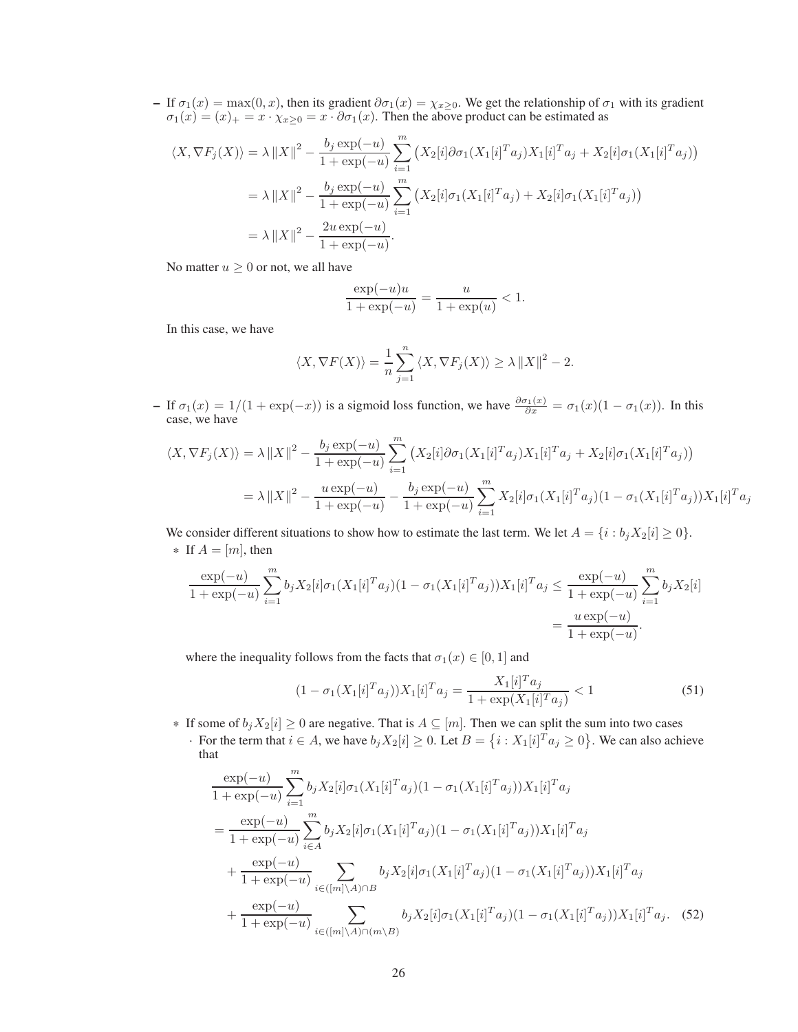– If  $\sigma_1(x) = \max(0, x)$ , then its gradient  $\partial \sigma_1(x) = \chi_{x \geq 0}$ . We get the relationship of  $\sigma_1$  with its gradient  $\sigma_1(x) = (x)_+ = x \cdot \chi_{x \geq 0} = x \cdot \partial \sigma_1(x)$ . Then the above product can be estimated as

$$
\langle X, \nabla F_j(X) \rangle = \lambda \|X\|^2 - \frac{b_j \exp(-u)}{1 + \exp(-u)} \sum_{i=1}^m (X_2[i] \partial \sigma_1 (X_1[i]^T a_j) X_1[i]^T a_j + X_2[i] \sigma_1 (X_1[i]^T a_j))
$$
  

$$
= \lambda \|X\|^2 - \frac{b_j \exp(-u)}{1 + \exp(-u)} \sum_{i=1}^m (X_2[i] \sigma_1 (X_1[i]^T a_j) + X_2[i] \sigma_1 (X_1[i]^T a_j))
$$
  

$$
= \lambda \|X\|^2 - \frac{2u \exp(-u)}{1 + \exp(-u)}.
$$

No matter  $u \geq 0$  or not, we all have

$$
\frac{\exp(-u)u}{1 + \exp(-u)} = \frac{u}{1 + \exp(u)} < 1.
$$

In this case, we have

$$
\langle X, \nabla F(X) \rangle = \frac{1}{n} \sum_{j=1}^{n} \langle X, \nabla F_j(X) \rangle \ge \lambda ||X||^2 - 2.
$$

– If  $\sigma_1(x) = 1/(1 + \exp(-x))$  is a sigmoid loss function, we have  $\frac{\partial \sigma_1(x)}{\partial x} = \sigma_1(x)(1 - \sigma_1(x))$ . In this case, we have

$$
\langle X, \nabla F_j(X) \rangle = \lambda ||X||^2 - \frac{b_j \exp(-u)}{1 + \exp(-u)} \sum_{i=1}^m (X_2[i] \partial \sigma_1 (X_1[i]^T a_j) X_1[i]^T a_j + X_2[i] \sigma_1 (X_1[i]^T a_j))
$$
  

$$
= \lambda ||X||^2 - \frac{u \exp(-u)}{1 + \exp(-u)} - \frac{b_j \exp(-u)}{1 + \exp(-u)} \sum_{i=1}^m X_2[i] \sigma_1 (X_1[i]^T a_j) (1 - \sigma_1 (X_1[i]^T a_j)) X_1[i]^T a_j
$$

We consider different situations to show how to estimate the last term. We let  $A = \{i : b_j X_2[i] \geq 0\}.$ \* If  $A = [m]$ , then

$$
\frac{\exp(-u)}{1 + \exp(-u)} \sum_{i=1}^{m} b_j X_2[i] \sigma_1(X_1[i]^T a_j)(1 - \sigma_1(X_1[i]^T a_j)) X_1[i]^T a_j \le \frac{\exp(-u)}{1 + \exp(-u)} \sum_{i=1}^{m} b_j X_2[i]
$$

$$
= \frac{u \exp(-u)}{1 + \exp(-u)}.
$$

where the inequality follows from the facts that  $\sigma_1(x) \in [0,1]$  and

<span id="page-25-1"></span><span id="page-25-0"></span>
$$
(1 - \sigma_1(X_1[i]^T a_j))X_1[i]^T a_j = \frac{X_1[i]^T a_j}{1 + \exp(X_1[i]^T a_j)} < 1
$$
\n(51)

- \* If some of  $b_jX_2[i] \geq 0$  are negative. That is  $A \subseteq [m]$ . Then we can split the sum into two cases
	- $\cdot$  For the term that  $i \in A$ , we have  $b_j X_2[i] \geq 0$ . Let  $B = \{i : X_1[i]^T a_j \geq 0\}$ . We can also achieve that

$$
\frac{\exp(-u)}{1 + \exp(-u)} \sum_{i=1}^{m} b_{j} X_{2}[i] \sigma_{1}(X_{1}[i]^{T} a_{j})(1 - \sigma_{1}(X_{1}[i]^{T} a_{j})) X_{1}[i]^{T} a_{j}
$$
\n
$$
= \frac{\exp(-u)}{1 + \exp(-u)} \sum_{i \in A}^{m} b_{j} X_{2}[i] \sigma_{1}(X_{1}[i]^{T} a_{j})(1 - \sigma_{1}(X_{1}[i]^{T} a_{j})) X_{1}[i]^{T} a_{j}
$$
\n
$$
+ \frac{\exp(-u)}{1 + \exp(-u)} \sum_{i \in ([m] \setminus A) \cap B} b_{j} X_{2}[i] \sigma_{1}(X_{1}[i]^{T} a_{j})(1 - \sigma_{1}(X_{1}[i]^{T} a_{j})) X_{1}[i]^{T} a_{j}
$$
\n
$$
+ \frac{\exp(-u)}{1 + \exp(-u)} \sum_{i \in ([m] \setminus A) \cap (m \setminus B)} b_{j} X_{2}[i] \sigma_{1}(X_{1}[i]^{T} a_{j})(1 - \sigma_{1}(X_{1}[i]^{T} a_{j})) X_{1}[i]^{T} a_{j}.
$$
\n(52)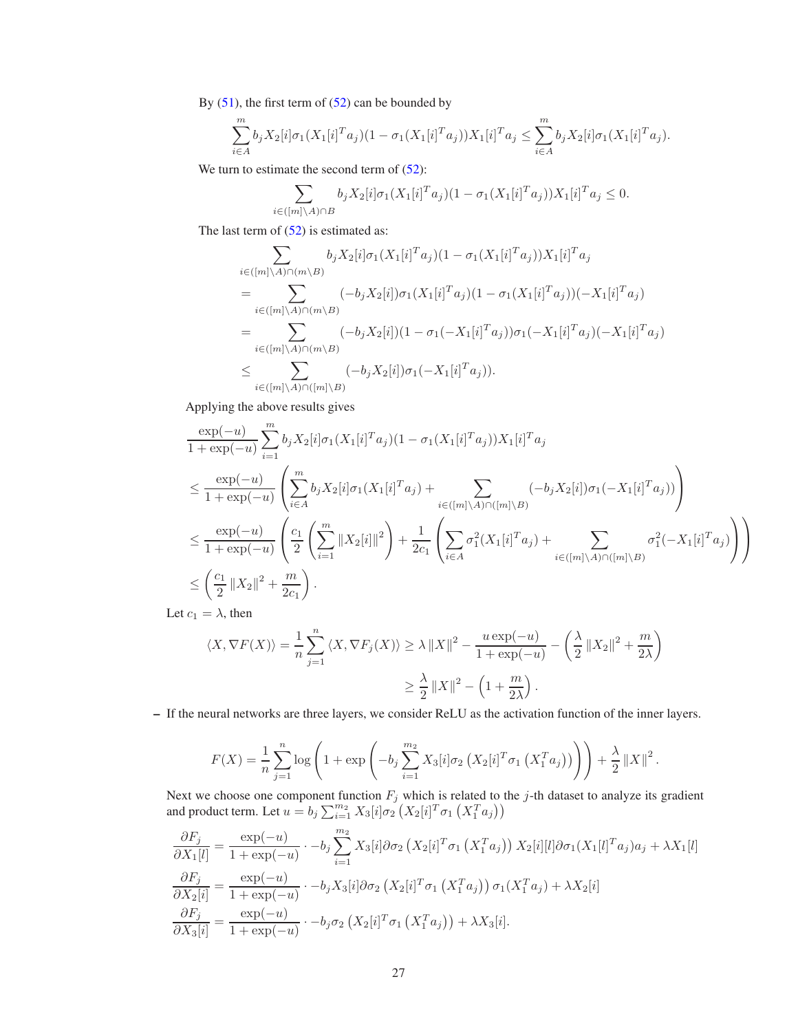By  $(51)$ , the first term of  $(52)$  can be bounded by

$$
\sum_{i\in A}^m b_j X_2[i] \sigma_1(X_1[i]^T a_j)(1-\sigma_1(X_1[i]^T a_j))X_1[i]^T a_j \leq \sum_{i\in A}^m b_j X_2[i] \sigma_1(X_1[i]^T a_j).
$$

We turn to estimate the second term of  $(52)$ :

$$
\sum_{i \in ([m] \backslash A) \cap B} b_j X_2[i] \sigma_1(X_1[i]^T a_j)(1 - \sigma_1(X_1[i]^T a_j)) X_1[i]^T a_j \leq 0.
$$

The last term of  $(52)$  is estimated as:

$$
\sum_{i \in ([m] \backslash A) \cap (m \backslash B)} b_j X_2[i] \sigma_1 (X_1[i]^T a_j)(1 - \sigma_1 (X_1[i]^T a_j)) X_1[i]^T a_j
$$
\n
$$
= \sum_{i \in ([m] \backslash A) \cap (m \backslash B)} (-b_j X_2[i]) \sigma_1 (X_1[i]^T a_j)(1 - \sigma_1 (X_1[i]^T a_j))(-X_1[i]^T a_j)
$$
\n
$$
= \sum_{i \in ([m] \backslash A) \cap (m \backslash B)} (-b_j X_2[i])(1 - \sigma_1 (-X_1[i]^T a_j)) \sigma_1 (-X_1[i]^T a_j)(-X_1[i]^T a_j)
$$
\n
$$
\leq \sum_{i \in ([m] \backslash A) \cap ([m] \backslash B)} (-b_j X_2[i]) \sigma_1 (-X_1[i]^T a_j)).
$$

Applying the above results gives

$$
\frac{\exp(-u)}{1 + \exp(-u)} \sum_{i=1}^{m} b_{j} X_{2}[i] \sigma_{1}(X_{1}[i]^{T} a_{j})(1 - \sigma_{1}(X_{1}[i]^{T} a_{j})) X_{1}[i]^{T} a_{j}
$$
\n
$$
\leq \frac{\exp(-u)}{1 + \exp(-u)} \left( \sum_{i \in A}^{m} b_{j} X_{2}[i] \sigma_{1}(X_{1}[i]^{T} a_{j}) + \sum_{i \in ([m] \backslash A) \cap ([m] \backslash B)} (-b_{j} X_{2}[i]) \sigma_{1}(-X_{1}[i]^{T} a_{j})) \right)
$$
\n
$$
\leq \frac{\exp(-u)}{1 + \exp(-u)} \left( \frac{c_{1}}{2} \left( \sum_{i=1}^{m} \|X_{2}[i]\|^{2} \right) + \frac{1}{2c_{1}} \left( \sum_{i \in A} \sigma_{1}^{2}(X_{1}[i]^{T} a_{j}) + \sum_{i \in ([m] \backslash A) \cap ([m] \backslash B)} \sigma_{1}^{2}(-X_{1}[i]^{T} a_{j}) \right) \right)
$$
\n
$$
\leq \left( \frac{c_{1}}{2} \|X_{2}\|^{2} + \frac{m}{2c_{1}} \right).
$$

Let  $c_1 = \lambda$ , then

$$
\langle X, \nabla F(X) \rangle = \frac{1}{n} \sum_{j=1}^{n} \langle X, \nabla F_j(X) \rangle \ge \lambda ||X||^2 - \frac{u \exp(-u)}{1 + \exp(-u)} - \left(\frac{\lambda}{2} ||X_2||^2 + \frac{m}{2\lambda}\right)
$$
  

$$
\ge \frac{\lambda}{2} ||X||^2 - \left(1 + \frac{m}{2\lambda}\right).
$$

– If the neural networks are three layers, we consider ReLU as the activation function of the inner layers.

$$
F(X) = \frac{1}{n} \sum_{j=1}^{n} \log \left( 1 + \exp \left( -b_j \sum_{i=1}^{m_2} X_3[i] \sigma_2 \left( X_2[i]^T \sigma_1 \left( X_1^T a_j \right) \right) \right) + \frac{\lambda}{2} ||X||^2.
$$

Next we choose one component function  $F_j$  which is related to the j-th dataset to analyze its gradient and product term. Let  $u = b_j \sum_{i=1}^{m_2} X_3[i] \sigma_2 \left( X_2[i]^T \sigma_1 \left( X_1^T a_j \right) \right)$ 

$$
\frac{\partial F_j}{\partial X_1[l]} = \frac{\exp(-u)}{1 + \exp(-u)} \cdot -b_j \sum_{i=1}^{m_2} X_3[i] \partial \sigma_2 (X_2[i]^T \sigma_1 (X_1^T a_j)) X_2[i][l] \partial \sigma_1 (X_1[l]^T a_j) a_j + \lambda X_1[l]
$$

$$
\frac{\partial F_j}{\partial X_2[i]} = \frac{\exp(-u)}{1 + \exp(-u)} \cdot -b_j X_3[i] \partial \sigma_2 (X_2[i]^T \sigma_1 (X_1^T a_j)) \sigma_1 (X_1^T a_j) + \lambda X_2[i]
$$

$$
\frac{\partial F_j}{\partial X_3[i]} = \frac{\exp(-u)}{1 + \exp(-u)} \cdot -b_j \sigma_2 (X_2[i]^T \sigma_1 (X_1^T a_j)) + \lambda X_3[i].
$$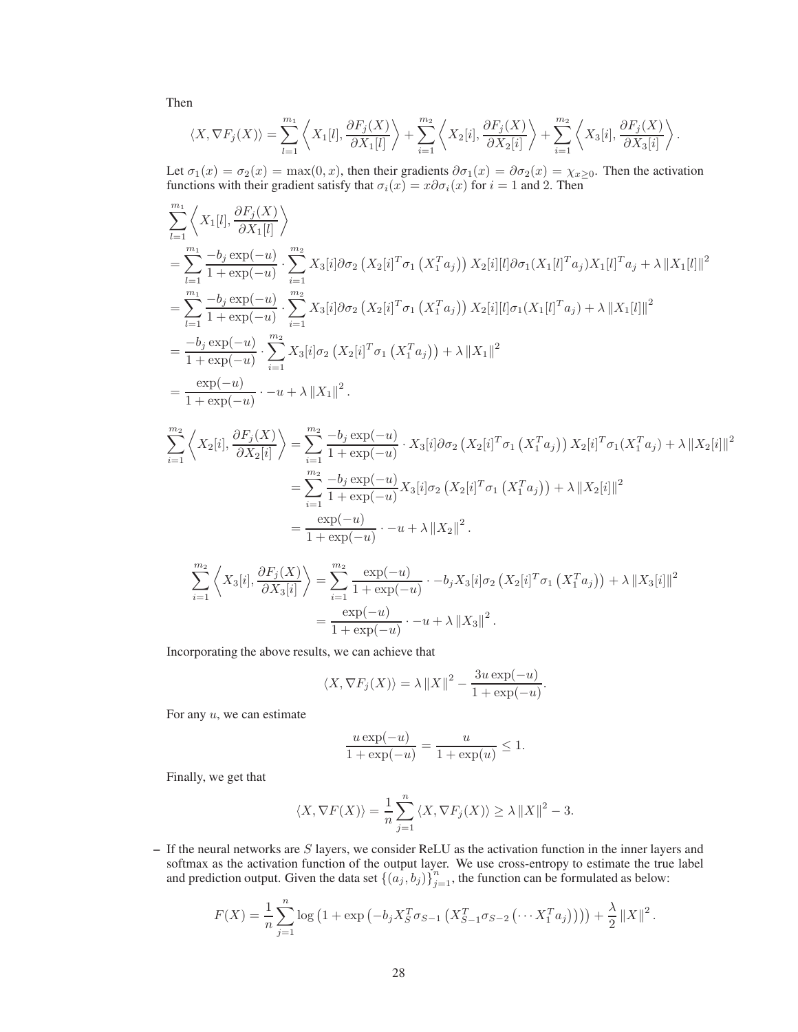Then

$$
\langle X, \nabla F_j(X) \rangle = \sum_{l=1}^{m_1} \left\langle X_1[l], \frac{\partial F_j(X)}{\partial X_1[l]} \right\rangle + \sum_{i=1}^{m_2} \left\langle X_2[i], \frac{\partial F_j(X)}{\partial X_2[i]} \right\rangle + \sum_{i=1}^{m_2} \left\langle X_3[i], \frac{\partial F_j(X)}{\partial X_3[i]} \right\rangle.
$$

Let  $\sigma_1(x) = \sigma_2(x) = \max(0, x)$ , then their gradients  $\partial \sigma_1(x) = \partial \sigma_2(x) = \chi_{x \geq 0}$ . Then the activation functions with their gradient satisfy that  $\sigma_i(x) = x \partial \sigma_i(x)$  for  $i = 1$  and 2. Then

$$
\sum_{l=1}^{m_1} \left\langle X_1[l], \frac{\partial F_j(X)}{\partial X_1[l]} \right\rangle
$$
\n  
\n
$$
= \sum_{l=1}^{m_1} \frac{-b_j \exp(-u)}{1 + \exp(-u)} \cdot \sum_{i=1}^{m_2} X_3[i] \partial \sigma_2 (X_2[i]^T \sigma_1 (X_1^T a_j)) X_2[i][l] \partial \sigma_1 (X_1[l]^T a_j) X_1[l]^T a_j + \lambda ||X_1[l]||^2
$$
\n  
\n
$$
= \sum_{l=1}^{m_1} \frac{-b_j \exp(-u)}{1 + \exp(-u)} \cdot \sum_{i=1}^{m_2} X_3[i] \partial \sigma_2 (X_2[i]^T \sigma_1 (X_1^T a_j)) X_2[i][l] \sigma_1 (X_1[l]^T a_j) + \lambda ||X_1[l]||^2
$$
\n  
\n
$$
= \frac{-b_j \exp(-u)}{1 + \exp(-u)} \cdot \sum_{i=1}^{m_2} X_3[i] \sigma_2 (X_2[i]^T \sigma_1 (X_1^T a_j)) + \lambda ||X_1||^2
$$
\n  
\n
$$
= \frac{\exp(-u)}{1 + \exp(-u)} \cdot -u + \lambda ||X_1||^2.
$$

$$
\sum_{i=1}^{m_2} \left\langle X_2[i], \frac{\partial F_j(X)}{\partial X_2[i]} \right\rangle = \sum_{i=1}^{m_2} \frac{-b_j \exp(-u)}{1 + \exp(-u)} \cdot X_3[i] \partial \sigma_2 \left(X_2[i]^T \sigma_1 \left(X_1^T a_j\right)\right) X_2[i]^T \sigma_1 (X_1^T a_j) + \lambda \|X_2[i]\|^2
$$
  
\n
$$
= \sum_{i=1}^{m_2} \frac{-b_j \exp(-u)}{1 + \exp(-u)} X_3[i] \sigma_2 \left(X_2[i]^T \sigma_1 \left(X_1^T a_j\right)\right) + \lambda \|X_2[i]\|^2
$$
  
\n
$$
= \frac{\exp(-u)}{1 + \exp(-u)} \cdot -u + \lambda \|X_2\|^2.
$$
  
\n
$$
\sum_{i=1}^{m_2} \left\langle X_3[i], \frac{\partial F_j(X)}{\partial X_3[i]} \right\rangle = \sum_{i=1}^{m_2} \frac{\exp(-u)}{1 + \exp(-u)} \cdot -b_j X_3[i] \sigma_2 \left(X_2[i]^T \sigma_1 \left(X_1^T a_j\right)\right) + \lambda \|X_3[i]\|^2
$$
  
\n
$$
= \frac{\exp(-u)}{1 + \exp(-u)} \cdot -u + \lambda \|X_3\|^2.
$$

Incorporating the above results, we can achieve that

$$
\langle X, \nabla F_j(X) \rangle = \lambda ||X||^2 - \frac{3u \exp(-u)}{1 + \exp(-u)}.
$$

For any  $u$ , we can estimate

$$
\frac{u \exp(-u)}{1 + \exp(-u)} = \frac{u}{1 + \exp(u)} \le 1.
$$

Finally, we get that

$$
\langle X, \nabla F(X) \rangle = \frac{1}{n} \sum_{j=1}^{n} \langle X, \nabla F_j(X) \rangle \ge \lambda ||X||^2 - 3.
$$

 $-$  If the neural networks are  $S$  layers, we consider ReLU as the activation function in the inner layers and softmax as the activation function of the output layer. We use cross-entropy to estimate the true label and prediction output. Given the data set  $\{(a_j, b_j)\}_{j=1}^n$ , the function can be formulated as below:

$$
F(X) = \frac{1}{n} \sum_{j=1}^{n} \log (1 + \exp(-b_j X_S^T \sigma_{S-1} (X_{S-1}^T \sigma_{S-2} ( \cdots X_1^T a_j) ) ) ) + \frac{\lambda}{2} ||X||^2.
$$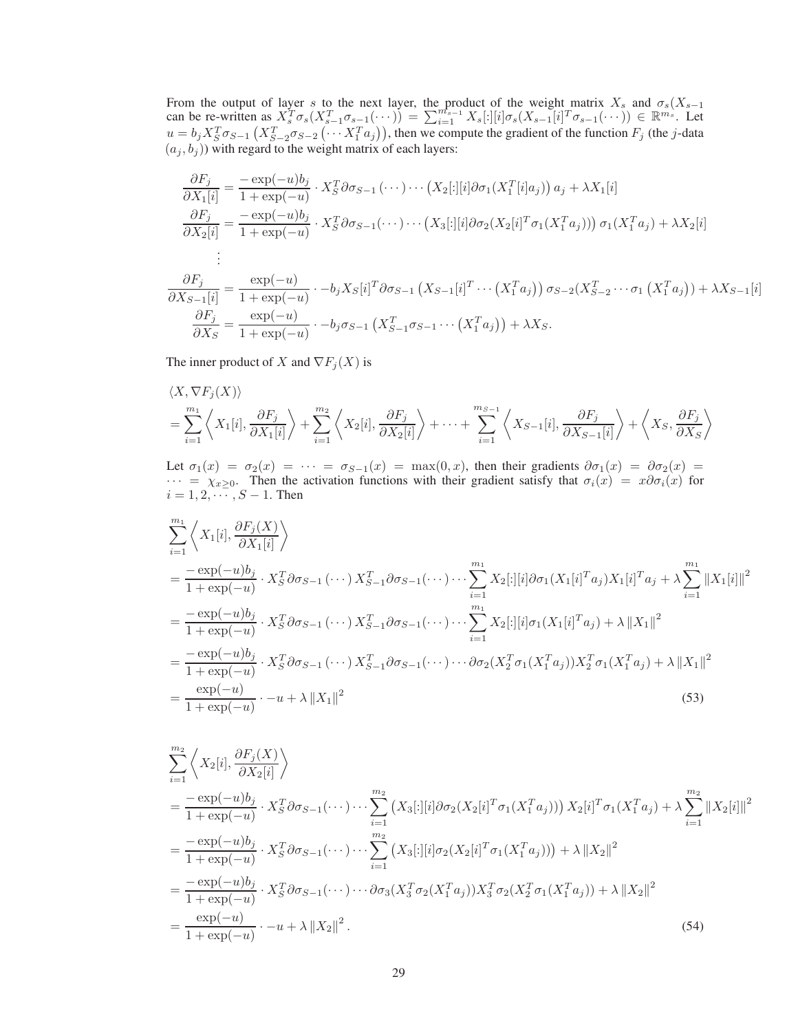From the output of layer s to the next layer, the product of the weight matrix  $X_s$  and  $\sigma_s(X_{s-1})$ can be re-written as  $X_s^T \sigma_s(X_{s-1}^T \sigma_{s-1}(\cdots)) = \sum_{i=1}^{m_{s-1}} X_s[:][i] \sigma_s(X_{s-1}[i]^T \sigma_{s-1}(\cdots)) \in \mathbb{R}^{m_s}$ . Let  $u = b_j X_S^T \sigma_{S-1} (X_{S-2}^T \sigma_{S-2} ( \cdots X_1^T a_j)),$  then we compute the gradient of the function  $F_j$  (the j-data  $(a_j, b_j)$ ) with regard to the weight matrix of each layers:

$$
\frac{\partial F_j}{\partial X_1[i]} = \frac{-\exp(-u)b_j}{1 + \exp(-u)} \cdot X_S^T \partial \sigma_{S-1} (\cdots) \cdots (X_2[:][i] \partial \sigma_1 (X_1^T[i]a_j)) a_j + \lambda X_1[i]
$$
  

$$
\frac{\partial F_j}{\partial X_2[i]} = \frac{-\exp(-u)b_j}{1 + \exp(-u)} \cdot X_S^T \partial \sigma_{S-1} (\cdots) \cdots (X_3[:][i] \partial \sigma_2 (X_2[i]^T \sigma_1 (X_1^T a_j))) \sigma_1 (X_1^T a_j) + \lambda X_2[i]
$$
  
...

$$
\frac{\partial F_j}{\partial X_{S-1}[i]} = \frac{\exp(-u)}{1 + \exp(-u)} \cdot -b_j X_S[i]^T \partial \sigma_{S-1} (X_{S-1}[i]^T \cdots (X_1^T a_j)) \sigma_{S-2} (X_{S-2}^T \cdots \sigma_1 (X_1^T a_j)) + \lambda X_{S-1}[i]
$$

$$
\frac{\partial F_j}{\partial X_S} = \frac{\exp(-u)}{1 + \exp(-u)} \cdot -b_j \sigma_{S-1} (X_{S-1}^T \sigma_{S-1} \cdots (X_1^T a_j)) + \lambda X_S.
$$

The inner product of X and  $\nabla F_j(X)$  is

$$
\langle X, \nabla F_j(X) \rangle
$$
  
=  $\sum_{i=1}^{m_1} \left\langle X_1[i], \frac{\partial F_j}{\partial X_1[i]} \right\rangle + \sum_{i=1}^{m_2} \left\langle X_2[i], \frac{\partial F_j}{\partial X_2[i]} \right\rangle + \dots + \sum_{i=1}^{m_{S-1}} \left\langle X_{S-1}[i], \frac{\partial F_j}{\partial X_{S-1}[i]} \right\rangle + \left\langle X_S, \frac{\partial F_j}{\partial X_S} \right\rangle$ 

Let  $\sigma_1(x) = \sigma_2(x) = \cdots = \sigma_{S-1}(x) = \max(0, x)$ , then their gradients  $\partial \sigma_1(x) = \partial \sigma_2(x) =$  $\cdots = \chi_{x\geq 0}$ . Then the activation functions with their gradient satisfy that  $\sigma_i(x) = x\partial \sigma_i(x)$  for  $i = 1, 2, \dots, S - 1$ . Then

$$
\sum_{i=1}^{m_1} \left\langle X_1[i], \frac{\partial F_j(X)}{\partial X_1[i]} \right\rangle
$$
\n
$$
= \frac{-\exp(-u)b_j}{1 + \exp(-u)} \cdot X_S^T \partial \sigma_{S-1}(\cdots) X_{S-1}^T \partial \sigma_{S-1}(\cdots) \cdots \sum_{i=1}^{m_1} X_2[:][i] \partial \sigma_1(X_1[i]^T a_j) X_1[i]^T a_j + \lambda \sum_{i=1}^{m_1} ||X_1[i]||^2
$$
\n
$$
= \frac{-\exp(-u)b_j}{1 + \exp(-u)} \cdot X_S^T \partial \sigma_{S-1}(\cdots) X_{S-1}^T \partial \sigma_{S-1}(\cdots) \cdots \sum_{i=1}^{m_1} X_2[:][i] \sigma_1(X_1[i]^T a_j) + \lambda ||X_1||^2
$$
\n
$$
= \frac{-\exp(-u)b_j}{1 + \exp(-u)} \cdot X_S^T \partial \sigma_{S-1}(\cdots) X_{S-1}^T \partial \sigma_{S-1}(\cdots) \cdots \partial \sigma_2(X_2^T \sigma_1(X_1^T a_j)) X_2^T \sigma_1(X_1^T a_j) + \lambda ||X_1||^2
$$
\n
$$
= \frac{\exp(-u)}{1 + \exp(-u)} \cdot -u + \lambda ||X_1||^2
$$
\n(53)

$$
\sum_{i=1}^{m_2} \left\langle X_2[i], \frac{\partial F_j(X)}{\partial X_2[i]} \right\rangle
$$
\n
$$
= \frac{-\exp(-u)b_j}{1 + \exp(-u)} \cdot X_S^T \partial \sigma_{S-1}(\cdots) \cdots \sum_{i=1}^{m_2} \left( X_3[:][i] \partial \sigma_2(X_2[i]^T \sigma_1(X_1^T a_j)) \right) X_2[i]^T \sigma_1(X_1^T a_j) + \lambda \sum_{i=1}^{m_2} \|X_2[i]\|^2
$$
\n
$$
= \frac{-\exp(-u)b_j}{1 + \exp(-u)} \cdot X_S^T \partial \sigma_{S-1}(\cdots) \cdots \sum_{i=1}^{m_2} \left( X_3[:][i] \sigma_2(X_2[i]^T \sigma_1(X_1^T a_j)) \right) + \lambda \|X_2\|^2
$$
\n
$$
= \frac{-\exp(-u)b_j}{1 + \exp(-u)} \cdot X_S^T \partial \sigma_{S-1}(\cdots) \cdots \partial \sigma_3(X_3^T \sigma_2(X_1^T a_j)) X_3^T \sigma_2(X_2^T \sigma_1(X_1^T a_j)) + \lambda \|X_2\|^2
$$
\n
$$
= \frac{\exp(-u)}{1 + \exp(-u)} \cdot -u + \lambda \|X_2\|^2. \tag{54}
$$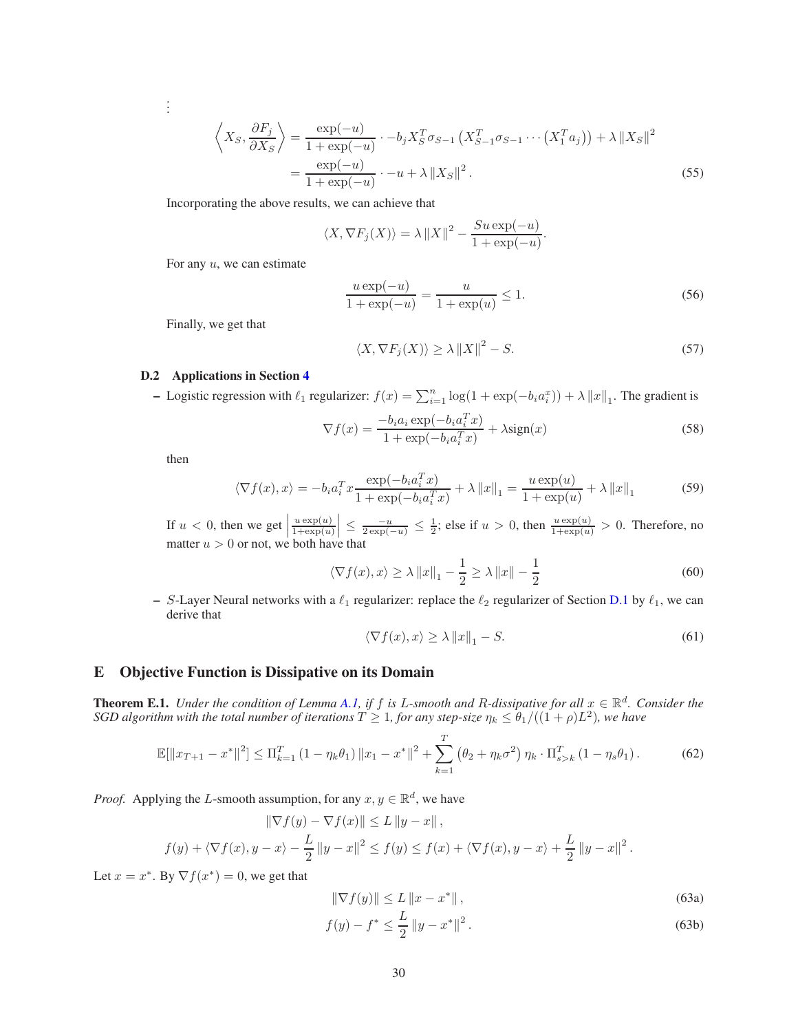$$
\left\langle X_S, \frac{\partial F_j}{\partial X_S} \right\rangle = \frac{\exp(-u)}{1 + \exp(-u)} \cdot -b_j X_S^T \sigma_{S-1} \left( X_{S-1}^T \sigma_{S-1} \cdots \left( X_1^T a_j \right) \right) + \lambda \| X_S \|^2
$$

$$
= \frac{\exp(-u)}{1 + \exp(-u)} \cdot -u + \lambda \| X_S \|^2. \tag{55}
$$

Incorporating the above results, we can achieve that

$$
\langle X, \nabla F_j(X) \rangle = \lambda ||X||^2 - \frac{S u \exp(-u)}{1 + \exp(-u)}.
$$

For any  $u$ , we can estimate

$$
\frac{u \exp(-u)}{1 + \exp(-u)} = \frac{u}{1 + \exp(u)} \le 1.
$$
\n(56)

Finally, we get that

$$
\langle X, \nabla F_j(X) \rangle \ge \lambda \|X\|^2 - S. \tag{57}
$$

## D.2 Applications in Section [4](#page-5-4)

- Logistic regression with  $\ell_1$  regularizer:  $f(x) = \sum_{i=1}^n \log(1 + \exp(-b_i a_i^x)) + \lambda ||x||_1$ . The gradient is

$$
\nabla f(x) = \frac{-b_i a_i \exp(-b_i a_i^T x)}{1 + \exp(-b_i a_i^T x)} + \lambda \text{sign}(x)
$$
\n(58)

then

. . .

$$
\langle \nabla f(x), x \rangle = -b_i a_i^T x \frac{\exp(-b_i a_i^T x)}{1 + \exp(-b_i a_i^T x)} + \lambda \|x\|_1 = \frac{u \exp(u)}{1 + \exp(u)} + \lambda \|x\|_1
$$
 (59)

If  $u < 0$ , then we get  $u \exp(u)$  $\frac{u \exp(u)}{1 + \exp(u)} \le \frac{-u}{2 \exp(-u)} \le \frac{1}{2}$ ; else if  $u > 0$ , then  $\frac{u \exp(u)}{1 + \exp(u)} > 0$ . Therefore, no matter  $u > 0$  or not, we both have that

$$
\langle \nabla f(x), x \rangle \ge \lambda \|x\|_1 - \frac{1}{2} \ge \lambda \|x\| - \frac{1}{2}
$$
\n(60)

– S-Layer Neural networks with a  $\ell_1$  regularizer: replace the  $\ell_2$  regularizer of Section [D.1](#page-24-1) by  $\ell_1$ , we can derive that

$$
\langle \nabla f(x), x \rangle \ge \lambda \|x\|_1 - S. \tag{61}
$$

## <span id="page-29-0"></span>E Objective Function is Dissipative on its Domain

<span id="page-29-1"></span>**Theorem E.1.** *Under the condition of Lemma [A.1,](#page-9-3) if* f *is L-smooth and R-dissipative for all*  $x \in \mathbb{R}^d$ *. Consider the SGD algorithm with the total number of iterations*  $T \geq 1$ *, for any step-size*  $\eta_k \leq \theta_1/((1+\rho)L^2)$ *, we have* 

$$
\mathbb{E}[\|x_{T+1} - x^*\|^2] \le \Pi_{k=1}^T \left(1 - \eta_k \theta_1\right) \|x_1 - x^*\|^2 + \sum_{k=1}^T \left(\theta_2 + \eta_k \sigma^2\right) \eta_k \cdot \Pi_{s>k}^T \left(1 - \eta_s \theta_1\right). \tag{62}
$$

*Proof.* Applying the L-smooth assumption, for any  $x, y \in \mathbb{R}^d$ , we have

$$
\|\nabla f(y) - \nabla f(x)\| \le L \|y - x\|,
$$
  

$$
f(y) + \langle \nabla f(x), y - x \rangle - \frac{L}{2} \|y - x\|^2 \le f(y) \le f(x) + \langle \nabla f(x), y - x \rangle + \frac{L}{2} \|y - x\|^2.
$$

Let  $x = x^*$ . By  $\nabla f(x^*) = 0$ , we get that

$$
\|\nabla f(y)\| \le L \|x - x^*\| \,,\tag{63a}
$$

$$
f(y) - f^* \le \frac{L}{2} \|y - x^*\|^2.
$$
\n(63b)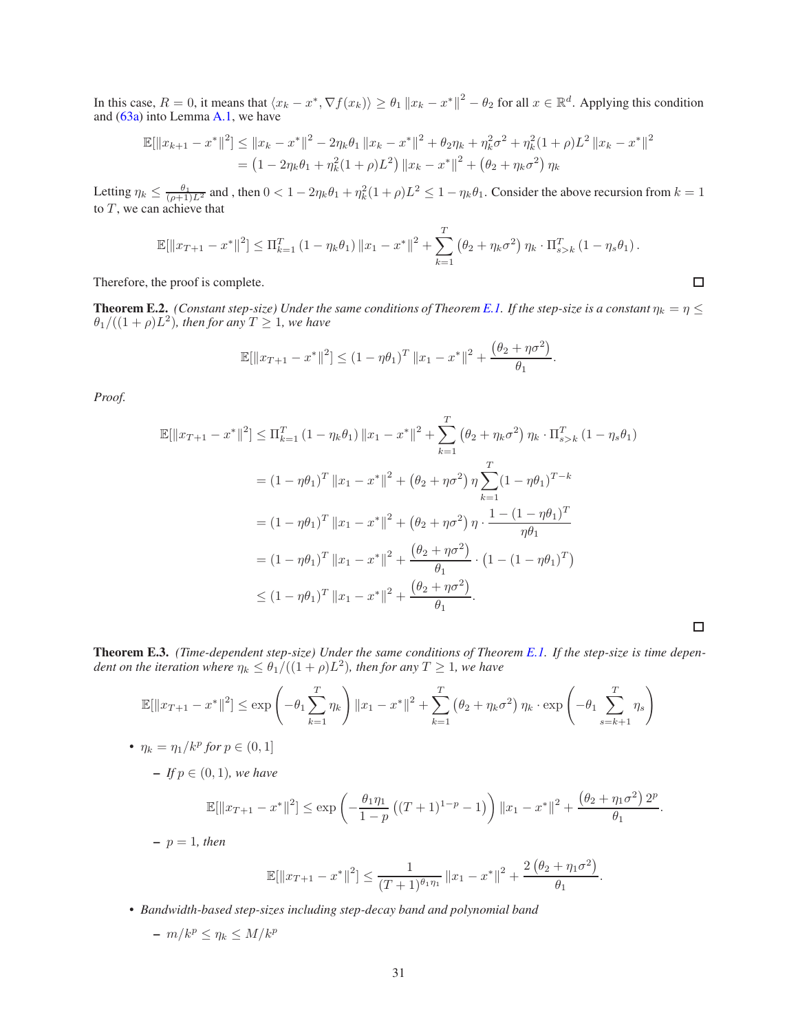In this case,  $R = 0$ , it means that  $\langle x_k - x^*, \nabla f(x_k) \rangle \ge \theta_1 \|x_k - x^*\|^2 - \theta_2$  for all  $x \in \mathbb{R}^d$ . Applying this condition and [\(63a\)](#page-31-0) into Lemma [A.1,](#page-9-3) we have

$$
\mathbb{E}[\|x_{k+1} - x^*\|^2] \le \|x_k - x^*\|^2 - 2\eta_k \theta_1 \|x_k - x^*\|^2 + \theta_2 \eta_k + \eta_k^2 \sigma^2 + \eta_k^2 (1 + \rho) L^2 \|x_k - x^*\|^2
$$
  
= 
$$
(1 - 2\eta_k \theta_1 + \eta_k^2 (1 + \rho) L^2) \|x_k - x^*\|^2 + (\theta_2 + \eta_k \sigma^2) \eta_k
$$

Letting  $\eta_k \le \frac{\theta_1}{(\rho+1)L^2}$  and, then  $0 < 1 - 2\eta_k \theta_1 + \eta_k^2 (1+\rho)L^2 \le 1 - \eta_k \theta_1$ . Consider the above recursion from  $k = 1$ to  $T$ , we can achieve that

$$
\mathbb{E}[\|x_{T+1} - x^*\|^2] \le \Pi_{k=1}^T (1 - \eta_k \theta_1) \|x_1 - x^*\|^2 + \sum_{k=1}^T (\theta_2 + \eta_k \sigma^2) \eta_k \cdot \Pi_{s>k}^T (1 - \eta_s \theta_1).
$$

 $\Box$ 

 $\Box$ 

Therefore, the proof is complete.

**Theorem E.2.** *(Constant step-size) Under the same conditions of Theorem [E.1.](#page-29-1) If the step-size is a constant*  $\eta_k = \eta \leq$  $\theta_1/((1+\rho)L^2)$ , then for any  $T \geq 1$ , we have

$$
\mathbb{E}[\|x_{T+1} - x^*\|^2] \le (1 - \eta \theta_1)^T \|x_1 - x^*\|^2 + \frac{(\theta_2 + \eta \sigma^2)}{\theta_1}.
$$

*Proof.*

$$
\mathbb{E}[\|x_{T+1} - x^*\|^2] \le \Pi_{k=1}^T (1 - \eta_k \theta_1) \|x_1 - x^*\|^2 + \sum_{k=1}^T (\theta_2 + \eta_k \sigma^2) \eta_k \cdot \Pi_{s>k}^T (1 - \eta_s \theta_1)
$$
  
\n
$$
= (1 - \eta \theta_1)^T \|x_1 - x^*\|^2 + (\theta_2 + \eta \sigma^2) \eta \sum_{k=1}^T (1 - \eta \theta_1)^{T-k}
$$
  
\n
$$
= (1 - \eta \theta_1)^T \|x_1 - x^*\|^2 + (\theta_2 + \eta \sigma^2) \eta \cdot \frac{1 - (1 - \eta \theta_1)^T}{\eta \theta_1}
$$
  
\n
$$
= (1 - \eta \theta_1)^T \|x_1 - x^*\|^2 + \frac{(\theta_2 + \eta \sigma^2)}{\theta_1} \cdot (1 - (1 - \eta \theta_1)^T)
$$
  
\n
$$
\le (1 - \eta \theta_1)^T \|x_1 - x^*\|^2 + \frac{(\theta_2 + \eta \sigma^2)}{\theta_1}.
$$

Theorem E.3. *(Time-dependent step-size) Under the same conditions of Theorem [E.1.](#page-29-1) If the step-size is time depen*dent on the iteration where  $\eta_k \leq \theta_1/((1+\rho)L^2)$ , then for any  $T \geq 1$ , we have

$$
\mathbb{E}[\|x_{T+1} - x^*\|^2] \le \exp\left(-\theta_1 \sum_{k=1}^T \eta_k\right) \|x_1 - x^*\|^2 + \sum_{k=1}^T \left(\theta_2 + \eta_k \sigma^2\right) \eta_k \cdot \exp\left(-\theta_1 \sum_{s=k+1}^T \eta_s\right)
$$
  
•  $\eta_k = \eta_1 / k^p$  for  $p \in (0, 1]$ 

$$
- If p \in (0,1), we have
$$

$$
\mathbb{E}[\|x_{T+1} - x^*\|^2] \le \exp\left(-\frac{\theta_1 \eta_1}{1-p} \left((T+1)^{1-p} - 1\right)\right) \|x_1 - x^*\|^2 + \frac{\left(\theta_2 + \eta_1 \sigma^2\right) 2^p}{\theta_1}.
$$

 $-p = 1$ *, then* 

$$
\mathbb{E}[\|x_{T+1} - x^*\|^2] \le \frac{1}{(T+1)^{\theta_1 \eta_1}} \|x_1 - x^*\|^2 + \frac{2(\theta_2 + \eta_1 \sigma^2)}{\theta_1}.
$$

• *Bandwidth-based step-sizes including step-decay band and polynomial band*

$$
-m/k^p \leq \eta_k \leq M/k^p
$$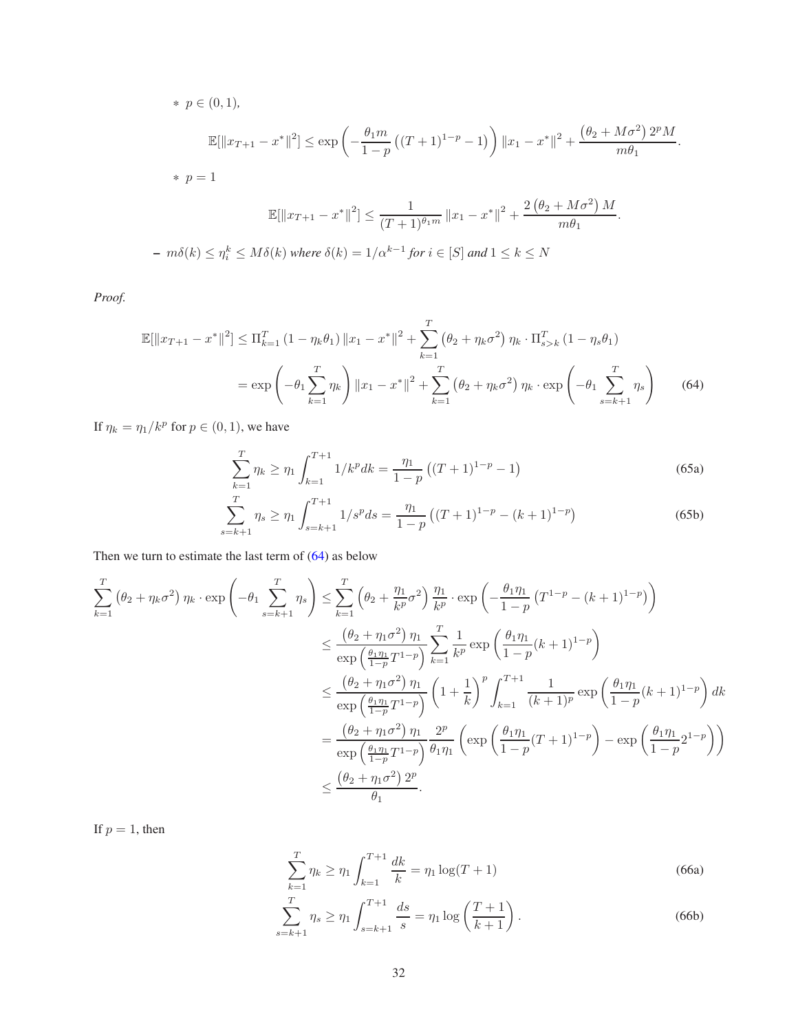\* 
$$
p \in (0, 1)
$$
,  
\n
$$
\mathbb{E}[\|x_{T+1} - x^*\|^2] \le \exp\left(-\frac{\theta_1 m}{1-p} \left((T+1)^{1-p} - 1\right)\right) \|x_1 - x^*\|^2 + \frac{(\theta_2 + M\sigma^2) 2^p M}{m\theta_1}.
$$
\n\*  $p = 1$   
\n
$$
\mathbb{E}[\|x_{T+1} - x^*\|^2] \le \frac{1}{(T+1)^{\theta_1 m}} \|x_1 - x^*\|^2 + \frac{2(\theta_2 + M\sigma^2) M}{m\theta_1}.
$$
\n-  $m\delta(k) \le \eta_i^k \le M\delta(k)$  where  $\delta(k) = 1/\alpha^{k-1}$  for  $i \in [S]$  and  $1 \le k \le N$ 

*Proof.*

$$
\mathbb{E}[\|x_{T+1} - x^*\|^2] \le \Pi_{k=1}^T (1 - \eta_k \theta_1) \|x_1 - x^*\|^2 + \sum_{k=1}^T (\theta_2 + \eta_k \sigma^2) \eta_k \cdot \Pi_{s>k}^T (1 - \eta_s \theta_1)
$$
  
=  $\exp\left(-\theta_1 \sum_{k=1}^T \eta_k\right) \|x_1 - x^*\|^2 + \sum_{k=1}^T (\theta_2 + \eta_k \sigma^2) \eta_k \cdot \exp\left(-\theta_1 \sum_{s=k+1}^T \eta_s\right)$  (64)

If  $\eta_k = \eta_1/k^p$  for  $p \in (0, 1)$ , we have

<span id="page-31-1"></span>
$$
\sum_{k=1}^{T} \eta_k \ge \eta_1 \int_{k=1}^{T+1} 1/k^p dk = \frac{\eta_1}{1-p} \left( (T+1)^{1-p} - 1 \right) \tag{65a}
$$

$$
\sum_{s=k+1}^{T} \eta_s \ge \eta_1 \int_{s=k+1}^{T+1} 1/s^p ds = \frac{\eta_1}{1-p} \left( (T+1)^{1-p} - (k+1)^{1-p} \right) \tag{65b}
$$

Then we turn to estimate the last term of [\(64\)](#page-31-1) as below

$$
\sum_{k=1}^{T} (\theta_2 + \eta_k \sigma^2) \eta_k \cdot \exp\left(-\theta_1 \sum_{s=k+1}^{T} \eta_s\right) \le \sum_{k=1}^{T} \left(\theta_2 + \frac{\eta_1}{k^p} \sigma^2\right) \frac{\eta_1}{k^p} \cdot \exp\left(-\frac{\theta_1 \eta_1}{1-p} \left(T^{1-p} - (k+1)^{1-p}\right)\right)
$$
\n
$$
\le \frac{(\theta_2 + \eta_1 \sigma^2)}{\exp\left(\frac{\theta_1 \eta_1}{1-p} T^{1-p}\right)} \sum_{k=1}^{T} \frac{1}{k^p} \exp\left(\frac{\theta_1 \eta_1}{1-p} (k+1)^{1-p}\right)
$$
\n
$$
\le \frac{(\theta_2 + \eta_1 \sigma^2)}{\exp\left(\frac{\theta_1 \eta_1}{1-p} T^{1-p}\right)} \left(1 + \frac{1}{k}\right)^p \int_{k=1}^{T+1} \frac{1}{(k+1)^p} \exp\left(\frac{\theta_1 \eta_1}{1-p} (k+1)^{1-p}\right) dk
$$
\n
$$
= \frac{(\theta_2 + \eta_1 \sigma^2)}{\exp\left(\frac{\theta_1 \eta_1}{1-p} T^{1-p}\right)} \frac{2^p}{\theta_1 \eta_1} \left(\exp\left(\frac{\theta_1 \eta_1}{1-p} (T+1)^{1-p}\right) - \exp\left(\frac{\theta_1 \eta_1}{1-p} 2^{1-p}\right)\right)
$$
\n
$$
\le \frac{(\theta_2 + \eta_1 \sigma^2) 2^p}{\theta_1}.
$$

If  $p = 1$ , then

<span id="page-31-0"></span>
$$
\sum_{k=1}^{T} \eta_k \ge \eta_1 \int_{k=1}^{T+1} \frac{dk}{k} = \eta_1 \log(T+1)
$$
\n(66a)

$$
\sum_{s=k+1}^{T} \eta_s \ge \eta_1 \int_{s=k+1}^{T+1} \frac{ds}{s} = \eta_1 \log \left( \frac{T+1}{k+1} \right). \tag{66b}
$$